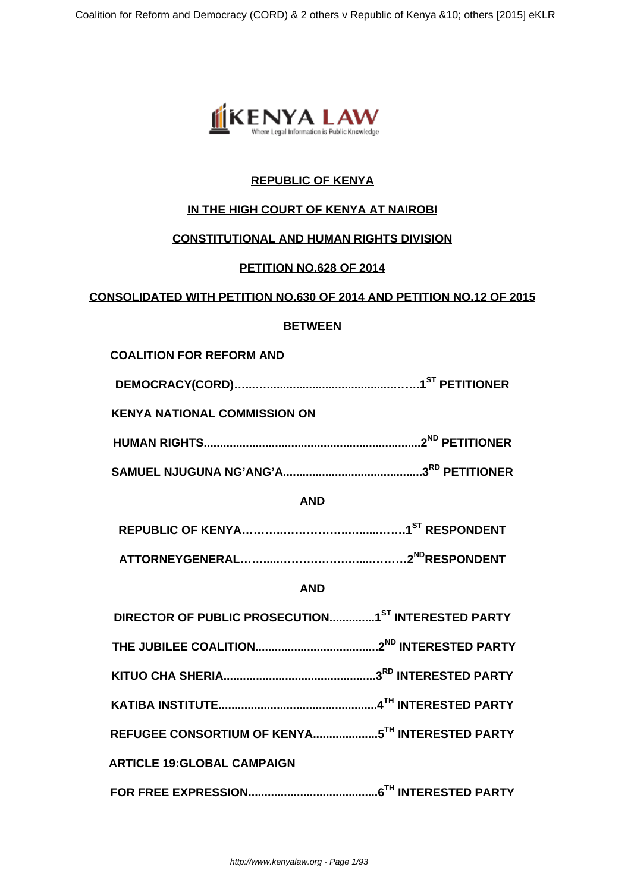

# **REPUBLIC OF KENYA**

# **IN THE HIGH COURT OF KENYA AT NAIROBI**

#### **CONSTITUTIONAL AND HUMAN RIGHTS DIVISION**

## **PETITION NO.628 OF 2014**

#### **CONSOLIDATED WITH PETITION NO.630 OF 2014 AND PETITION NO.12 OF 2015**

#### **BETWEEN**

#### **COALITION FOR REFORM AND**

|--|--|

**KENYA NATIONAL COMMISSION ON** 

|  | .2 <sup>ND</sup> PETITIONER |
|--|-----------------------------|
|--|-----------------------------|

**SAMUEL NJUGUNA NG'ANG'A...........................................3RD PETITIONER**

#### **AND**

#### **AND**

| DIRECTOR OF PUBLIC PROSECUTION1 <sup>ST</sup> INTERESTED PARTY |  |
|----------------------------------------------------------------|--|
|                                                                |  |
|                                                                |  |
|                                                                |  |
|                                                                |  |
| <b>ARTICLE 19:GLOBAL CAMPAIGN</b>                              |  |
|                                                                |  |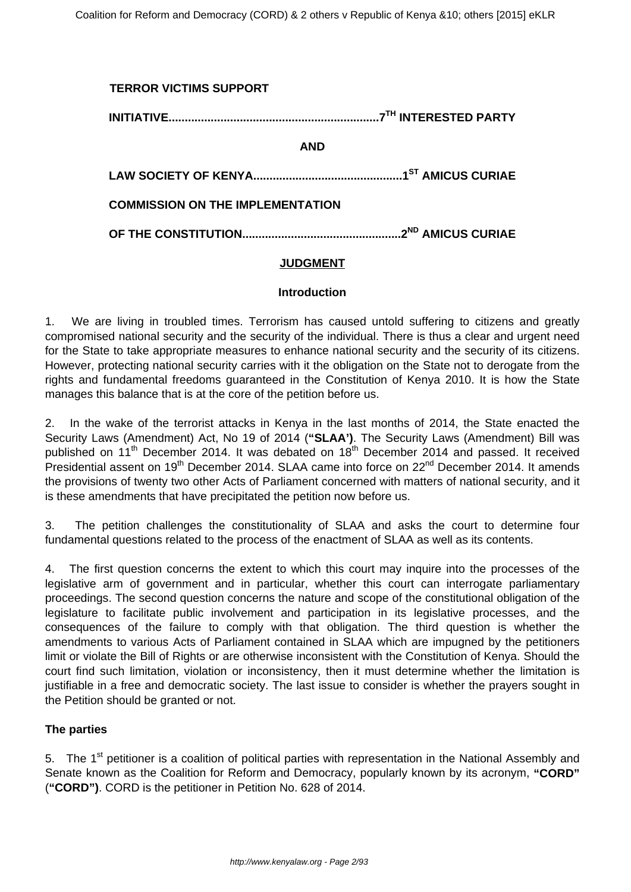# **TERROR VICTIMS SUPPORT INITIATIVE.................................................................7TH INTERESTED PARTY AND LAW SOCIETY OF KENYA..............................................1ST AMICUS CURIAE COMMISSION ON THE IMPLEMENTATION OF THE CONSTITUTION.................................................2ND AMICUS CURIAE**

## **JUDGMENT**

#### **Introduction**

1. We are living in troubled times. Terrorism has caused untold suffering to citizens and greatly compromised national security and the security of the individual. There is thus a clear and urgent need for the State to take appropriate measures to enhance national security and the security of its citizens. However, protecting national security carries with it the obligation on the State not to derogate from the rights and fundamental freedoms guaranteed in the Constitution of Kenya 2010. It is how the State manages this balance that is at the core of the petition before us.

2. In the wake of the terrorist attacks in Kenya in the last months of 2014, the State enacted the Security Laws (Amendment) Act, No 19 of 2014 (**"SLAA')**. The Security Laws (Amendment) Bill was published on 11<sup>th</sup> December 2014. It was debated on 18<sup>th</sup> December 2014 and passed. It received Presidential assent on 19<sup>th</sup> December 2014. SLAA came into force on 22<sup>nd</sup> December 2014. It amends the provisions of twenty two other Acts of Parliament concerned with matters of national security, and it is these amendments that have precipitated the petition now before us.

3. The petition challenges the constitutionality of SLAA and asks the court to determine four fundamental questions related to the process of the enactment of SLAA as well as its contents.

4. The first question concerns the extent to which this court may inquire into the processes of the legislative arm of government and in particular, whether this court can interrogate parliamentary proceedings. The second question concerns the nature and scope of the constitutional obligation of the legislature to facilitate public involvement and participation in its legislative processes, and the consequences of the failure to comply with that obligation. The third question is whether the amendments to various Acts of Parliament contained in SLAA which are impugned by the petitioners limit or violate the Bill of Rights or are otherwise inconsistent with the Constitution of Kenya. Should the court find such limitation, violation or inconsistency, then it must determine whether the limitation is justifiable in a free and democratic society. The last issue to consider is whether the prayers sought in the Petition should be granted or not.

#### **The parties**

5. The 1<sup>st</sup> petitioner is a coalition of political parties with representation in the National Assembly and Senate known as the Coalition for Reform and Democracy, popularly known by its acronym, **"CORD"** (**"CORD")**. CORD is the petitioner in Petition No. 628 of 2014.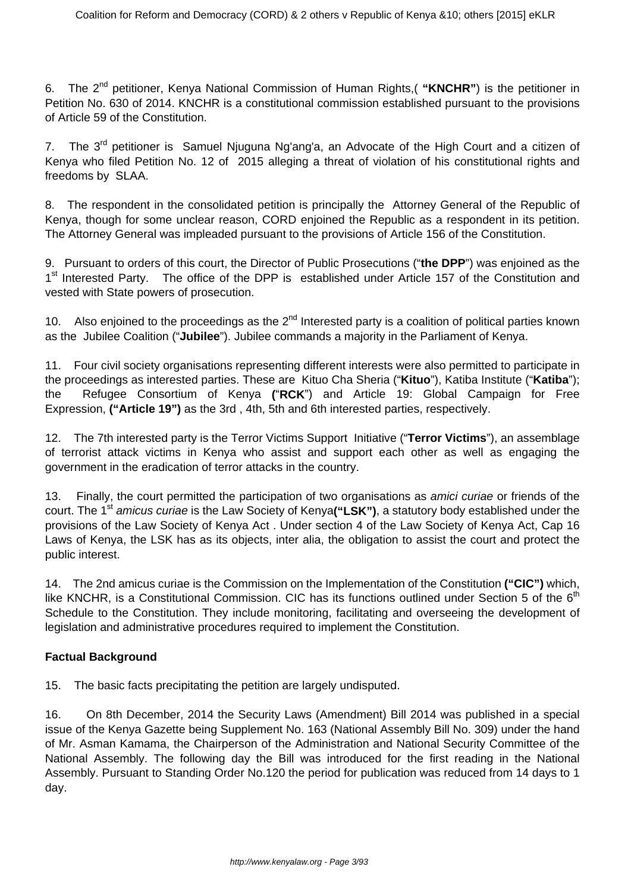6. The 2nd petitioner, Kenya National Commission of Human Rights,( **"KNCHR"**) is the petitioner in Petition No. 630 of 2014. KNCHR is a constitutional commission established pursuant to the provisions of Article 59 of the Constitution.

7. The 3<sup>rd</sup> petitioner is Samuel Njuguna Ng'ang'a, an Advocate of the High Court and a citizen of Kenya who filed Petition No. 12 of 2015 alleging a threat of violation of his constitutional rights and freedoms by SLAA.

8. The respondent in the consolidated petition is principally the Attorney General of the Republic of Kenya, though for some unclear reason, CORD enjoined the Republic as a respondent in its petition. The Attorney General was impleaded pursuant to the provisions of Article 156 of the Constitution.

9. Pursuant to orders of this court, the Director of Public Prosecutions ("**the DPP**") was enjoined as the 1<sup>st</sup> Interested Party. The office of the DPP is established under Article 157 of the Constitution and vested with State powers of prosecution.

10. Also enjoined to the proceedings as the  $2^{nd}$  Interested party is a coalition of political parties known as the Jubilee Coalition ("**Jubilee**"). Jubilee commands a majority in the Parliament of Kenya.

11. Four civil society organisations representing different interests were also permitted to participate in the proceedings as interested parties. These are Kituo Cha Sheria ("**Kituo**"), Katiba Institute ("**Katiba**"); the Refugee Consortium of Kenya **(**"**RCK**") and Article 19: Global Campaign for Free Expression, **("Article 19")** as the 3rd , 4th, 5th and 6th interested parties, respectively.

12. The 7th interested party is the Terror Victims Support Initiative ("**Terror Victims**"), an assemblage of terrorist attack victims in Kenya who assist and support each other as well as engaging the government in the eradication of terror attacks in the country.

13. Finally, the court permitted the participation of two organisations as *amici curiae* or friends of the court. The 1<sup>st</sup> amicus curiae is the Law Society of Kenya("LSK"), a statutory body established under the provisions of the Law Society of Kenya Act . Under section 4 of the Law Society of Kenya Act, Cap 16 Laws of Kenya, the LSK has as its objects, inter alia, the obligation to assist the court and protect the public interest.

14. The 2nd amicus curiae is the Commission on the Implementation of the Constitution **("CIC")** which, like KNCHR, is a Constitutional Commission. CIC has its functions outlined under Section 5 of the  $6<sup>th</sup>$ Schedule to the Constitution. They include monitoring, facilitating and overseeing the development of legislation and administrative procedures required to implement the Constitution.

# **Factual Background**

15. The basic facts precipitating the petition are largely undisputed.

16. On 8th December, 2014 the Security Laws (Amendment) Bill 2014 was published in a special issue of the Kenya Gazette being Supplement No. 163 (National Assembly Bill No. 309) under the hand of Mr. Asman Kamama, the Chairperson of the Administration and National Security Committee of the National Assembly. The following day the Bill was introduced for the first reading in the National Assembly. Pursuant to Standing Order No.120 the period for publication was reduced from 14 days to 1 day.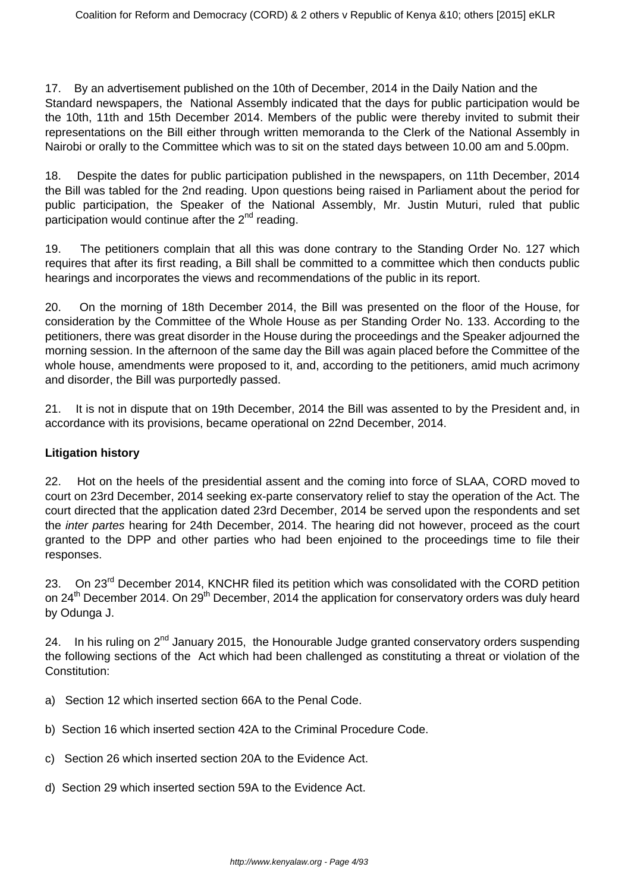17. By an advertisement published on the 10th of December, 2014 in the Daily Nation and the Standard newspapers, the National Assembly indicated that the days for public participation would be the 10th, 11th and 15th December 2014. Members of the public were thereby invited to submit their representations on the Bill either through written memoranda to the Clerk of the National Assembly in Nairobi or orally to the Committee which was to sit on the stated days between 10.00 am and 5.00pm.

18. Despite the dates for public participation published in the newspapers, on 11th December, 2014 the Bill was tabled for the 2nd reading. Upon questions being raised in Parliament about the period for public participation, the Speaker of the National Assembly, Mr. Justin Muturi, ruled that public participation would continue after the  $2<sup>nd</sup>$  reading.

19. The petitioners complain that all this was done contrary to the Standing Order No. 127 which requires that after its first reading, a Bill shall be committed to a committee which then conducts public hearings and incorporates the views and recommendations of the public in its report.

20. On the morning of 18th December 2014, the Bill was presented on the floor of the House, for consideration by the Committee of the Whole House as per Standing Order No. 133. According to the petitioners, there was great disorder in the House during the proceedings and the Speaker adjourned the morning session. In the afternoon of the same day the Bill was again placed before the Committee of the whole house, amendments were proposed to it, and, according to the petitioners, amid much acrimony and disorder, the Bill was purportedly passed.

21. It is not in dispute that on 19th December, 2014 the Bill was assented to by the President and, in accordance with its provisions, became operational on 22nd December, 2014.

# **Litigation history**

22. Hot on the heels of the presidential assent and the coming into force of SLAA, CORD moved to court on 23rd December, 2014 seeking ex-parte conservatory relief to stay the operation of the Act. The court directed that the application dated 23rd December, 2014 be served upon the respondents and set the inter partes hearing for 24th December, 2014. The hearing did not however, proceed as the court granted to the DPP and other parties who had been enjoined to the proceedings time to file their responses.

23. On 23<sup>rd</sup> December 2014, KNCHR filed its petition which was consolidated with the CORD petition on 24<sup>th</sup> December 2014. On 29<sup>th</sup> December, 2014 the application for conservatory orders was duly heard by Odunga J.

24. In his ruling on  $2^{nd}$  January 2015, the Honourable Judge granted conservatory orders suspending the following sections of the Act which had been challenged as constituting a threat or violation of the Constitution:

- a) Section 12 which inserted section 66A to the Penal Code.
- b) Section 16 which inserted section 42A to the Criminal Procedure Code.
- c) Section 26 which inserted section 20A to the Evidence Act.
- d) Section 29 which inserted section 59A to the Evidence Act.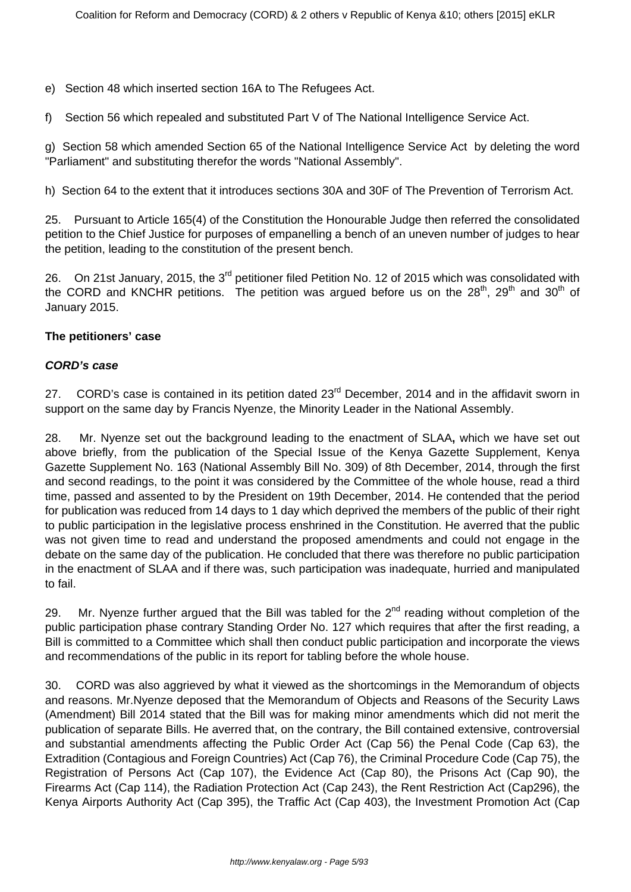e) Section 48 which inserted section 16A to The Refugees Act.

f) Section 56 which repealed and substituted Part V of The National Intelligence Service Act.

g) Section 58 which amended Section 65 of the National Intelligence Service Act by deleting the word "Parliament" and substituting therefor the words "National Assembly".

h) Section 64 to the extent that it introduces sections 30A and 30F of The Prevention of Terrorism Act.

25. Pursuant to Article 165(4) of the Constitution the Honourable Judge then referred the consolidated petition to the Chief Justice for purposes of empanelling a bench of an uneven number of judges to hear the petition, leading to the constitution of the present bench.

26. On 21st January, 2015, the 3<sup>rd</sup> petitioner filed Petition No. 12 of 2015 which was consolidated with the CORD and KNCHR petitions. The petition was argued before us on the  $28<sup>th</sup>$ ,  $29<sup>th</sup>$  and  $30<sup>th</sup>$  of January 2015.

#### **The petitioners' case**

#### **CORD's case**

27. CORD's case is contained in its petition dated 23<sup>rd</sup> December, 2014 and in the affidavit sworn in support on the same day by Francis Nyenze, the Minority Leader in the National Assembly.

28. Mr. Nyenze set out the background leading to the enactment of SLAA**,** which we have set out above briefly, from the publication of the Special Issue of the Kenya Gazette Supplement, Kenya Gazette Supplement No. 163 (National Assembly Bill No. 309) of 8th December, 2014, through the first and second readings, to the point it was considered by the Committee of the whole house, read a third time, passed and assented to by the President on 19th December, 2014. He contended that the period for publication was reduced from 14 days to 1 day which deprived the members of the public of their right to public participation in the legislative process enshrined in the Constitution. He averred that the public was not given time to read and understand the proposed amendments and could not engage in the debate on the same day of the publication. He concluded that there was therefore no public participation in the enactment of SLAA and if there was, such participation was inadequate, hurried and manipulated to fail.

29. Mr. Nyenze further argued that the Bill was tabled for the  $2^{nd}$  reading without completion of the public participation phase contrary Standing Order No. 127 which requires that after the first reading, a Bill is committed to a Committee which shall then conduct public participation and incorporate the views and recommendations of the public in its report for tabling before the whole house.

30. CORD was also aggrieved by what it viewed as the shortcomings in the Memorandum of objects and reasons. Mr.Nyenze deposed that the Memorandum of Objects and Reasons of the Security Laws (Amendment) Bill 2014 stated that the Bill was for making minor amendments which did not merit the publication of separate Bills. He averred that, on the contrary, the Bill contained extensive, controversial and substantial amendments affecting the Public Order Act (Cap 56) the Penal Code (Cap 63), the Extradition (Contagious and Foreign Countries) Act (Cap 76), the Criminal Procedure Code (Cap 75), the Registration of Persons Act (Cap 107), the Evidence Act (Cap 80), the Prisons Act (Cap 90), the Firearms Act (Cap 114), the Radiation Protection Act (Cap 243), the Rent Restriction Act (Cap296), the Kenya Airports Authority Act (Cap 395), the Traffic Act (Cap 403), the Investment Promotion Act (Cap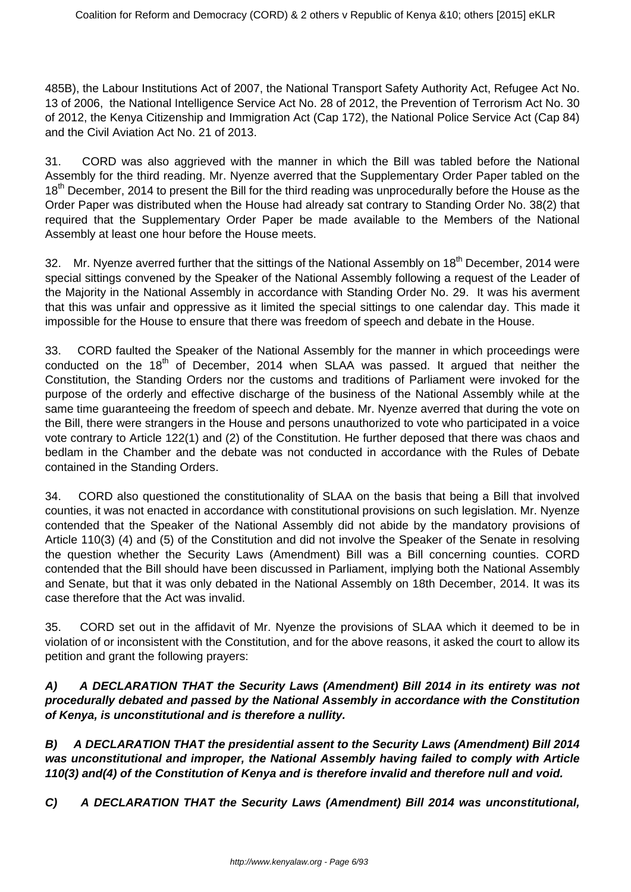485B), the Labour Institutions Act of 2007, the National Transport Safety Authority Act, Refugee Act No. 13 of 2006, the National Intelligence Service Act No. 28 of 2012, the Prevention of Terrorism Act No. 30 of 2012, the Kenya Citizenship and Immigration Act (Cap 172), the National Police Service Act (Cap 84) and the Civil Aviation Act No. 21 of 2013.

31. CORD was also aggrieved with the manner in which the Bill was tabled before the National Assembly for the third reading. Mr. Nyenze averred that the Supplementary Order Paper tabled on the 18<sup>th</sup> December, 2014 to present the Bill for the third reading was unprocedurally before the House as the Order Paper was distributed when the House had already sat contrary to Standing Order No. 38(2) that required that the Supplementary Order Paper be made available to the Members of the National Assembly at least one hour before the House meets.

32. Mr. Nyenze averred further that the sittings of the National Assembly on 18<sup>th</sup> December, 2014 were special sittings convened by the Speaker of the National Assembly following a request of the Leader of the Majority in the National Assembly in accordance with Standing Order No. 29. It was his averment that this was unfair and oppressive as it limited the special sittings to one calendar day. This made it impossible for the House to ensure that there was freedom of speech and debate in the House.

33. CORD faulted the Speaker of the National Assembly for the manner in which proceedings were conducted on the 18<sup>th</sup> of December, 2014 when SLAA was passed. It argued that neither the Constitution, the Standing Orders nor the customs and traditions of Parliament were invoked for the purpose of the orderly and effective discharge of the business of the National Assembly while at the same time guaranteeing the freedom of speech and debate. Mr. Nyenze averred that during the vote on the Bill, there were strangers in the House and persons unauthorized to vote who participated in a voice vote contrary to Article 122(1) and (2) of the Constitution. He further deposed that there was chaos and bedlam in the Chamber and the debate was not conducted in accordance with the Rules of Debate contained in the Standing Orders.

34. CORD also questioned the constitutionality of SLAA on the basis that being a Bill that involved counties, it was not enacted in accordance with constitutional provisions on such legislation. Mr. Nyenze contended that the Speaker of the National Assembly did not abide by the mandatory provisions of Article 110(3) (4) and (5) of the Constitution and did not involve the Speaker of the Senate in resolving the question whether the Security Laws (Amendment) Bill was a Bill concerning counties. CORD contended that the Bill should have been discussed in Parliament, implying both the National Assembly and Senate, but that it was only debated in the National Assembly on 18th December, 2014. It was its case therefore that the Act was invalid.

35. CORD set out in the affidavit of Mr. Nyenze the provisions of SLAA which it deemed to be in violation of or inconsistent with the Constitution, and for the above reasons, it asked the court to allow its petition and grant the following prayers:

#### **A) A DECLARATION THAT the Security Laws (Amendment) Bill 2014 in its entirety was not procedurally debated and passed by the National Assembly in accordance with the Constitution of Kenya, is unconstitutional and is therefore a nullity.**

**B) A DECLARATION THAT the presidential assent to the Security Laws (Amendment) Bill 2014 was unconstitutional and improper, the National Assembly having failed to comply with Article 110(3) and(4) of the Constitution of Kenya and is therefore invalid and therefore null and void.**

**C) A DECLARATION THAT the Security Laws (Amendment) Bill 2014 was unconstitutional,**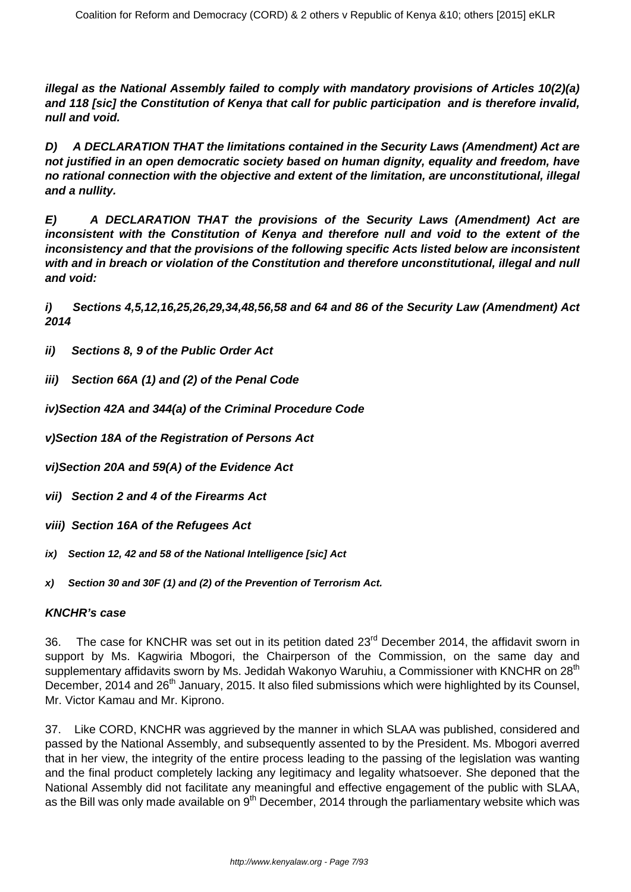**illegal as the National Assembly failed to comply with mandatory provisions of Articles 10(2)(a) and 118 [sic] the Constitution of Kenya that call for public participation and is therefore invalid, null and void.**

**D) A DECLARATION THAT the limitations contained in the Security Laws (Amendment) Act are not justified in an open democratic society based on human dignity, equality and freedom, have no rational connection with the objective and extent of the limitation, are unconstitutional, illegal and a nullity.**

**E) A DECLARATION THAT the provisions of the Security Laws (Amendment) Act are inconsistent with the Constitution of Kenya and therefore null and void to the extent of the inconsistency and that the provisions of the following specific Acts listed below are inconsistent with and in breach or violation of the Constitution and therefore unconstitutional, illegal and null and void:**

**i) Sections 4,5,12,16,25,26,29,34,48,56,58 and 64 and 86 of the Security Law (Amendment) Act 2014**

- **ii) Sections 8, 9 of the Public Order Act**
- **iii) Section 66A (1) and (2) of the Penal Code**
- **iv)Section 42A and 344(a) of the Criminal Procedure Code**
- **v)Section 18A of the Registration of Persons Act**
- **vi)Section 20A and 59(A) of the Evidence Act**
- **vii) Section 2 and 4 of the Firearms Act**
- **viii) Section 16A of the Refugees Act**
- **ix) Section 12, 42 and 58 of the National Intelligence [sic] Act**
- **x) Section 30 and 30F (1) and (2) of the Prevention of Terrorism Act.**

#### **KNCHR's case**

36. The case for KNCHR was set out in its petition dated 23<sup>rd</sup> December 2014, the affidavit sworn in support by Ms. Kagwiria Mbogori, the Chairperson of the Commission, on the same day and supplementary affidavits sworn by Ms. Jedidah Wakonyo Waruhiu, a Commissioner with KNCHR on 28<sup>th</sup> December, 2014 and 26<sup>th</sup> January, 2015. It also filed submissions which were highlighted by its Counsel, Mr. Victor Kamau and Mr. Kiprono.

37. Like CORD, KNCHR was aggrieved by the manner in which SLAA was published, considered and passed by the National Assembly, and subsequently assented to by the President. Ms. Mbogori averred that in her view, the integrity of the entire process leading to the passing of the legislation was wanting and the final product completely lacking any legitimacy and legality whatsoever. She deponed that the National Assembly did not facilitate any meaningful and effective engagement of the public with SLAA, as the Bill was only made available on 9<sup>th</sup> December, 2014 through the parliamentary website which was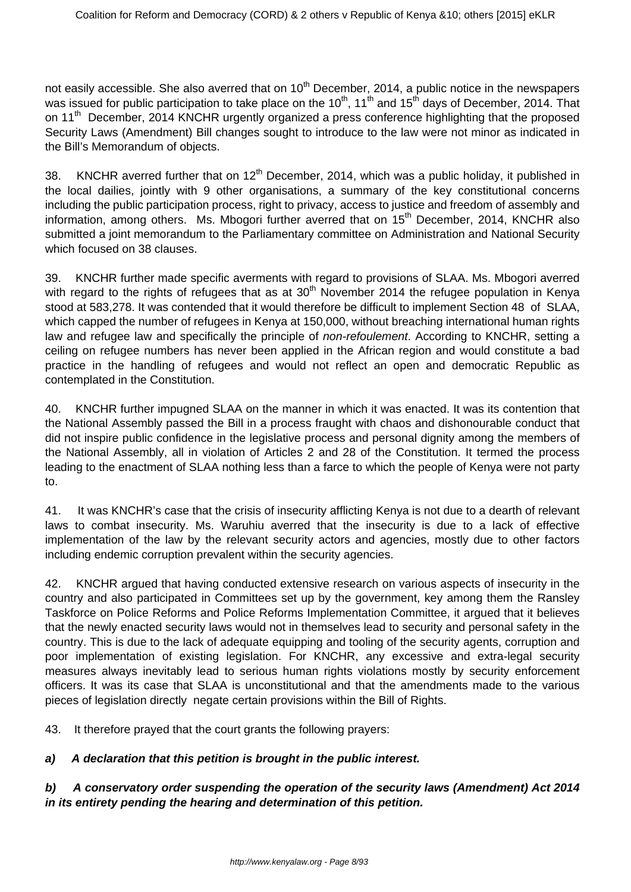not easily accessible. She also averred that on  $10<sup>th</sup>$  December, 2014, a public notice in the newspapers was issued for public participation to take place on the 10<sup>th</sup>, 11<sup>th</sup> and 15<sup>th</sup> days of December, 2014. That on 11<sup>th</sup> December, 2014 KNCHR urgently organized a press conference highlighting that the proposed Security Laws (Amendment) Bill changes sought to introduce to the law were not minor as indicated in the Bill's Memorandum of objects.

38. KNCHR averred further that on 12<sup>th</sup> December, 2014, which was a public holiday, it published in the local dailies, jointly with 9 other organisations, a summary of the key constitutional concerns including the public participation process, right to privacy, access to justice and freedom of assembly and information, among others. Ms. Mbogori further averred that on 15<sup>th</sup> December, 2014, KNCHR also submitted a joint memorandum to the Parliamentary committee on Administration and National Security which focused on 38 clauses.

39. KNCHR further made specific averments with regard to provisions of SLAA. Ms. Mbogori averred with regard to the rights of refugees that as at 30<sup>th</sup> November 2014 the refugee population in Kenya stood at 583,278. It was contended that it would therefore be difficult to implement Section 48 of SLAA, which capped the number of refugees in Kenya at 150,000, without breaching international human rights law and refugee law and specifically the principle of *non-refoulement*. According to KNCHR, setting a ceiling on refugee numbers has never been applied in the African region and would constitute a bad practice in the handling of refugees and would not reflect an open and democratic Republic as contemplated in the Constitution.

40. KNCHR further impugned SLAA on the manner in which it was enacted. It was its contention that the National Assembly passed the Bill in a process fraught with chaos and dishonourable conduct that did not inspire public confidence in the legislative process and personal dignity among the members of the National Assembly, all in violation of Articles 2 and 28 of the Constitution. It termed the process leading to the enactment of SLAA nothing less than a farce to which the people of Kenya were not party to.

41. It was KNCHR's case that the crisis of insecurity afflicting Kenya is not due to a dearth of relevant laws to combat insecurity. Ms. Waruhiu averred that the insecurity is due to a lack of effective implementation of the law by the relevant security actors and agencies, mostly due to other factors including endemic corruption prevalent within the security agencies.

42. KNCHR argued that having conducted extensive research on various aspects of insecurity in the country and also participated in Committees set up by the government, key among them the Ransley Taskforce on Police Reforms and Police Reforms Implementation Committee, it argued that it believes that the newly enacted security laws would not in themselves lead to security and personal safety in the country. This is due to the lack of adequate equipping and tooling of the security agents, corruption and poor implementation of existing legislation. For KNCHR, any excessive and extra-legal security measures always inevitably lead to serious human rights violations mostly by security enforcement officers. It was its case that SLAA is unconstitutional and that the amendments made to the various pieces of legislation directly negate certain provisions within the Bill of Rights.

43. It therefore prayed that the court grants the following prayers:

# **a) A declaration that this petition is brought in the public interest.**

# **b) A conservatory order suspending the operation of the security laws (Amendment) Act 2014 in its entirety pending the hearing and determination of this petition.**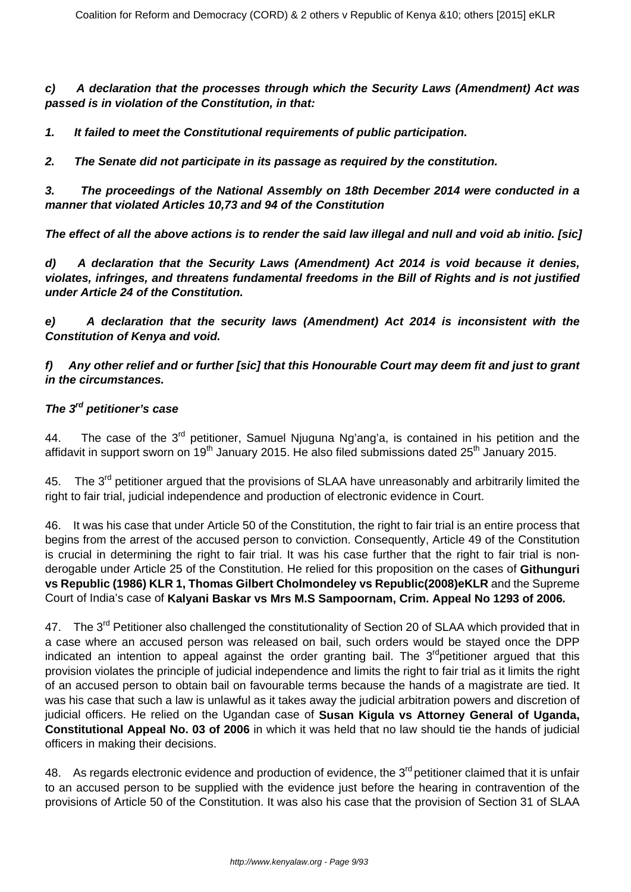**c) A declaration that the processes through which the Security Laws (Amendment) Act was passed is in violation of the Constitution, in that:**

**1. It failed to meet the Constitutional requirements of public participation.**

**2. The Senate did not participate in its passage as required by the constitution.**

**3. The proceedings of the National Assembly on 18th December 2014 were conducted in a manner that violated Articles 10,73 and 94 of the Constitution**

**The effect of all the above actions is to render the said law illegal and null and void ab initio. [sic]**

**d) A declaration that the Security Laws (Amendment) Act 2014 is void because it denies, violates, infringes, and threatens fundamental freedoms in the Bill of Rights and is not justified under Article 24 of the Constitution.**

**e) A declaration that the security laws (Amendment) Act 2014 is inconsistent with the Constitution of Kenya and void.**

**f) Any other relief and or further [sic] that this Honourable Court may deem fit and just to grant in the circumstances.**

## **The 3rd petitioner's case**

44. The case of the 3<sup>rd</sup> petitioner, Samuel Njuguna Ng'ang'a, is contained in his petition and the affidavit in support sworn on  $19<sup>th</sup>$  January 2015. He also filed submissions dated 25<sup>th</sup> January 2015.

45. The 3<sup>rd</sup> petitioner argued that the provisions of SLAA have unreasonably and arbitrarily limited the right to fair trial, judicial independence and production of electronic evidence in Court.

46. It was his case that under Article 50 of the Constitution, the right to fair trial is an entire process that begins from the arrest of the accused person to conviction. Consequently, Article 49 of the Constitution is crucial in determining the right to fair trial. It was his case further that the right to fair trial is nonderogable under Article 25 of the Constitution. He relied for this proposition on the cases of **Githunguri vs Republic (1986) KLR 1, Thomas Gilbert Cholmondeley vs Republic(2008)eKLR** and the Supreme Court of India's case of **Kalyani Baskar vs Mrs M.S Sampoornam, Crim. Appeal No 1293 of 2006.**

47. The 3<sup>rd</sup> Petitioner also challenged the constitutionality of Section 20 of SLAA which provided that in a case where an accused person was released on bail, such orders would be stayed once the DPP indicated an intention to appeal against the order granting bail. The 3<sup>rd</sup>petitioner argued that this provision violates the principle of judicial independence and limits the right to fair trial as it limits the right of an accused person to obtain bail on favourable terms because the hands of a magistrate are tied. It was his case that such a law is unlawful as it takes away the judicial arbitration powers and discretion of judicial officers. He relied on the Ugandan case of **Susan Kigula vs Attorney General of Uganda, Constitutional Appeal No. 03 of 2006** in which it was held that no law should tie the hands of judicial officers in making their decisions.

48. As regards electronic evidence and production of evidence, the 3<sup>rd</sup> petitioner claimed that it is unfair to an accused person to be supplied with the evidence just before the hearing in contravention of the provisions of Article 50 of the Constitution. It was also his case that the provision of Section 31 of SLAA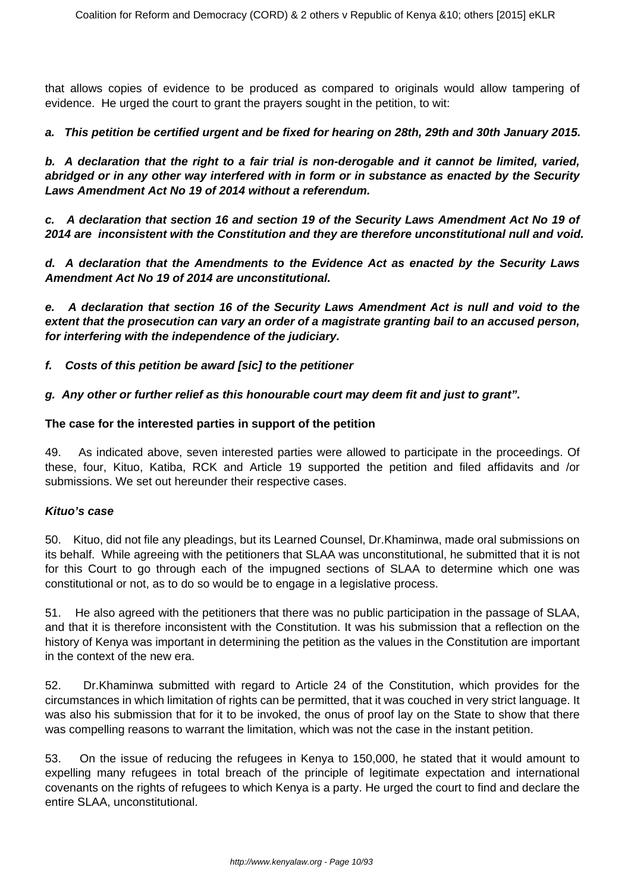that allows copies of evidence to be produced as compared to originals would allow tampering of evidence. He urged the court to grant the prayers sought in the petition, to wit:

## **a. This petition be certified urgent and be fixed for hearing on 28th, 29th and 30th January 2015.**

**b. A declaration that the right to a fair trial is non-derogable and it cannot be limited, varied, abridged or in any other way interfered with in form or in substance as enacted by the Security Laws Amendment Act No 19 of 2014 without a referendum.**

**c. A declaration that section 16 and section 19 of the Security Laws Amendment Act No 19 of 2014 are inconsistent with the Constitution and they are therefore unconstitutional null and void.**

**d. A declaration that the Amendments to the Evidence Act as enacted by the Security Laws Amendment Act No 19 of 2014 are unconstitutional.**

**e. A declaration that section 16 of the Security Laws Amendment Act is null and void to the extent that the prosecution can vary an order of a magistrate granting bail to an accused person, for interfering with the independence of the judiciary.**

**f. Costs of this petition be award [sic] to the petitioner**

**g. Any other or further relief as this honourable court may deem fit and just to grant".**

#### **The case for the interested parties in support of the petition**

49. As indicated above, seven interested parties were allowed to participate in the proceedings. Of these, four, Kituo, Katiba, RCK and Article 19 supported the petition and filed affidavits and /or submissions. We set out hereunder their respective cases.

#### **Kituo's case**

50. Kituo, did not file any pleadings, but its Learned Counsel, Dr.Khaminwa, made oral submissions on its behalf. While agreeing with the petitioners that SLAA was unconstitutional, he submitted that it is not for this Court to go through each of the impugned sections of SLAA to determine which one was constitutional or not, as to do so would be to engage in a legislative process.

51. He also agreed with the petitioners that there was no public participation in the passage of SLAA, and that it is therefore inconsistent with the Constitution. It was his submission that a reflection on the history of Kenya was important in determining the petition as the values in the Constitution are important in the context of the new era.

52. Dr.Khaminwa submitted with regard to Article 24 of the Constitution, which provides for the circumstances in which limitation of rights can be permitted, that it was couched in very strict language. It was also his submission that for it to be invoked, the onus of proof lay on the State to show that there was compelling reasons to warrant the limitation, which was not the case in the instant petition.

53. On the issue of reducing the refugees in Kenya to 150,000, he stated that it would amount to expelling many refugees in total breach of the principle of legitimate expectation and international covenants on the rights of refugees to which Kenya is a party. He urged the court to find and declare the entire SLAA, unconstitutional.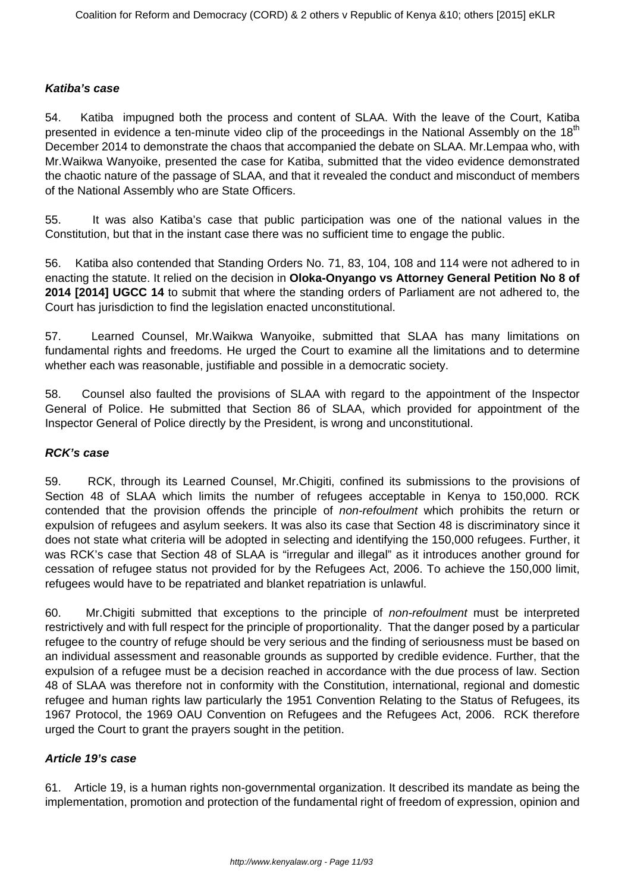#### **Katiba's case**

54. Katiba impugned both the process and content of SLAA. With the leave of the Court, Katiba presented in evidence a ten-minute video clip of the proceedings in the National Assembly on the 18<sup>th</sup> December 2014 to demonstrate the chaos that accompanied the debate on SLAA. Mr.Lempaa who, with Mr.Waikwa Wanyoike, presented the case for Katiba, submitted that the video evidence demonstrated the chaotic nature of the passage of SLAA, and that it revealed the conduct and misconduct of members of the National Assembly who are State Officers.

55. It was also Katiba's case that public participation was one of the national values in the Constitution, but that in the instant case there was no sufficient time to engage the public.

56. Katiba also contended that Standing Orders No. 71, 83, 104, 108 and 114 were not adhered to in enacting the statute. It relied on the decision in **Oloka-Onyango vs Attorney General Petition No 8 of 2014 [2014] UGCC 14** to submit that where the standing orders of Parliament are not adhered to, the Court has jurisdiction to find the legislation enacted unconstitutional.

57. Learned Counsel, Mr.Waikwa Wanyoike, submitted that SLAA has many limitations on fundamental rights and freedoms. He urged the Court to examine all the limitations and to determine whether each was reasonable, justifiable and possible in a democratic society.

58. Counsel also faulted the provisions of SLAA with regard to the appointment of the Inspector General of Police. He submitted that Section 86 of SLAA, which provided for appointment of the Inspector General of Police directly by the President, is wrong and unconstitutional.

#### **RCK's case**

59. RCK, through its Learned Counsel, Mr.Chigiti, confined its submissions to the provisions of Section 48 of SLAA which limits the number of refugees acceptable in Kenya to 150,000. RCK contended that the provision offends the principle of non-refoulment which prohibits the return or expulsion of refugees and asylum seekers. It was also its case that Section 48 is discriminatory since it does not state what criteria will be adopted in selecting and identifying the 150,000 refugees. Further, it was RCK's case that Section 48 of SLAA is "irregular and illegal" as it introduces another ground for cessation of refugee status not provided for by the Refugees Act, 2006. To achieve the 150,000 limit, refugees would have to be repatriated and blanket repatriation is unlawful.

60. Mr.Chigiti submitted that exceptions to the principle of *non-refoulment* must be interpreted restrictively and with full respect for the principle of proportionality. That the danger posed by a particular refugee to the country of refuge should be very serious and the finding of seriousness must be based on an individual assessment and reasonable grounds as supported by credible evidence. Further, that the expulsion of a refugee must be a decision reached in accordance with the due process of law. Section 48 of SLAA was therefore not in conformity with the Constitution, international, regional and domestic refugee and human rights law particularly the 1951 Convention Relating to the Status of Refugees, its 1967 Protocol, the 1969 OAU Convention on Refugees and the Refugees Act, 2006. RCK therefore urged the Court to grant the prayers sought in the petition.

#### **Article 19's case**

61. Article 19, is a human rights non-governmental organization. It described its mandate as being the implementation, promotion and protection of the fundamental right of freedom of expression, opinion and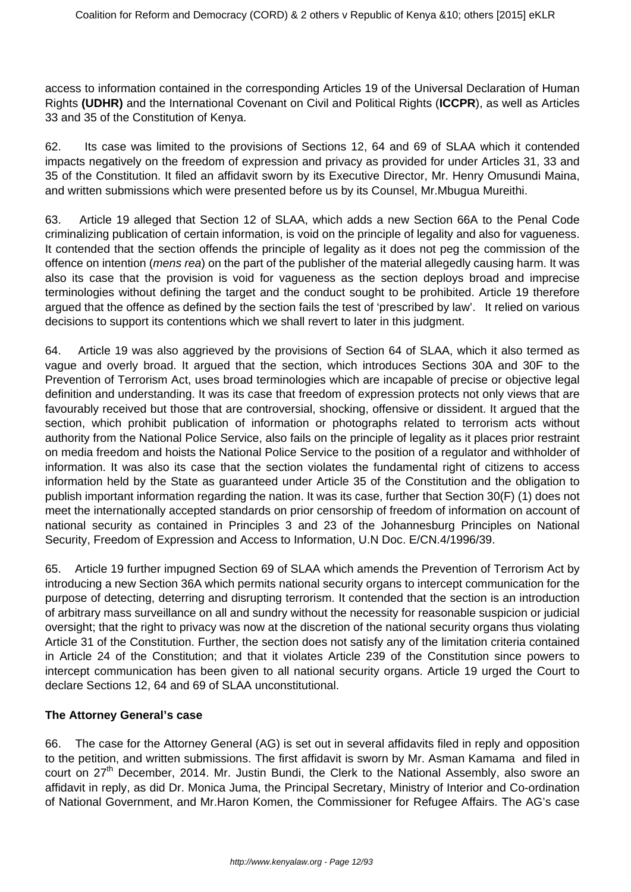access to information contained in the corresponding Articles 19 of the Universal Declaration of Human Rights **(UDHR)** and the International Covenant on Civil and Political Rights (**ICCPR**), as well as Articles 33 and 35 of the Constitution of Kenya.

62. Its case was limited to the provisions of Sections 12, 64 and 69 of SLAA which it contended impacts negatively on the freedom of expression and privacy as provided for under Articles 31, 33 and 35 of the Constitution. It filed an affidavit sworn by its Executive Director, Mr. Henry Omusundi Maina, and written submissions which were presented before us by its Counsel, Mr.Mbugua Mureithi.

63. Article 19 alleged that Section 12 of SLAA, which adds a new Section 66A to the Penal Code criminalizing publication of certain information, is void on the principle of legality and also for vagueness. It contended that the section offends the principle of legality as it does not peg the commission of the offence on intention (*mens rea*) on the part of the publisher of the material allegedly causing harm. It was also its case that the provision is void for vagueness as the section deploys broad and imprecise terminologies without defining the target and the conduct sought to be prohibited. Article 19 therefore argued that the offence as defined by the section fails the test of 'prescribed by law'. It relied on various decisions to support its contentions which we shall revert to later in this judgment.

64. Article 19 was also aggrieved by the provisions of Section 64 of SLAA, which it also termed as vague and overly broad. It argued that the section, which introduces Sections 30A and 30F to the Prevention of Terrorism Act, uses broad terminologies which are incapable of precise or objective legal definition and understanding. It was its case that freedom of expression protects not only views that are favourably received but those that are controversial, shocking, offensive or dissident. It argued that the section, which prohibit publication of information or photographs related to terrorism acts without authority from the National Police Service, also fails on the principle of legality as it places prior restraint on media freedom and hoists the National Police Service to the position of a regulator and withholder of information. It was also its case that the section violates the fundamental right of citizens to access information held by the State as guaranteed under Article 35 of the Constitution and the obligation to publish important information regarding the nation. It was its case, further that Section 30(F) (1) does not meet the internationally accepted standards on prior censorship of freedom of information on account of national security as contained in Principles 3 and 23 of the Johannesburg Principles on National Security, Freedom of Expression and Access to Information, U.N Doc. E/CN.4/1996/39.

65. Article 19 further impugned Section 69 of SLAA which amends the Prevention of Terrorism Act by introducing a new Section 36A which permits national security organs to intercept communication for the purpose of detecting, deterring and disrupting terrorism. It contended that the section is an introduction of arbitrary mass surveillance on all and sundry without the necessity for reasonable suspicion or judicial oversight; that the right to privacy was now at the discretion of the national security organs thus violating Article 31 of the Constitution. Further, the section does not satisfy any of the limitation criteria contained in Article 24 of the Constitution; and that it violates Article 239 of the Constitution since powers to intercept communication has been given to all national security organs. Article 19 urged the Court to declare Sections 12, 64 and 69 of SLAA unconstitutional.

#### **The Attorney General's case**

66. The case for the Attorney General (AG) is set out in several affidavits filed in reply and opposition to the petition, and written submissions. The first affidavit is sworn by Mr. Asman Kamama and filed in court on 27<sup>th</sup> December, 2014. Mr. Justin Bundi, the Clerk to the National Assembly, also swore an affidavit in reply, as did Dr. Monica Juma, the Principal Secretary, Ministry of Interior and Co-ordination of National Government, and Mr.Haron Komen, the Commissioner for Refugee Affairs. The AG's case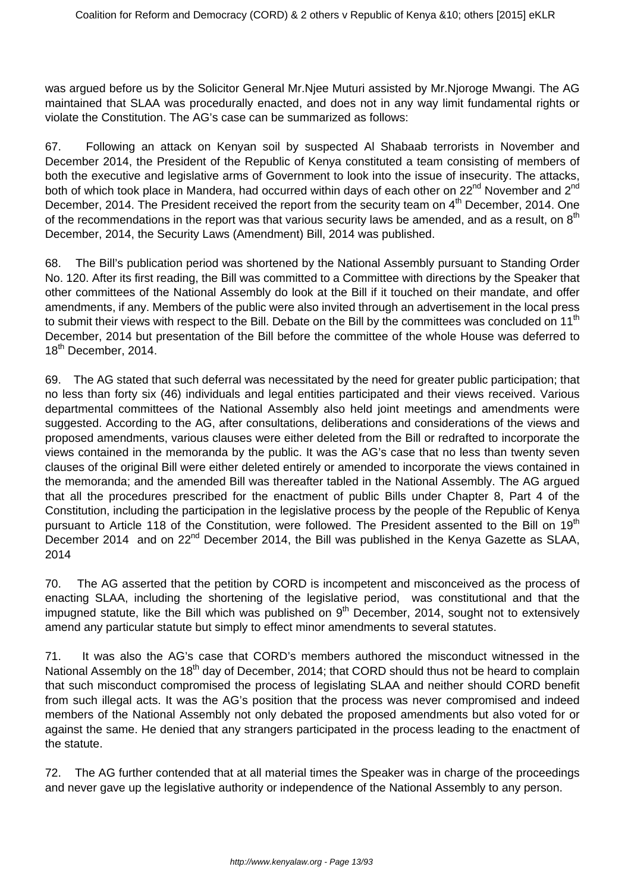was argued before us by the Solicitor General Mr.Njee Muturi assisted by Mr.Njoroge Mwangi. The AG maintained that SLAA was procedurally enacted, and does not in any way limit fundamental rights or violate the Constitution. The AG's case can be summarized as follows:

67. Following an attack on Kenyan soil by suspected Al Shabaab terrorists in November and December 2014, the President of the Republic of Kenya constituted a team consisting of members of both the executive and legislative arms of Government to look into the issue of insecurity. The attacks, both of which took place in Mandera, had occurred within days of each other on 22<sup>nd</sup> November and 2<sup>nd</sup> December, 2014. The President received the report from the security team on 4<sup>th</sup> December, 2014. One of the recommendations in the report was that various security laws be amended, and as a result, on  $8<sup>th</sup>$ December, 2014, the Security Laws (Amendment) Bill, 2014 was published.

68. The Bill's publication period was shortened by the National Assembly pursuant to Standing Order No. 120. After its first reading, the Bill was committed to a Committee with directions by the Speaker that other committees of the National Assembly do look at the Bill if it touched on their mandate, and offer amendments, if any. Members of the public were also invited through an advertisement in the local press to submit their views with respect to the Bill. Debate on the Bill by the committees was concluded on 11<sup>th</sup> December, 2014 but presentation of the Bill before the committee of the whole House was deferred to 18<sup>th</sup> December, 2014.

69. The AG stated that such deferral was necessitated by the need for greater public participation; that no less than forty six (46) individuals and legal entities participated and their views received. Various departmental committees of the National Assembly also held joint meetings and amendments were suggested. According to the AG, after consultations, deliberations and considerations of the views and proposed amendments, various clauses were either deleted from the Bill or redrafted to incorporate the views contained in the memoranda by the public. It was the AG's case that no less than twenty seven clauses of the original Bill were either deleted entirely or amended to incorporate the views contained in the memoranda; and the amended Bill was thereafter tabled in the National Assembly. The AG argued that all the procedures prescribed for the enactment of public Bills under Chapter 8, Part 4 of the Constitution, including the participation in the legislative process by the people of the Republic of Kenya pursuant to Article 118 of the Constitution, were followed. The President assented to the Bill on 19<sup>th</sup> December 2014 and on 22<sup>nd</sup> December 2014, the Bill was published in the Kenya Gazette as SLAA, 2014

70. The AG asserted that the petition by CORD is incompetent and misconceived as the process of enacting SLAA, including the shortening of the legislative period, was constitutional and that the impugned statute, like the Bill which was published on 9<sup>th</sup> December, 2014, sought not to extensively amend any particular statute but simply to effect minor amendments to several statutes.

71. It was also the AG's case that CORD's members authored the misconduct witnessed in the National Assembly on the 18<sup>th</sup> day of December, 2014; that CORD should thus not be heard to complain that such misconduct compromised the process of legislating SLAA and neither should CORD benefit from such illegal acts. It was the AG's position that the process was never compromised and indeed members of the National Assembly not only debated the proposed amendments but also voted for or against the same. He denied that any strangers participated in the process leading to the enactment of the statute.

72. The AG further contended that at all material times the Speaker was in charge of the proceedings and never gave up the legislative authority or independence of the National Assembly to any person.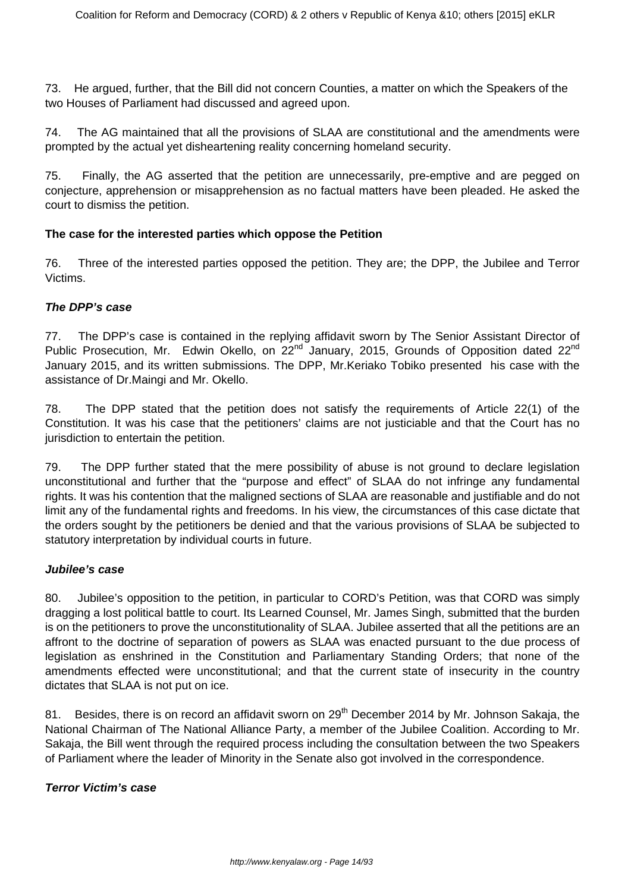73. He argued, further, that the Bill did not concern Counties, a matter on which the Speakers of the two Houses of Parliament had discussed and agreed upon.

74. The AG maintained that all the provisions of SLAA are constitutional and the amendments were prompted by the actual yet disheartening reality concerning homeland security.

75. Finally, the AG asserted that the petition are unnecessarily, pre-emptive and are pegged on conjecture, apprehension or misapprehension as no factual matters have been pleaded. He asked the court to dismiss the petition.

## **The case for the interested parties which oppose the Petition**

76. Three of the interested parties opposed the petition. They are; the DPP, the Jubilee and Terror Victims.

## **The DPP's case**

77. The DPP's case is contained in the replying affidavit sworn by The Senior Assistant Director of Public Prosecution, Mr. Edwin Okello, on 22<sup>nd</sup> January, 2015, Grounds of Opposition dated 22<sup>nd</sup> January 2015, and its written submissions. The DPP, Mr.Keriako Tobiko presented his case with the assistance of Dr.Maingi and Mr. Okello.

78. The DPP stated that the petition does not satisfy the requirements of Article 22(1) of the Constitution. It was his case that the petitioners' claims are not justiciable and that the Court has no jurisdiction to entertain the petition.

79. The DPP further stated that the mere possibility of abuse is not ground to declare legislation unconstitutional and further that the "purpose and effect" of SLAA do not infringe any fundamental rights. It was his contention that the maligned sections of SLAA are reasonable and justifiable and do not limit any of the fundamental rights and freedoms. In his view, the circumstances of this case dictate that the orders sought by the petitioners be denied and that the various provisions of SLAA be subjected to statutory interpretation by individual courts in future.

#### **Jubilee's case**

80. Jubilee's opposition to the petition, in particular to CORD's Petition, was that CORD was simply dragging a lost political battle to court. Its Learned Counsel, Mr. James Singh, submitted that the burden is on the petitioners to prove the unconstitutionality of SLAA. Jubilee asserted that all the petitions are an affront to the doctrine of separation of powers as SLAA was enacted pursuant to the due process of legislation as enshrined in the Constitution and Parliamentary Standing Orders; that none of the amendments effected were unconstitutional; and that the current state of insecurity in the country dictates that SLAA is not put on ice.

81. Besides, there is on record an affidavit sworn on 29<sup>th</sup> December 2014 by Mr. Johnson Sakaja, the National Chairman of The National Alliance Party, a member of the Jubilee Coalition. According to Mr. Sakaja, the Bill went through the required process including the consultation between the two Speakers of Parliament where the leader of Minority in the Senate also got involved in the correspondence.

#### **Terror Victim's case**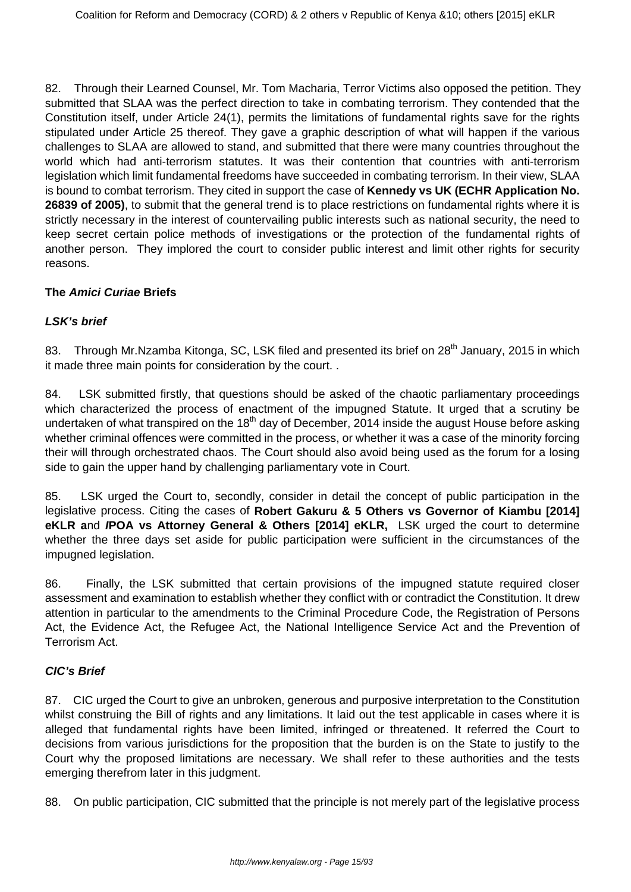82. Through their Learned Counsel, Mr. Tom Macharia, Terror Victims also opposed the petition. They submitted that SLAA was the perfect direction to take in combating terrorism. They contended that the Constitution itself, under Article 24(1), permits the limitations of fundamental rights save for the rights stipulated under Article 25 thereof. They gave a graphic description of what will happen if the various challenges to SLAA are allowed to stand, and submitted that there were many countries throughout the world which had anti-terrorism statutes. It was their contention that countries with anti-terrorism legislation which limit fundamental freedoms have succeeded in combating terrorism. In their view, SLAA is bound to combat terrorism. They cited in support the case of **Kennedy vs UK (ECHR Application No. 26839 of 2005)**, to submit that the general trend is to place restrictions on fundamental rights where it is strictly necessary in the interest of countervailing public interests such as national security, the need to keep secret certain police methods of investigations or the protection of the fundamental rights of another person. They implored the court to consider public interest and limit other rights for security reasons.

#### **The Amici Curiae Briefs**

## **LSK's brief**

83. Through Mr.Nzamba Kitonga, SC, LSK filed and presented its brief on 28<sup>th</sup> January, 2015 in which it made three main points for consideration by the court. .

84. LSK submitted firstly, that questions should be asked of the chaotic parliamentary proceedings which characterized the process of enactment of the impugned Statute. It urged that a scrutiny be undertaken of what transpired on the 18<sup>th</sup> day of December, 2014 inside the august House before asking whether criminal offences were committed in the process, or whether it was a case of the minority forcing their will through orchestrated chaos. The Court should also avoid being used as the forum for a losing side to gain the upper hand by challenging parliamentary vote in Court.

85. LSK urged the Court to, secondly, consider in detail the concept of public participation in the legislative process. Citing the cases of **Robert Gakuru & 5 Others vs Governor of Kiambu [2014] eKLR a**nd **IPOA vs Attorney General & Others [2014] eKLR,** LSK urged the court to determine whether the three days set aside for public participation were sufficient in the circumstances of the impugned legislation.

86. Finally, the LSK submitted that certain provisions of the impugned statute required closer assessment and examination to establish whether they conflict with or contradict the Constitution. It drew attention in particular to the amendments to the Criminal Procedure Code, the Registration of Persons Act, the Evidence Act, the Refugee Act, the National Intelligence Service Act and the Prevention of Terrorism Act.

#### **CIC's Brief**

87. CIC urged the Court to give an unbroken, generous and purposive interpretation to the Constitution whilst construing the Bill of rights and any limitations. It laid out the test applicable in cases where it is alleged that fundamental rights have been limited, infringed or threatened. It referred the Court to decisions from various jurisdictions for the proposition that the burden is on the State to justify to the Court why the proposed limitations are necessary. We shall refer to these authorities and the tests emerging therefrom later in this judgment.

88. On public participation, CIC submitted that the principle is not merely part of the legislative process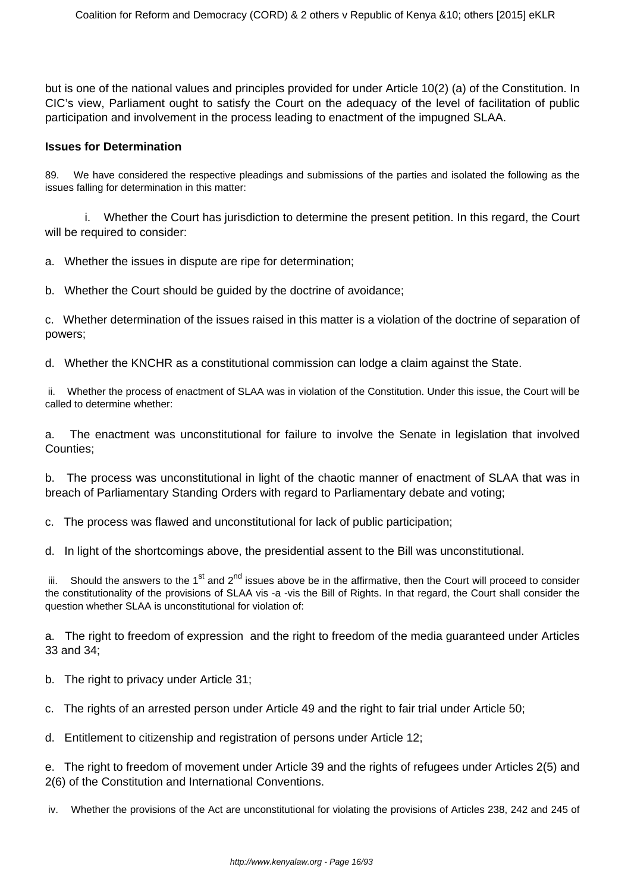but is one of the national values and principles provided for under Article 10(2) (a) of the Constitution. In CIC's view, Parliament ought to satisfy the Court on the adequacy of the level of facilitation of public participation and involvement in the process leading to enactment of the impugned SLAA.

#### **Issues for Determination**

89. We have considered the respective pleadings and submissions of the parties and isolated the following as the issues falling for determination in this matter:

 i. Whether the Court has jurisdiction to determine the present petition. In this regard, the Court will be required to consider:

a. Whether the issues in dispute are ripe for determination;

b. Whether the Court should be guided by the doctrine of avoidance;

c. Whether determination of the issues raised in this matter is a violation of the doctrine of separation of powers;

d. Whether the KNCHR as a constitutional commission can lodge a claim against the State.

ii. Whether the process of enactment of SLAA was in violation of the Constitution. Under this issue, the Court will be called to determine whether:

a. The enactment was unconstitutional for failure to involve the Senate in legislation that involved Counties;

b. The process was unconstitutional in light of the chaotic manner of enactment of SLAA that was in breach of Parliamentary Standing Orders with regard to Parliamentary debate and voting;

c. The process was flawed and unconstitutional for lack of public participation;

d. In light of the shortcomings above, the presidential assent to the Bill was unconstitutional.

iii. Should the answers to the 1<sup>st</sup> and 2<sup>nd</sup> issues above be in the affirmative, then the Court will proceed to consider the constitutionality of the provisions of SLAA vis -a -vis the Bill of Rights. In that regard, the Court shall consider the question whether SLAA is unconstitutional for violation of:

a. The right to freedom of expression and the right to freedom of the media guaranteed under Articles 33 and 34;

b. The right to privacy under Article 31;

c. The rights of an arrested person under Article 49 and the right to fair trial under Article 50;

d. Entitlement to citizenship and registration of persons under Article 12;

e. The right to freedom of movement under Article 39 and the rights of refugees under Articles 2(5) and 2(6) of the Constitution and International Conventions.

iv. Whether the provisions of the Act are unconstitutional for violating the provisions of Articles 238, 242 and 245 of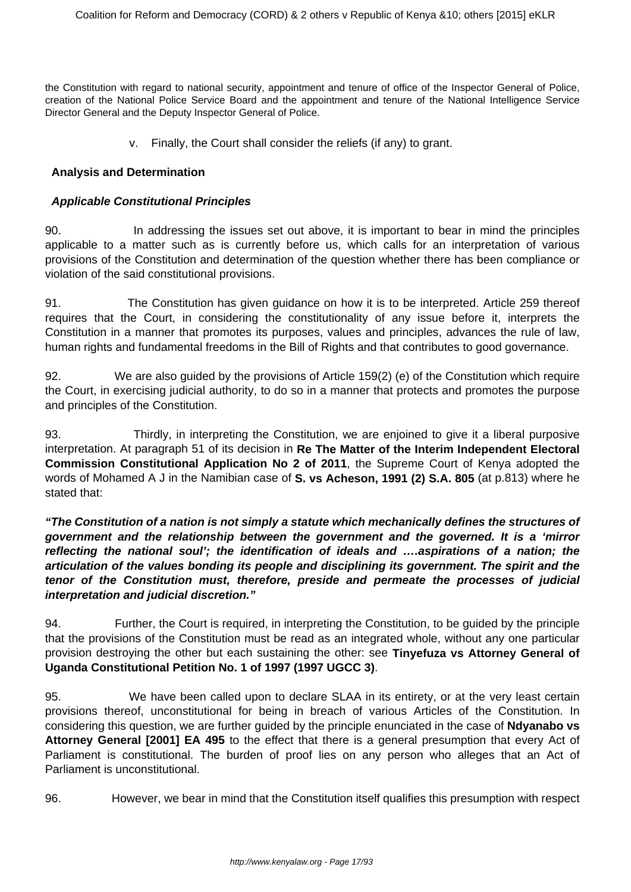the Constitution with regard to national security, appointment and tenure of office of the Inspector General of Police, creation of the National Police Service Board and the appointment and tenure of the National Intelligence Service Director General and the Deputy Inspector General of Police.

v. Finally, the Court shall consider the reliefs (if any) to grant.

#### **Analysis and Determination**

#### **Applicable Constitutional Principles**

90. In addressing the issues set out above, it is important to bear in mind the principles applicable to a matter such as is currently before us, which calls for an interpretation of various provisions of the Constitution and determination of the question whether there has been compliance or violation of the said constitutional provisions.

91. The Constitution has given guidance on how it is to be interpreted. Article 259 thereof requires that the Court, in considering the constitutionality of any issue before it, interprets the Constitution in a manner that promotes its purposes, values and principles, advances the rule of law, human rights and fundamental freedoms in the Bill of Rights and that contributes to good governance.

92. We are also guided by the provisions of Article 159(2) (e) of the Constitution which require the Court, in exercising judicial authority, to do so in a manner that protects and promotes the purpose and principles of the Constitution.

93. Thirdly, in interpreting the Constitution, we are enjoined to give it a liberal purposive interpretation. At paragraph 51 of its decision in **Re The Matter of the Interim Independent Electoral Commission Constitutional Application No 2 of 2011**, the Supreme Court of Kenya adopted the words of Mohamed A J in the Namibian case of **S. vs Acheson, 1991 (2) S.A. 805** (at p.813) where he stated that:

**"The Constitution of a nation is not simply a statute which mechanically defines the structures of government and the relationship between the government and the governed. It is a 'mirror reflecting the national soul'; the identification of ideals and ….aspirations of a nation; the articulation of the values bonding its people and disciplining its government. The spirit and the tenor of the Constitution must, therefore, preside and permeate the processes of judicial interpretation and judicial discretion."**

94. Further, the Court is required, in interpreting the Constitution, to be guided by the principle that the provisions of the Constitution must be read as an integrated whole, without any one particular provision destroying the other but each sustaining the other: see **Tinyefuza vs Attorney General of Uganda Constitutional Petition No. 1 of 1997 (1997 UGCC 3)**.

95. We have been called upon to declare SLAA in its entirety, or at the very least certain provisions thereof, unconstitutional for being in breach of various Articles of the Constitution. In considering this question, we are further guided by the principle enunciated in the case of **Ndyanabo vs Attorney General [2001] EA 495** to the effect that there is a general presumption that every Act of Parliament is constitutional. The burden of proof lies on any person who alleges that an Act of Parliament is unconstitutional.

96. However, we bear in mind that the Constitution itself qualifies this presumption with respect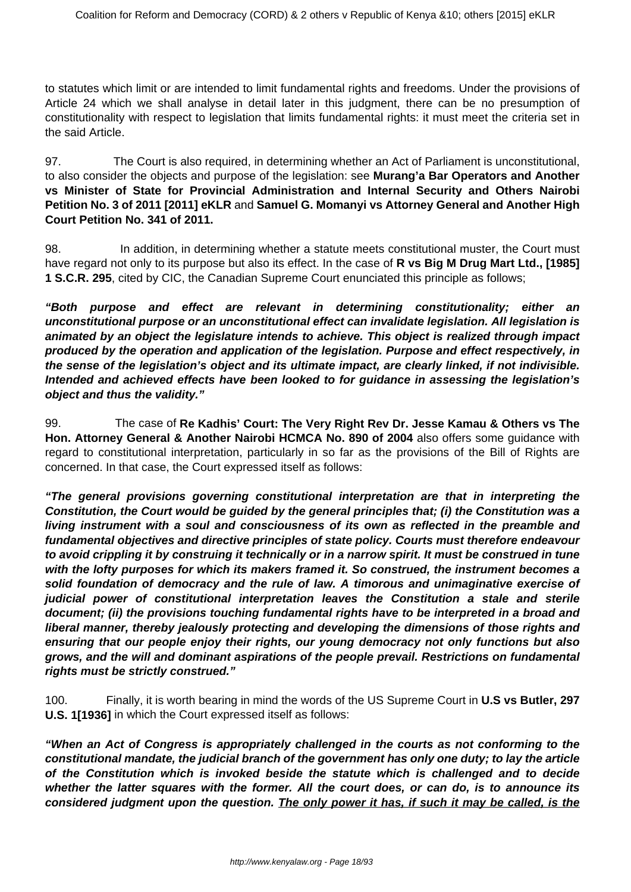to statutes which limit or are intended to limit fundamental rights and freedoms. Under the provisions of Article 24 which we shall analyse in detail later in this judgment, there can be no presumption of constitutionality with respect to legislation that limits fundamental rights: it must meet the criteria set in the said Article.

97. The Court is also required, in determining whether an Act of Parliament is unconstitutional, to also consider the objects and purpose of the legislation: see **Murang'a Bar Operators and Another vs Minister of State for Provincial Administration and Internal Security and Others Nairobi Petition No. 3 of 2011 [2011] eKLR** and **Samuel G. Momanyi vs Attorney General and Another High Court Petition No. 341 of 2011.**

98. In addition, in determining whether a statute meets constitutional muster, the Court must have regard not only to its purpose but also its effect. In the case of **R vs Big M Drug Mart Ltd., [1985] 1 S.C.R. 295**, cited by CIC, the Canadian Supreme Court enunciated this principle as follows;

**"Both purpose and effect are relevant in determining constitutionality; either an unconstitutional purpose or an unconstitutional effect can invalidate legislation. All legislation is animated by an object the legislature intends to achieve. This object is realized through impact produced by the operation and application of the legislation. Purpose and effect respectively, in the sense of the legislation's object and its ultimate impact, are clearly linked, if not indivisible. Intended and achieved effects have been looked to for guidance in assessing the legislation's object and thus the validity."**

99. The case of **Re Kadhis' Court: The Very Right Rev Dr. Jesse Kamau & Others vs The Hon. Attorney General & Another Nairobi HCMCA No. 890 of 2004** also offers some guidance with regard to constitutional interpretation, particularly in so far as the provisions of the Bill of Rights are concerned. In that case, the Court expressed itself as follows:

**"The general provisions governing constitutional interpretation are that in interpreting the Constitution, the Court would be guided by the general principles that; (i) the Constitution was a living instrument with a soul and consciousness of its own as reflected in the preamble and fundamental objectives and directive principles of state policy. Courts must therefore endeavour to avoid crippling it by construing it technically or in a narrow spirit. It must be construed in tune with the lofty purposes for which its makers framed it. So construed, the instrument becomes a solid foundation of democracy and the rule of law. A timorous and unimaginative exercise of judicial power of constitutional interpretation leaves the Constitution a stale and sterile document; (ii) the provisions touching fundamental rights have to be interpreted in a broad and liberal manner, thereby jealously protecting and developing the dimensions of those rights and ensuring that our people enjoy their rights, our young democracy not only functions but also grows, and the will and dominant aspirations of the people prevail. Restrictions on fundamental rights must be strictly construed."**

100. Finally, it is worth bearing in mind the words of the US Supreme Court in **U.S vs Butler, 297 U.S. 1[1936]** in which the Court expressed itself as follows:

**"When an Act of Congress is appropriately challenged in the courts as not conforming to the constitutional mandate, the judicial branch of the government has only one duty; to lay the article of the Constitution which is invoked beside the statute which is challenged and to decide whether the latter squares with the former. All the court does, or can do, is to announce its considered judgment upon the question. The only power it has, if such it may be called, is the**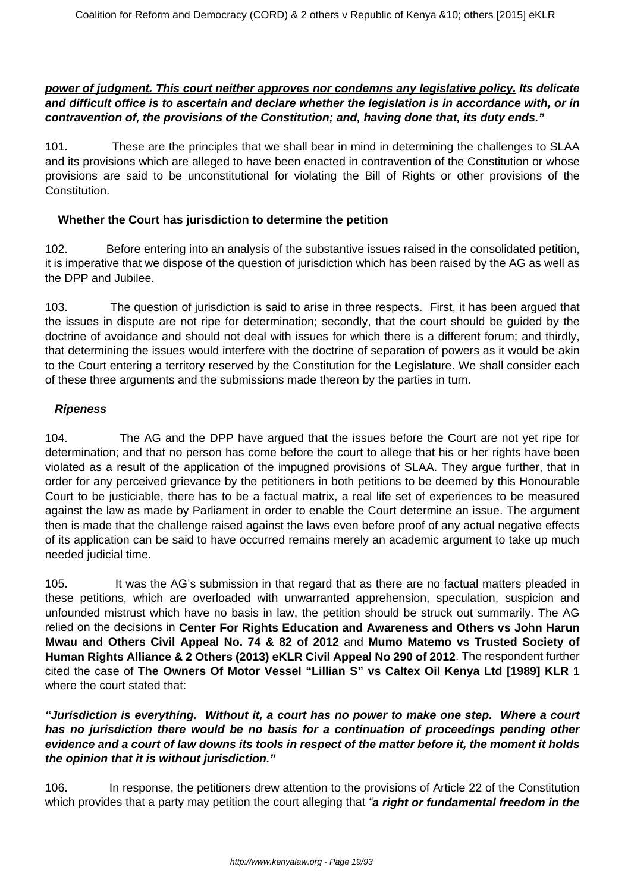#### **power of judgment. This court neither approves nor condemns any legislative policy. Its delicate and difficult office is to ascertain and declare whether the legislation is in accordance with, or in contravention of, the provisions of the Constitution; and, having done that, its duty ends."**

101. These are the principles that we shall bear in mind in determining the challenges to SLAA and its provisions which are alleged to have been enacted in contravention of the Constitution or whose provisions are said to be unconstitutional for violating the Bill of Rights or other provisions of the Constitution.

#### **Whether the Court has jurisdiction to determine the petition**

102. Before entering into an analysis of the substantive issues raised in the consolidated petition, it is imperative that we dispose of the question of jurisdiction which has been raised by the AG as well as the DPP and Jubilee.

103. The question of jurisdiction is said to arise in three respects. First, it has been argued that the issues in dispute are not ripe for determination; secondly, that the court should be guided by the doctrine of avoidance and should not deal with issues for which there is a different forum; and thirdly, that determining the issues would interfere with the doctrine of separation of powers as it would be akin to the Court entering a territory reserved by the Constitution for the Legislature. We shall consider each of these three arguments and the submissions made thereon by the parties in turn.

#### **Ripeness**

104. The AG and the DPP have argued that the issues before the Court are not yet ripe for determination; and that no person has come before the court to allege that his or her rights have been violated as a result of the application of the impugned provisions of SLAA. They argue further, that in order for any perceived grievance by the petitioners in both petitions to be deemed by this Honourable Court to be justiciable, there has to be a factual matrix, a real life set of experiences to be measured against the law as made by Parliament in order to enable the Court determine an issue. The argument then is made that the challenge raised against the laws even before proof of any actual negative effects of its application can be said to have occurred remains merely an academic argument to take up much needed judicial time.

105. It was the AG's submission in that regard that as there are no factual matters pleaded in these petitions, which are overloaded with unwarranted apprehension, speculation, suspicion and unfounded mistrust which have no basis in law, the petition should be struck out summarily. The AG relied on the decisions in **Center For Rights Education and Awareness and Others vs John Harun Mwau and Others Civil Appeal No. 74 & 82 of 2012** and **Mumo Matemo vs Trusted Society of Human Rights Alliance & 2 Others (2013) eKLR Civil Appeal No 290 of 2012**. The respondent further cited the case of **The Owners Of Motor Vessel "Lillian S" vs Caltex Oil Kenya Ltd [1989] KLR 1** where the court stated that:

**"Jurisdiction is everything. Without it, a court has no power to make one step. Where a court has no jurisdiction there would be no basis for a continuation of proceedings pending other evidence and a court of law downs its tools in respect of the matter before it, the moment it holds the opinion that it is without jurisdiction."**

106. In response, the petitioners drew attention to the provisions of Article 22 of the Constitution which provides that a party may petition the court alleging that "**a right or fundamental freedom in the**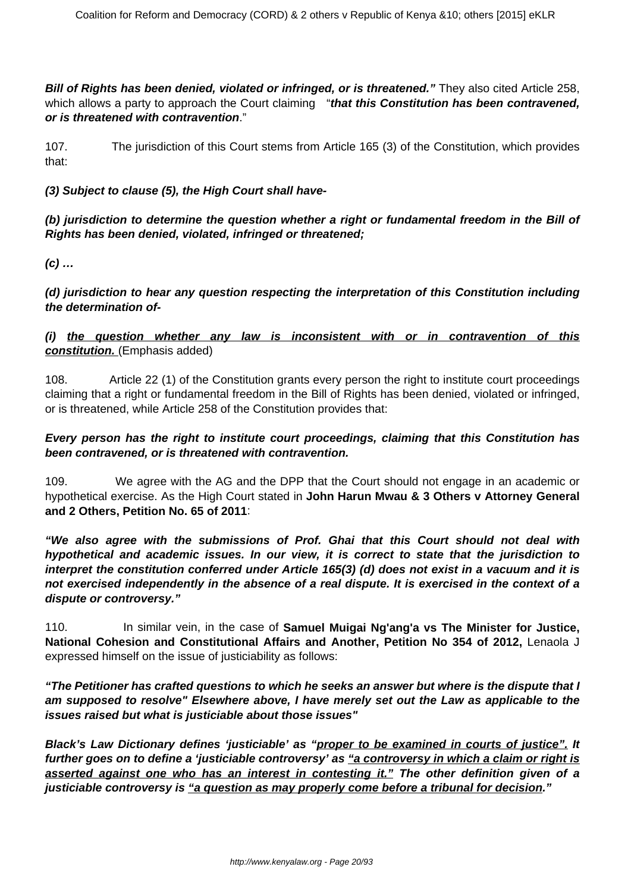**Bill of Rights has been denied, violated or infringed, or is threatened."** They also cited Article 258, which allows a party to approach the Court claiming "**that this Constitution has been contravened, or is threatened with contravention**."

107. The jurisdiction of this Court stems from Article 165 (3) of the Constitution, which provides that:

**(3) Subject to clause (5), the High Court shall have-**

**(b) jurisdiction to determine the question whether a right or fundamental freedom in the Bill of Rights has been denied, violated, infringed or threatened;**

**(c) …**

**(d) jurisdiction to hear any question respecting the interpretation of this Constitution including the determination of-**

## **(i) the question whether any law is inconsistent with or in contravention of this constitution.** (Emphasis added)

108. Article 22 (1) of the Constitution grants every person the right to institute court proceedings claiming that a right or fundamental freedom in the Bill of Rights has been denied, violated or infringed, or is threatened, while Article 258 of the Constitution provides that:

#### **Every person has the right to institute court proceedings, claiming that this Constitution has been contravened, or is threatened with contravention.**

109. We agree with the AG and the DPP that the Court should not engage in an academic or hypothetical exercise. As the High Court stated in **John Harun Mwau & 3 Others v Attorney General and 2 Others, Petition No. 65 of 2011**:

**"We also agree with the submissions of Prof. Ghai that this Court should not deal with hypothetical and academic issues. In our view, it is correct to state that the jurisdiction to interpret the constitution conferred under Article 165(3) (d) does not exist in a vacuum and it is not exercised independently in the absence of a real dispute. It is exercised in the context of a dispute or controversy."**

110. In similar vein, in the case of **Samuel Muigai Ng'ang'a vs The Minister for Justice, National Cohesion and Constitutional Affairs and Another, Petition No 354 of 2012,** Lenaola J expressed himself on the issue of justiciability as follows:

**"The Petitioner has crafted questions to which he seeks an answer but where is the dispute that I am supposed to resolve" Elsewhere above, I have merely set out the Law as applicable to the issues raised but what is justiciable about those issues"**

**Black's Law Dictionary defines 'justiciable' as "proper to be examined in courts of justice". It** further goes on to define a 'justiciable controversy' as "a controversy in which a claim or right is **asserted against one who has an interest in contesting it." The other definition given of a justiciable controversy is "a question as may properly come before a tribunal for decision."**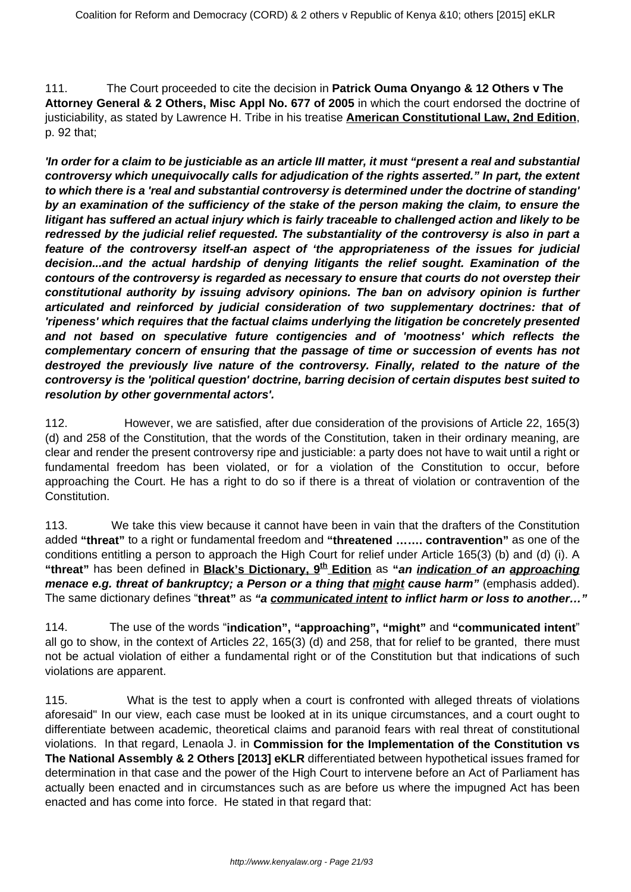111. The Court proceeded to cite the decision in **Patrick Ouma Onyango & 12 Others v The Attorney General & 2 Others, Misc Appl No. 677 of 2005** in which the court endorsed the doctrine of justiciability, as stated by Lawrence H. Tribe in his treatise **American Constitutional Law, 2nd Edition**, p. 92 that;

**'In order for a claim to be justiciable as an article III matter, it must "present a real and substantial controversy which unequivocally calls for adjudication of the rights asserted." In part, the extent to which there is a 'real and substantial controversy is determined under the doctrine of standing' by an examination of the sufficiency of the stake of the person making the claim, to ensure the litigant has suffered an actual injury which is fairly traceable to challenged action and likely to be redressed by the judicial relief requested. The substantiality of the controversy is also in part a feature of the controversy itself-an aspect of 'the appropriateness of the issues for judicial decision...and the actual hardship of denying litigants the relief sought. Examination of the contours of the controversy is regarded as necessary to ensure that courts do not overstep their constitutional authority by issuing advisory opinions. The ban on advisory opinion is further articulated and reinforced by judicial consideration of two supplementary doctrines: that of 'ripeness' which requires that the factual claims underlying the litigation be concretely presented and not based on speculative future contigencies and of 'mootness' which reflects the complementary concern of ensuring that the passage of time or succession of events has not destroyed the previously live nature of the controversy. Finally, related to the nature of the controversy is the 'political question' doctrine, barring decision of certain disputes best suited to resolution by other governmental actors'.**

112. However, we are satisfied, after due consideration of the provisions of Article 22, 165(3) (d) and 258 of the Constitution, that the words of the Constitution, taken in their ordinary meaning, are clear and render the present controversy ripe and justiciable: a party does not have to wait until a right or fundamental freedom has been violated, or for a violation of the Constitution to occur, before approaching the Court. He has a right to do so if there is a threat of violation or contravention of the Constitution.

113. We take this view because it cannot have been in vain that the drafters of the Constitution added **"threat"** to a right or fundamental freedom and **"threatened ……. contravention"** as one of the conditions entitling a person to approach the High Court for relief under Article 165(3) (b) and (d) (i). A **"threat"** has been defined in **Black's Dictionary, 9th Edition** as **"an indication of an approaching menace e.g. threat of bankruptcy; a Person or a thing that might cause harm"** (emphasis added). The same dictionary defines "**threat"** as **"a communicated intent to inflict harm or loss to another…"**

114. The use of the words "**indication", "approaching", "might"** and **"communicated intent**" all go to show, in the context of Articles 22, 165(3) (d) and 258, that for relief to be granted, there must not be actual violation of either a fundamental right or of the Constitution but that indications of such violations are apparent.

115. What is the test to apply when a court is confronted with alleged threats of violations aforesaid" In our view, each case must be looked at in its unique circumstances, and a court ought to differentiate between academic, theoretical claims and paranoid fears with real threat of constitutional violations. In that regard, Lenaola J. in **Commission for the Implementation of the Constitution vs The National Assembly & 2 Others [2013] eKLR** differentiated between hypothetical issues framed for determination in that case and the power of the High Court to intervene before an Act of Parliament has actually been enacted and in circumstances such as are before us where the impugned Act has been enacted and has come into force. He stated in that regard that: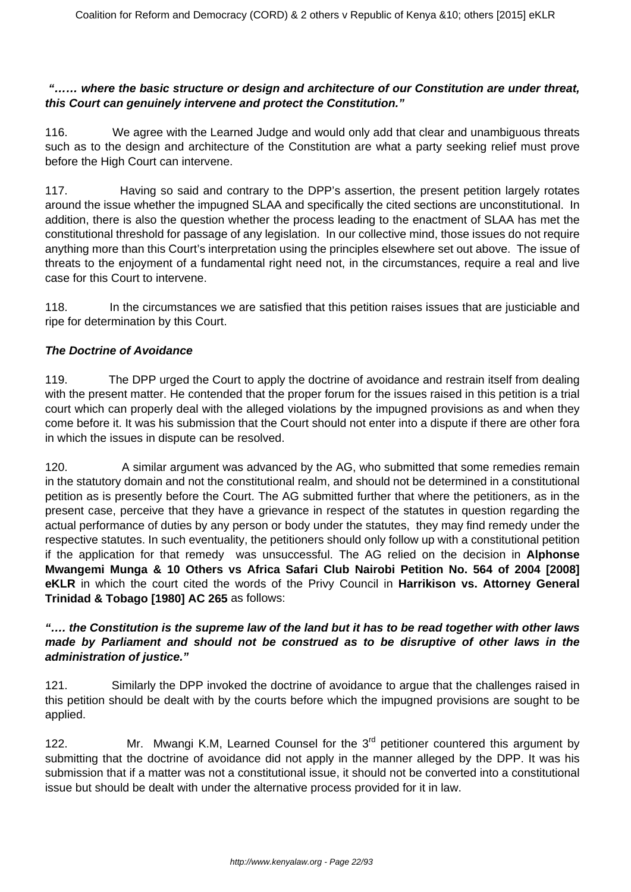## **"…… where the basic structure or design and architecture of our Constitution are under threat, this Court can genuinely intervene and protect the Constitution."**

116. We agree with the Learned Judge and would only add that clear and unambiguous threats such as to the design and architecture of the Constitution are what a party seeking relief must prove before the High Court can intervene.

117. Having so said and contrary to the DPP's assertion, the present petition largely rotates around the issue whether the impugned SLAA and specifically the cited sections are unconstitutional. In addition, there is also the question whether the process leading to the enactment of SLAA has met the constitutional threshold for passage of any legislation. In our collective mind, those issues do not require anything more than this Court's interpretation using the principles elsewhere set out above. The issue of threats to the enjoyment of a fundamental right need not, in the circumstances, require a real and live case for this Court to intervene.

118. In the circumstances we are satisfied that this petition raises issues that are justiciable and ripe for determination by this Court.

# **The Doctrine of Avoidance**

119. The DPP urged the Court to apply the doctrine of avoidance and restrain itself from dealing with the present matter. He contended that the proper forum for the issues raised in this petition is a trial court which can properly deal with the alleged violations by the impugned provisions as and when they come before it. It was his submission that the Court should not enter into a dispute if there are other fora in which the issues in dispute can be resolved.

120. A similar argument was advanced by the AG, who submitted that some remedies remain in the statutory domain and not the constitutional realm, and should not be determined in a constitutional petition as is presently before the Court. The AG submitted further that where the petitioners, as in the present case, perceive that they have a grievance in respect of the statutes in question regarding the actual performance of duties by any person or body under the statutes, they may find remedy under the respective statutes. In such eventuality, the petitioners should only follow up with a constitutional petition if the application for that remedy was unsuccessful. The AG relied on the decision in **Alphonse Mwangemi Munga & 10 Others vs Africa Safari Club Nairobi Petition No. 564 of 2004 [2008] eKLR** in which the court cited the words of the Privy Council in **Harrikison vs. Attorney General Trinidad & Tobago [1980] AC 265** as follows:

# **"…. the Constitution is the supreme law of the land but it has to be read together with other laws made by Parliament and should not be construed as to be disruptive of other laws in the administration of justice."**

121. Similarly the DPP invoked the doctrine of avoidance to argue that the challenges raised in this petition should be dealt with by the courts before which the impugned provisions are sought to be applied.

122. Mr. Mwangi K.M, Learned Counsel for the  $3<sup>rd</sup>$  petitioner countered this argument by submitting that the doctrine of avoidance did not apply in the manner alleged by the DPP. It was his submission that if a matter was not a constitutional issue, it should not be converted into a constitutional issue but should be dealt with under the alternative process provided for it in law.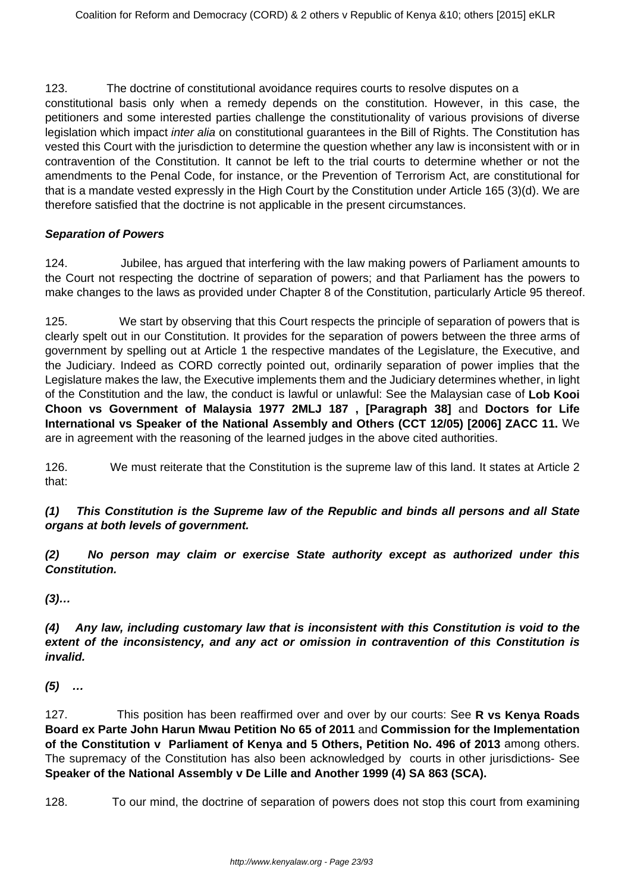123. The doctrine of constitutional avoidance requires courts to resolve disputes on a constitutional basis only when a remedy depends on the constitution. However, in this case, the petitioners and some interested parties challenge the constitutionality of various provisions of diverse legislation which impact *inter alia* on constitutional guarantees in the Bill of Rights. The Constitution has vested this Court with the jurisdiction to determine the question whether any law is inconsistent with or in contravention of the Constitution. It cannot be left to the trial courts to determine whether or not the amendments to the Penal Code, for instance, or the Prevention of Terrorism Act, are constitutional for that is a mandate vested expressly in the High Court by the Constitution under Article 165 (3)(d). We are therefore satisfied that the doctrine is not applicable in the present circumstances.

#### **Separation of Powers**

124. Jubilee, has argued that interfering with the law making powers of Parliament amounts to the Court not respecting the doctrine of separation of powers; and that Parliament has the powers to make changes to the laws as provided under Chapter 8 of the Constitution, particularly Article 95 thereof.

125. We start by observing that this Court respects the principle of separation of powers that is clearly spelt out in our Constitution. It provides for the separation of powers between the three arms of government by spelling out at Article 1 the respective mandates of the Legislature, the Executive, and the Judiciary. Indeed as CORD correctly pointed out, ordinarily separation of power implies that the Legislature makes the law, the Executive implements them and the Judiciary determines whether, in light of the Constitution and the law, the conduct is lawful or unlawful: See the Malaysian case of **Lob Kooi Choon vs Government of Malaysia 1977 2MLJ 187 , [Paragraph 38]** and **Doctors for Life International vs Speaker of the National Assembly and Others (CCT 12/05) [2006] ZACC 11.** We are in agreement with the reasoning of the learned judges in the above cited authorities.

126. We must reiterate that the Constitution is the supreme law of this land. It states at Article 2 that:

## **(1) This Constitution is the Supreme law of the Republic and binds all persons and all State organs at both levels of government.**

**(2) No person may claim or exercise State authority except as authorized under this Constitution.**

**(3)…**

# **(4) Any law, including customary law that is inconsistent with this Constitution is void to the extent of the inconsistency, and any act or omission in contravention of this Constitution is invalid.**

**(5) …**

127. This position has been reaffirmed over and over by our courts: See **R vs Kenya Roads Board ex Parte John Harun Mwau Petition No 65 of 2011** and **Commission for the Implementation of the Constitution v Parliament of Kenya and 5 Others, Petition No. 496 of 2013** among others. The supremacy of the Constitution has also been acknowledged by courts in other jurisdictions- See **Speaker of the National Assembly v De Lille and Another 1999 (4) SA 863 (SCA).**

128. To our mind, the doctrine of separation of powers does not stop this court from examining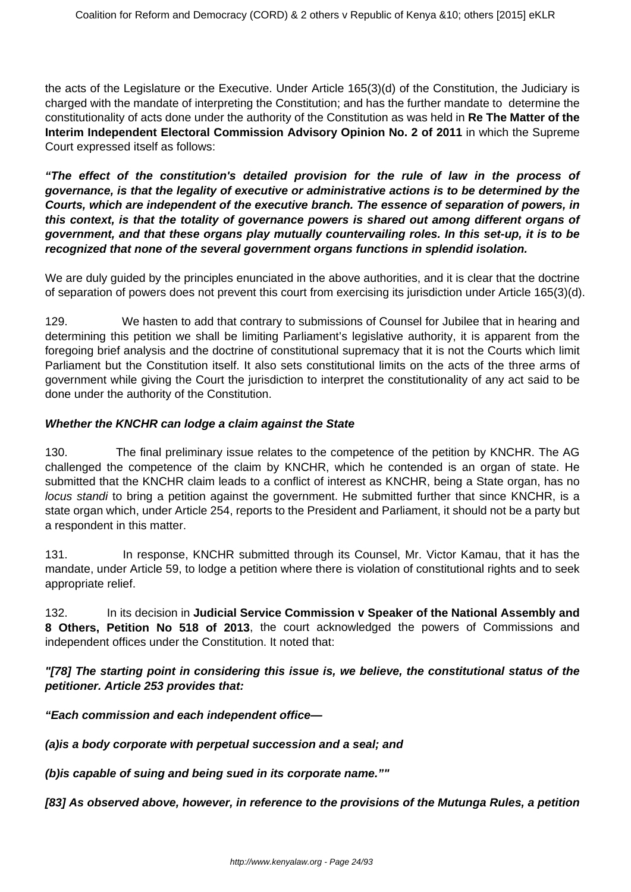the acts of the Legislature or the Executive. Under Article 165(3)(d) of the Constitution, the Judiciary is charged with the mandate of interpreting the Constitution; and has the further mandate to determine the constitutionality of acts done under the authority of the Constitution as was held in **Re The Matter of the Interim Independent Electoral Commission Advisory Opinion No. 2 of 2011** in which the Supreme Court expressed itself as follows:

**"The effect of the constitution's detailed provision for the rule of law in the process of governance, is that the legality of executive or administrative actions is to be determined by the Courts, which are independent of the executive branch. The essence of separation of powers, in this context, is that the totality of governance powers is shared out among different organs of government, and that these organs play mutually countervailing roles. In this set-up, it is to be recognized that none of the several government organs functions in splendid isolation.**

We are duly guided by the principles enunciated in the above authorities, and it is clear that the doctrine of separation of powers does not prevent this court from exercising its jurisdiction under Article 165(3)(d).

129. We hasten to add that contrary to submissions of Counsel for Jubilee that in hearing and determining this petition we shall be limiting Parliament's legislative authority, it is apparent from the foregoing brief analysis and the doctrine of constitutional supremacy that it is not the Courts which limit Parliament but the Constitution itself. It also sets constitutional limits on the acts of the three arms of government while giving the Court the jurisdiction to interpret the constitutionality of any act said to be done under the authority of the Constitution.

## **Whether the KNCHR can lodge a claim against the State**

130. The final preliminary issue relates to the competence of the petition by KNCHR. The AG challenged the competence of the claim by KNCHR, which he contended is an organ of state. He submitted that the KNCHR claim leads to a conflict of interest as KNCHR, being a State organ, has no locus standi to bring a petition against the government. He submitted further that since KNCHR, is a state organ which, under Article 254, reports to the President and Parliament, it should not be a party but a respondent in this matter.

131. In response, KNCHR submitted through its Counsel, Mr. Victor Kamau, that it has the mandate, under Article 59, to lodge a petition where there is violation of constitutional rights and to seek appropriate relief.

132. In its decision in **Judicial Service Commission v Speaker of the National Assembly and 8 Others, Petition No 518 of 2013**, the court acknowledged the powers of Commissions and independent offices under the Constitution. It noted that:

**"[78] The starting point in considering this issue is, we believe, the constitutional status of the petitioner. Article 253 provides that:**

**"Each commission and each independent office—**

**(a)is a body corporate with perpetual succession and a seal; and**

**(b)is capable of suing and being sued in its corporate name.""**

**[83] As observed above, however, in reference to the provisions of the Mutunga Rules, a petition**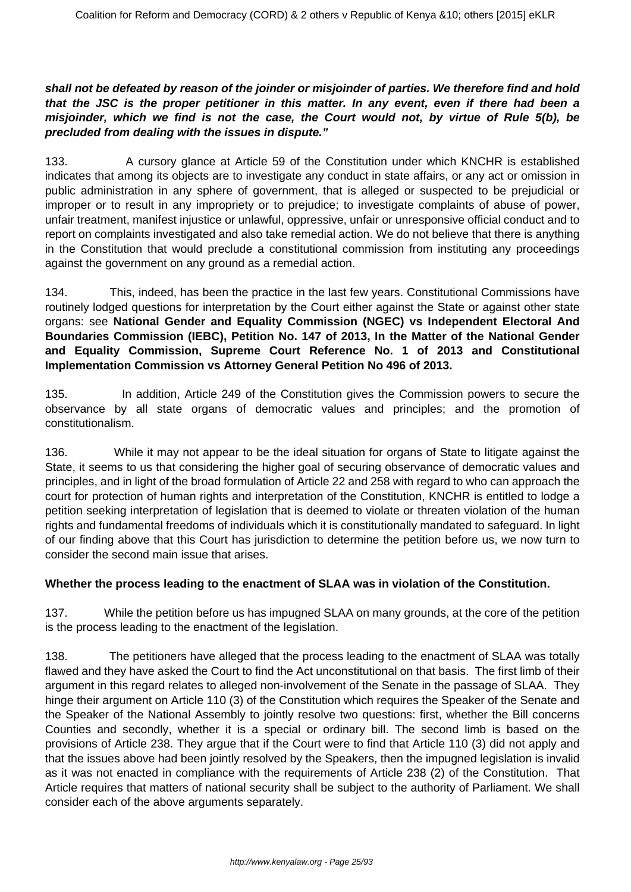## **shall not be defeated by reason of the joinder or misjoinder of parties. We therefore find and hold that the JSC is the proper petitioner in this matter. In any event, even if there had been a misjoinder, which we find is not the case, the Court would not, by virtue of Rule 5(b), be precluded from dealing with the issues in dispute."**

133. A cursory glance at Article 59 of the Constitution under which KNCHR is established indicates that among its objects are to investigate any conduct in state affairs, or any act or omission in public administration in any sphere of government, that is alleged or suspected to be prejudicial or improper or to result in any impropriety or to prejudice; to investigate complaints of abuse of power, unfair treatment, manifest injustice or unlawful, oppressive, unfair or unresponsive official conduct and to report on complaints investigated and also take remedial action. We do not believe that there is anything in the Constitution that would preclude a constitutional commission from instituting any proceedings against the government on any ground as a remedial action.

134. This, indeed, has been the practice in the last few years. Constitutional Commissions have routinely lodged questions for interpretation by the Court either against the State or against other state organs: see **National Gender and Equality Commission (NGEC) vs Independent Electoral And Boundaries Commission (IEBC), Petition No. 147 of 2013, In the Matter of the National Gender and Equality Commission, Supreme Court Reference No. 1 of 2013 and Constitutional Implementation Commission vs Attorney General Petition No 496 of 2013.**

135. In addition, Article 249 of the Constitution gives the Commission powers to secure the observance by all state organs of democratic values and principles; and the promotion of constitutionalism.

136. While it may not appear to be the ideal situation for organs of State to litigate against the State, it seems to us that considering the higher goal of securing observance of democratic values and principles, and in light of the broad formulation of Article 22 and 258 with regard to who can approach the court for protection of human rights and interpretation of the Constitution, KNCHR is entitled to lodge a petition seeking interpretation of legislation that is deemed to violate or threaten violation of the human rights and fundamental freedoms of individuals which it is constitutionally mandated to safeguard. In light of our finding above that this Court has jurisdiction to determine the petition before us, we now turn to consider the second main issue that arises.

#### **Whether the process leading to the enactment of SLAA was in violation of the Constitution.**

137. While the petition before us has impugned SLAA on many grounds, at the core of the petition is the process leading to the enactment of the legislation.

138. The petitioners have alleged that the process leading to the enactment of SLAA was totally flawed and they have asked the Court to find the Act unconstitutional on that basis. The first limb of their argument in this regard relates to alleged non-involvement of the Senate in the passage of SLAA. They hinge their argument on Article 110 (3) of the Constitution which requires the Speaker of the Senate and the Speaker of the National Assembly to jointly resolve two questions: first, whether the Bill concerns Counties and secondly, whether it is a special or ordinary bill. The second limb is based on the provisions of Article 238. They argue that if the Court were to find that Article 110 (3) did not apply and that the issues above had been jointly resolved by the Speakers, then the impugned legislation is invalid as it was not enacted in compliance with the requirements of Article 238 (2) of the Constitution. That Article requires that matters of national security shall be subject to the authority of Parliament. We shall consider each of the above arguments separately.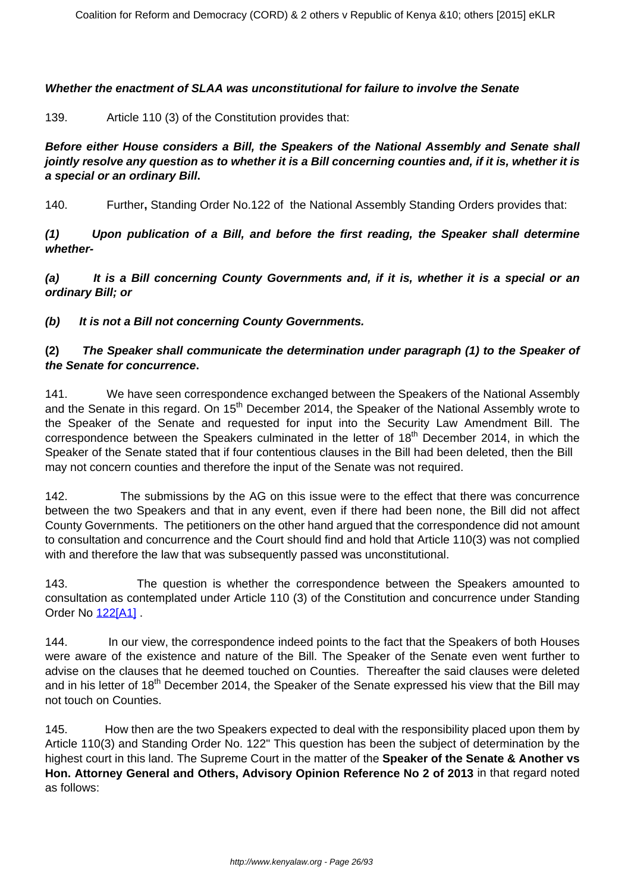#### **Whether the enactment of SLAA was unconstitutional for failure to involve the Senate**

139. Article 110 (3) of the Constitution provides that:

**Before either House considers a Bill, the Speakers of the National Assembly and Senate shall jointly resolve any question as to whether it is a Bill concerning counties and, if it is, whether it is a special or an ordinary Bill.**

140. Further**,** Standing Order No.122 of the National Assembly Standing Orders provides that:

**(1) Upon publication of a Bill, and before the first reading, the Speaker shall determine whether-**

**(a) It is a Bill concerning County Governments and, if it is, whether it is a special or an ordinary Bill; or**

**(b) It is not a Bill not concerning County Governments.**

#### **(2) The Speaker shall communicate the determination under paragraph (1) to the Speaker of the Senate for concurrence.**

141. We have seen correspondence exchanged between the Speakers of the National Assembly and the Senate in this regard. On 15<sup>th</sup> December 2014, the Speaker of the National Assembly wrote to the Speaker of the Senate and requested for input into the Security Law Amendment Bill. The correspondence between the Speakers culminated in the letter of 18<sup>th</sup> December 2014, in which the Speaker of the Senate stated that if four contentious clauses in the Bill had been deleted, then the Bill may not concern counties and therefore the input of the Senate was not required.

142. The submissions by the AG on this issue were to the effect that there was concurrence between the two Speakers and that in any event, even if there had been none, the Bill did not affect County Governments. The petitioners on the other hand argued that the correspondence did not amount to consultation and concurrence and the Court should find and hold that Article 110(3) was not complied with and therefore the law that was subsequently passed was unconstitutional.

143. The question is whether the correspondence between the Speakers amounted to consultation as contemplated under Article 110 (3) of the Constitution and concurrence under Standing Order No **12[2\[A1\]](file:///C:/Users/Musa/Downloads/SECURITY_LAW_AMENDMNET_ACT_JUDGMENT%20(1).doc#_msocom_1)** .

144. In our view, the correspondence indeed points to the fact that the Speakers of both Houses were aware of the existence and nature of the Bill. The Speaker of the Senate even went further to advise on the clauses that he deemed touched on Counties. Thereafter the said clauses were deleted and in his letter of 18<sup>th</sup> December 2014, the Speaker of the Senate expressed his view that the Bill may not touch on Counties.

145. How then are the two Speakers expected to deal with the responsibility placed upon them by Article 110(3) and Standing Order No. 122" This question has been the subject of determination by the highest court in this land. The Supreme Court in the matter of the **Speaker of the Senate & Another vs Hon. Attorney General and Others, Advisory Opinion Reference No 2 of 2013** in that regard noted as follows: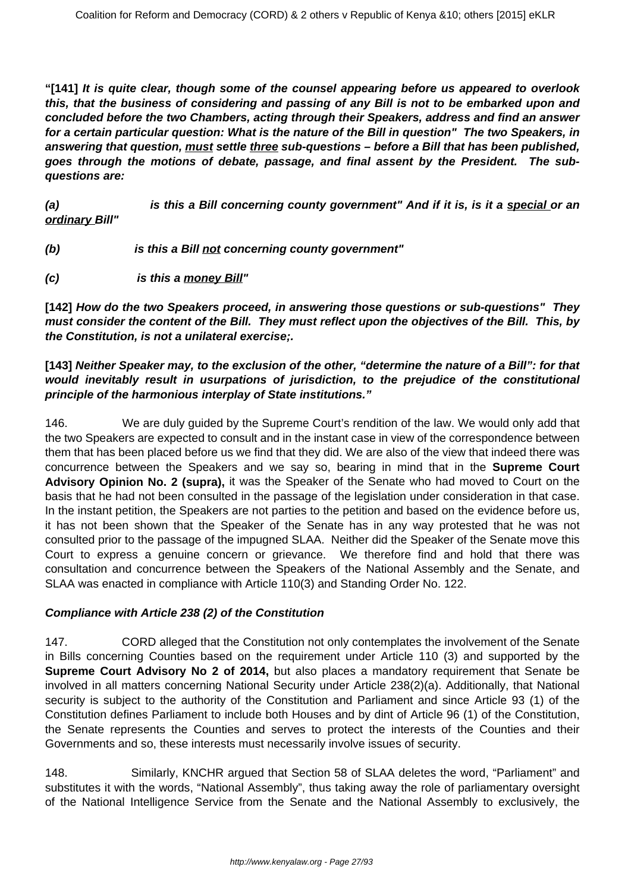**"[141] It is quite clear, though some of the counsel appearing before us appeared to overlook this, that the business of considering and passing of any Bill is not to be embarked upon and concluded before the two Chambers, acting through their Speakers, address and find an answer for a certain particular question: What is the nature of the Bill in question" The two Speakers, in answering that question, must settle three sub-questions – before a Bill that has been published, goes through the motions of debate, passage, and final assent by the President. The subquestions are:**

**(a) is this a Bill concerning county government" And if it is, is it a special or an ordinary Bill"**

- **(b) is this a Bill not concerning county government"**
- **(c) is this a money Bill"**

**[142] How do the two Speakers proceed, in answering those questions or sub-questions" They must consider the content of the Bill. They must reflect upon the objectives of the Bill. This, by the Constitution, is not a unilateral exercise;.**

## **[143] Neither Speaker may, to the exclusion of the other, "determine the nature of a Bill": for that would inevitably result in usurpations of jurisdiction, to the prejudice of the constitutional principle of the harmonious interplay of State institutions."**

146. We are duly guided by the Supreme Court's rendition of the law. We would only add that the two Speakers are expected to consult and in the instant case in view of the correspondence between them that has been placed before us we find that they did. We are also of the view that indeed there was concurrence between the Speakers and we say so, bearing in mind that in the **Supreme Court Advisory Opinion No. 2 (supra),** it was the Speaker of the Senate who had moved to Court on the basis that he had not been consulted in the passage of the legislation under consideration in that case. In the instant petition, the Speakers are not parties to the petition and based on the evidence before us, it has not been shown that the Speaker of the Senate has in any way protested that he was not consulted prior to the passage of the impugned SLAA. Neither did the Speaker of the Senate move this Court to express a genuine concern or grievance. We therefore find and hold that there was consultation and concurrence between the Speakers of the National Assembly and the Senate, and SLAA was enacted in compliance with Article 110(3) and Standing Order No. 122.

# **Compliance with Article 238 (2) of the Constitution**

147. CORD alleged that the Constitution not only contemplates the involvement of the Senate in Bills concerning Counties based on the requirement under Article 110 (3) and supported by the **Supreme Court Advisory No 2 of 2014,** but also places a mandatory requirement that Senate be involved in all matters concerning National Security under Article 238(2)(a). Additionally, that National security is subject to the authority of the Constitution and Parliament and since Article 93 (1) of the Constitution defines Parliament to include both Houses and by dint of Article 96 (1) of the Constitution, the Senate represents the Counties and serves to protect the interests of the Counties and their Governments and so, these interests must necessarily involve issues of security.

148. Similarly, KNCHR argued that Section 58 of SLAA deletes the word, "Parliament" and substitutes it with the words, "National Assembly", thus taking away the role of parliamentary oversight of the National Intelligence Service from the Senate and the National Assembly to exclusively, the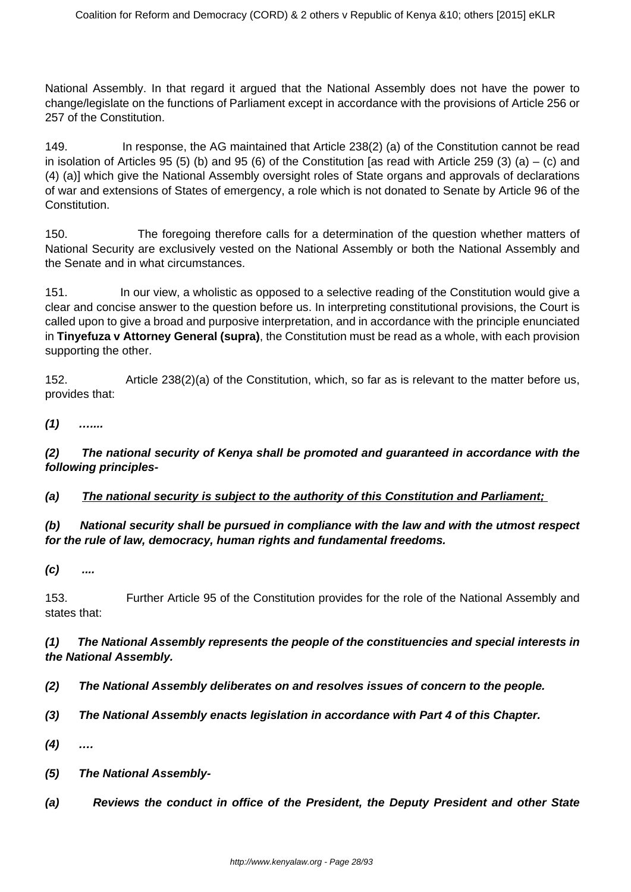National Assembly. In that regard it argued that the National Assembly does not have the power to change/legislate on the functions of Parliament except in accordance with the provisions of Article 256 or 257 of the Constitution.

149. In response, the AG maintained that Article 238(2) (a) of the Constitution cannot be read in isolation of Articles 95 (5) (b) and 95 (6) of the Constitution [as read with Article 259 (3) (a) – (c) and (4) (a)] which give the National Assembly oversight roles of State organs and approvals of declarations of war and extensions of States of emergency, a role which is not donated to Senate by Article 96 of the Constitution.

150. The foregoing therefore calls for a determination of the question whether matters of National Security are exclusively vested on the National Assembly or both the National Assembly and the Senate and in what circumstances.

151. In our view, a wholistic as opposed to a selective reading of the Constitution would give a clear and concise answer to the question before us. In interpreting constitutional provisions, the Court is called upon to give a broad and purposive interpretation, and in accordance with the principle enunciated in **Tinyefuza v Attorney General (supra)**, the Constitution must be read as a whole, with each provision supporting the other.

152. Article 238(2)(a) of the Constitution, which, so far as is relevant to the matter before us, provides that:

**(1) …....**

**(2) The national security of Kenya shall be promoted and guaranteed in accordance with the following principles-**

**(a) The national security is subject to the authority of this Constitution and Parliament;** 

# **(b) National security shall be pursued in compliance with the law and with the utmost respect for the rule of law, democracy, human rights and fundamental freedoms.**

**(c) ....**

153. Further Article 95 of the Constitution provides for the role of the National Assembly and states that:

## **(1) The National Assembly represents the people of the constituencies and special interests in the National Assembly.**

- **(2) The National Assembly deliberates on and resolves issues of concern to the people.**
- **(3) The National Assembly enacts legislation in accordance with Part 4 of this Chapter.**
- **(4) ….**
- **(5) The National Assembly-**
- **(a) Reviews the conduct in office of the President, the Deputy President and other State**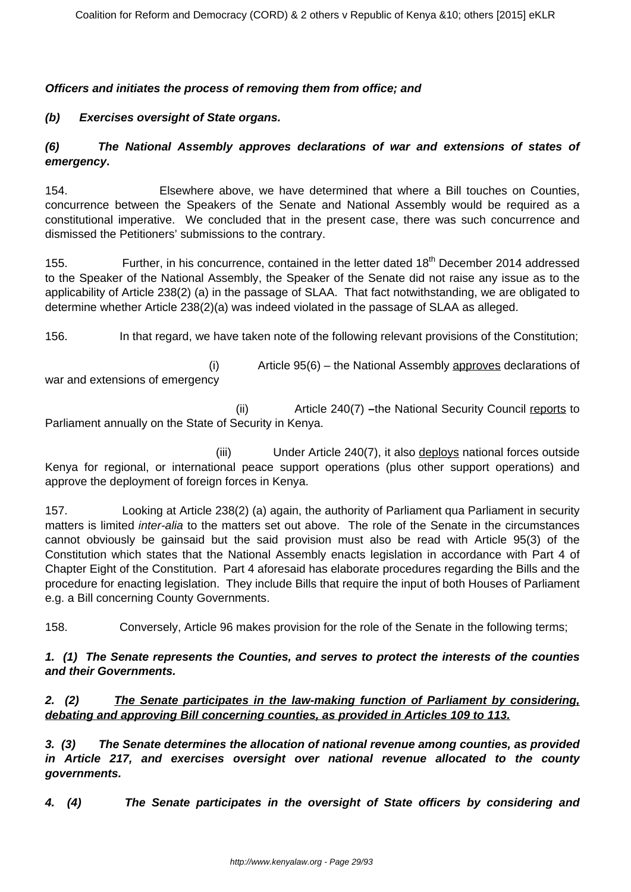#### **Officers and initiates the process of removing them from office; and**

## **(b) Exercises oversight of State organs.**

## **(6) The National Assembly approves declarations of war and extensions of states of emergency.**

154. Elsewhere above, we have determined that where a Bill touches on Counties, concurrence between the Speakers of the Senate and National Assembly would be required as a constitutional imperative. We concluded that in the present case, there was such concurrence and dismissed the Petitioners' submissions to the contrary.

155. Further, in his concurrence, contained in the letter dated 18<sup>th</sup> December 2014 addressed to the Speaker of the National Assembly, the Speaker of the Senate did not raise any issue as to the applicability of Article 238(2) (a) in the passage of SLAA. That fact notwithstanding, we are obligated to determine whether Article 238(2)(a) was indeed violated in the passage of SLAA as alleged.

156. In that regard, we have taken note of the following relevant provisions of the Constitution;

war and extensions of emergency

(i) Article 95(6) – the National Assembly approves declarations of

 (ii) Article 240(7) **–**the National Security Council reports to Parliament annually on the State of Security in Kenya.

(iii) Under Article 240(7), it also deploys national forces outside Kenya for regional, or international peace support operations (plus other support operations) and approve the deployment of foreign forces in Kenya.

157. Looking at Article 238(2) (a) again, the authority of Parliament qua Parliament in security matters is limited inter-alia to the matters set out above. The role of the Senate in the circumstances cannot obviously be gainsaid but the said provision must also be read with Article 95(3) of the Constitution which states that the National Assembly enacts legislation in accordance with Part 4 of Chapter Eight of the Constitution. Part 4 aforesaid has elaborate procedures regarding the Bills and the procedure for enacting legislation. They include Bills that require the input of both Houses of Parliament e.g. a Bill concerning County Governments.

158. Conversely, Article 96 makes provision for the role of the Senate in the following terms;

#### **1. (1) The Senate represents the Counties, and serves to protect the interests of the counties and their Governments.**

## **2. (2) The Senate participates in the law-making function of Parliament by considering, debating and approving Bill concerning counties, as provided in Articles 109 to 113.**

**3. (3) The Senate determines the allocation of national revenue among counties, as provided in Article 217, and exercises oversight over national revenue allocated to the county governments.**

**4. (4) The Senate participates in the oversight of State officers by considering and**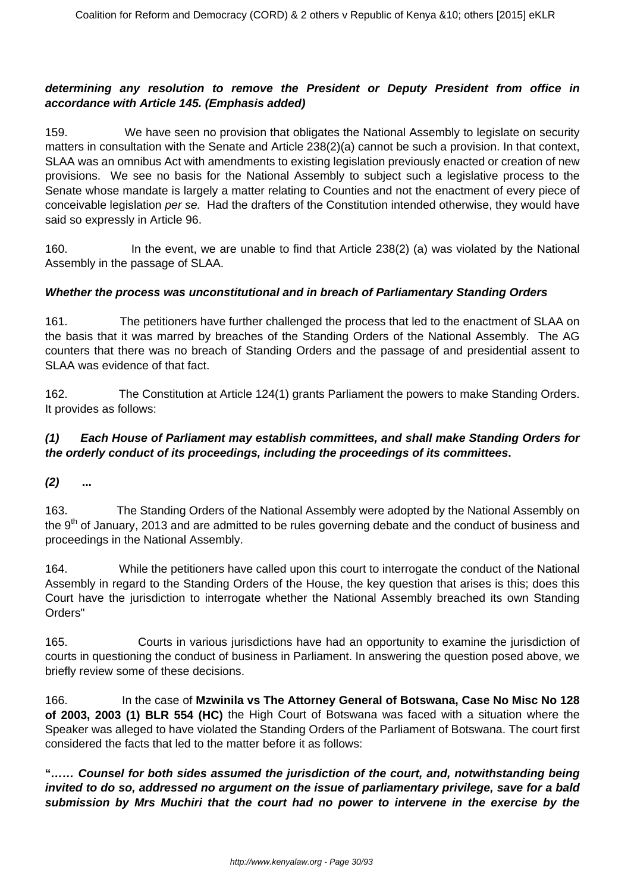## **determining any resolution to remove the President or Deputy President from office in accordance with Article 145. (Emphasis added)**

159. We have seen no provision that obligates the National Assembly to legislate on security matters in consultation with the Senate and Article 238(2)(a) cannot be such a provision. In that context, SLAA was an omnibus Act with amendments to existing legislation previously enacted or creation of new provisions. We see no basis for the National Assembly to subject such a legislative process to the Senate whose mandate is largely a matter relating to Counties and not the enactment of every piece of conceivable legislation per se. Had the drafters of the Constitution intended otherwise, they would have said so expressly in Article 96.

160. In the event, we are unable to find that Article 238(2) (a) was violated by the National Assembly in the passage of SLAA.

## **Whether the process was unconstitutional and in breach of Parliamentary Standing Orders**

161. The petitioners have further challenged the process that led to the enactment of SLAA on the basis that it was marred by breaches of the Standing Orders of the National Assembly. The AG counters that there was no breach of Standing Orders and the passage of and presidential assent to SLAA was evidence of that fact.

162. The Constitution at Article 124(1) grants Parliament the powers to make Standing Orders. It provides as follows:

#### **(1) Each House of Parliament may establish committees, and shall make Standing Orders for the orderly conduct of its proceedings, including the proceedings of its committees.**

**(2) ...**

163. The Standing Orders of the National Assembly were adopted by the National Assembly on the 9<sup>th</sup> of January, 2013 and are admitted to be rules governing debate and the conduct of business and proceedings in the National Assembly.

164. While the petitioners have called upon this court to interrogate the conduct of the National Assembly in regard to the Standing Orders of the House, the key question that arises is this; does this Court have the jurisdiction to interrogate whether the National Assembly breached its own Standing Orders"

165. Courts in various jurisdictions have had an opportunity to examine the jurisdiction of courts in questioning the conduct of business in Parliament. In answering the question posed above, we briefly review some of these decisions.

166. In the case of **Mzwinila vs The Attorney General of Botswana, Case No Misc No 128 of 2003, 2003 (1) BLR 554 (HC)** the High Court of Botswana was faced with a situation where the Speaker was alleged to have violated the Standing Orders of the Parliament of Botswana. The court first considered the facts that led to the matter before it as follows:

**"…… Counsel for both sides assumed the jurisdiction of the court, and, notwithstanding being invited to do so, addressed no argument on the issue of parliamentary privilege, save for a bald submission by Mrs Muchiri that the court had no power to intervene in the exercise by the**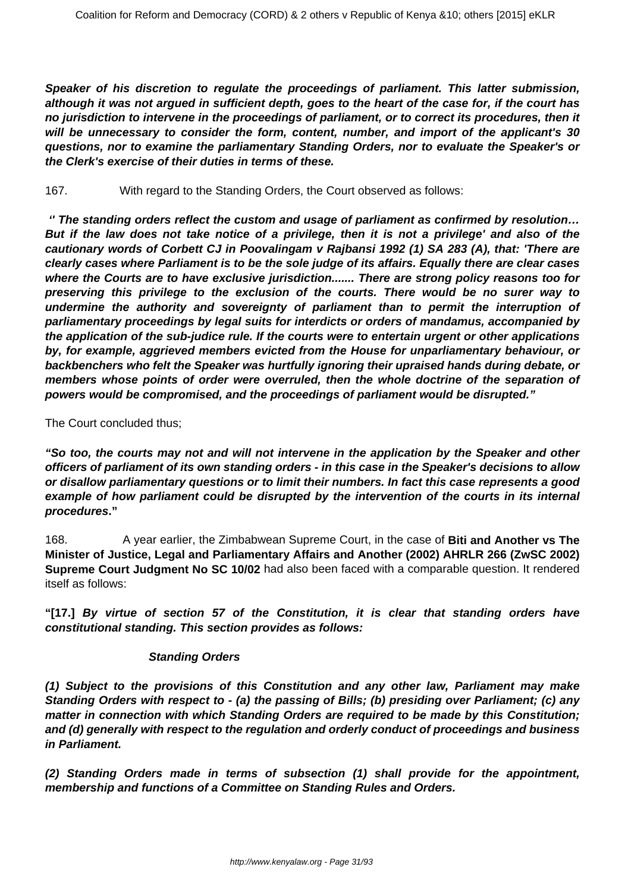**Speaker of his discretion to regulate the proceedings of parliament. This latter submission, although it was not argued in sufficient depth, goes to the heart of the case for, if the court has no jurisdiction to intervene in the proceedings of parliament, or to correct its procedures, then it will be unnecessary to consider the form, content, number, and import of the applicant's 30 questions, nor to examine the parliamentary Standing Orders, nor to evaluate the Speaker's or the Clerk's exercise of their duties in terms of these.**

167. With regard to the Standing Orders, the Court observed as follows:

**'' The standing orders reflect the custom and usage of parliament as confirmed by resolution… But if the law does not take notice of a privilege, then it is not a privilege' and also of the cautionary words of Corbett CJ in Poovalingam v Rajbansi 1992 (1) SA 283 (A), that: 'There are clearly cases where Parliament is to be the sole judge of its affairs. Equally there are clear cases where the Courts are to have exclusive jurisdiction....... There are strong policy reasons too for preserving this privilege to the exclusion of the courts. There would be no surer way to undermine the authority and sovereignty of parliament than to permit the interruption of parliamentary proceedings by legal suits for interdicts or orders of mandamus, accompanied by the application of the sub-judice rule. If the courts were to entertain urgent or other applications by, for example, aggrieved members evicted from the House for unparliamentary behaviour, or backbenchers who felt the Speaker was hurtfully ignoring their upraised hands during debate, or members whose points of order were overruled, then the whole doctrine of the separation of powers would be compromised, and the proceedings of parliament would be disrupted."**

The Court concluded thus;

**"So too, the courts may not and will not intervene in the application by the Speaker and other officers of parliament of its own standing orders - in this case in the Speaker's decisions to allow or disallow parliamentary questions or to limit their numbers. In fact this case represents a good example of how parliament could be disrupted by the intervention of the courts in its internal procedures."**

168. A year earlier, the Zimbabwean Supreme Court, in the case of **Biti and Another vs The Minister of Justice, Legal and Parliamentary Affairs and Another (2002) AHRLR 266 (ZwSC 2002) Supreme Court Judgment No SC 10/02** had also been faced with a comparable question. It rendered itself as follows:

**"[17.] By virtue of section 57 of the Constitution, it is clear that standing orders have constitutional standing. This section provides as follows:**

# **Standing Orders**

**(1) Subject to the provisions of this Constitution and any other law, Parliament may make Standing Orders with respect to - (a) the passing of Bills; (b) presiding over Parliament; (c) any matter in connection with which Standing Orders are required to be made by this Constitution; and (d) generally with respect to the regulation and orderly conduct of proceedings and business in Parliament.**

**(2) Standing Orders made in terms of subsection (1) shall provide for the appointment, membership and functions of a Committee on Standing Rules and Orders.**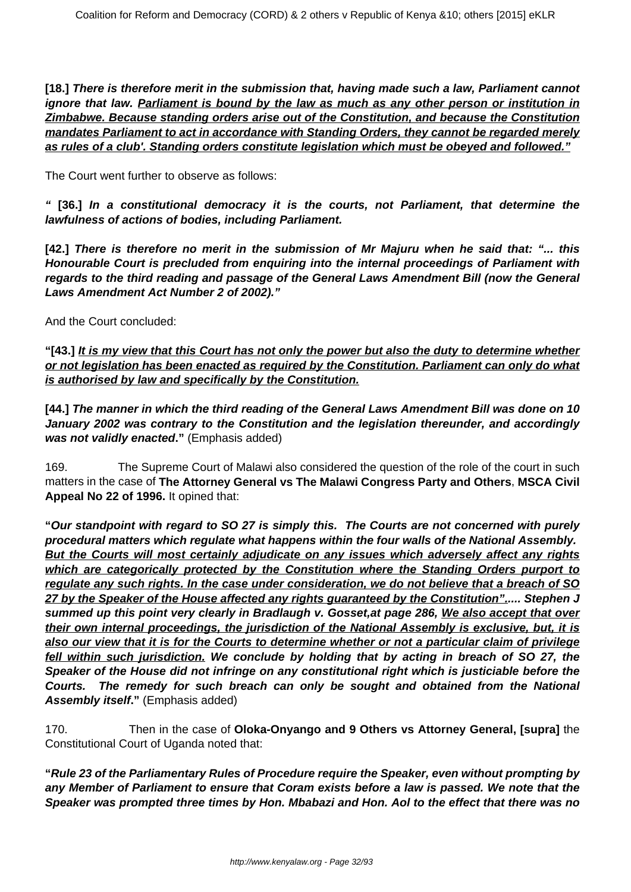**[18.] There is therefore merit in the submission that, having made such a law, Parliament cannot ignore that law. Parliament is bound by the law as much as any other person or institution in Zimbabwe. Because standing orders arise out of the Constitution, and because the Constitution mandates Parliament to act in accordance with Standing Orders, they cannot be regarded merely as rules of a club'. Standing orders constitute legislation which must be obeyed and followed."**

The Court went further to observe as follows:

**" [36.] In a constitutional democracy it is the courts, not Parliament, that determine the lawfulness of actions of bodies, including Parliament.**

**[42.] There is therefore no merit in the submission of Mr Majuru when he said that: "... this Honourable Court is precluded from enquiring into the internal proceedings of Parliament with regards to the third reading and passage of the General Laws Amendment Bill (now the General Laws Amendment Act Number 2 of 2002)."**

And the Court concluded:

**"[43.] It is my view that this Court has not only the power but also the duty to determine whether or not legislation has been enacted as required by the Constitution. Parliament can only do what is authorised by law and specifically by the Constitution.**

**[44.] The manner in which the third reading of the General Laws Amendment Bill was done on 10 January 2002 was contrary to the Constitution and the legislation thereunder, and accordingly was not validly enacted."** (Emphasis added)

169. The Supreme Court of Malawi also considered the question of the role of the court in such matters in the case of **The Attorney General vs The Malawi Congress Party and Others**, **MSCA Civil Appeal No 22 of 1996.** It opined that:

**"Our standpoint with regard to SO 27 is simply this. The Courts are not concerned with purely procedural matters which regulate what happens within the four walls of the National Assembly. But the Courts will most certainly adjudicate on any issues which adversely affect any rights which are categorically protected by the Constitution where the Standing Orders purport to regulate any such rights. In the case under consideration, we do not believe that a breach of SO 27 by the Speaker of the House affected any rights guaranteed by the Constitution"..... Stephen J summed up this point very clearly in Bradlaugh v. Gosset,at page 286, We also accept that over their own internal proceedings, the jurisdiction of the National Assembly is exclusive, but, it is also our view that it is for the Courts to determine whether or not a particular claim of privilege fell within such jurisdiction. We conclude by holding that by acting in breach of SO 27, the Speaker of the House did not infringe on any constitutional right which is justiciable before the Courts. The remedy for such breach can only be sought and obtained from the National Assembly itself."** (Emphasis added)

170. Then in the case of **Oloka-Onyango and 9 Others vs Attorney General, [supra]** the Constitutional Court of Uganda noted that:

**"Rule 23 of the Parliamentary Rules of Procedure require the Speaker, even without prompting by any Member of Parliament to ensure that Coram exists before a law is passed. We note that the Speaker was prompted three times by Hon. Mbabazi and Hon. Aol to the effect that there was no**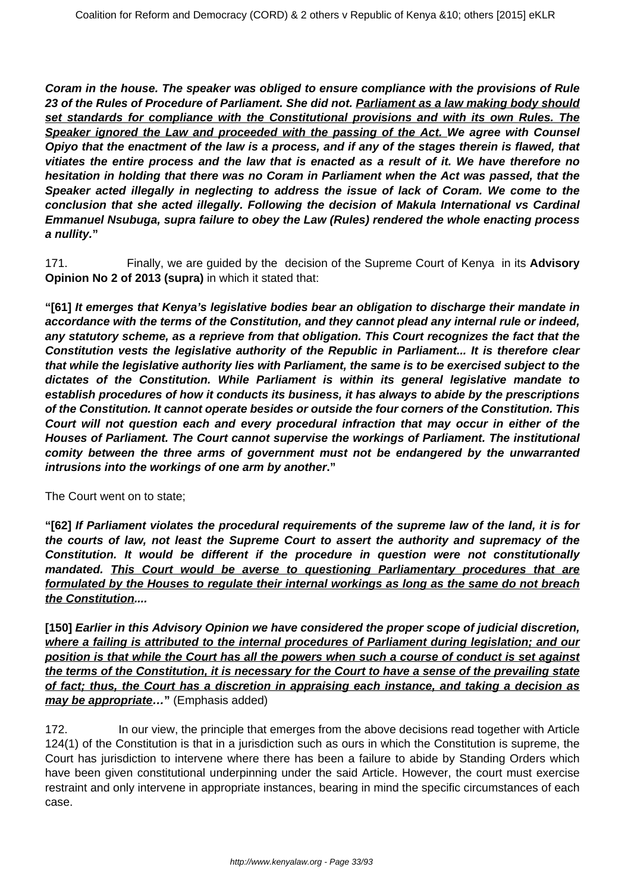**Coram in the house. The speaker was obliged to ensure compliance with the provisions of Rule 23 of the Rules of Procedure of Parliament. She did not. Parliament as a law making body should set standards for compliance with the Constitutional provisions and with its own Rules. The Speaker ignored the Law and proceeded with the passing of the Act. We agree with Counsel Opiyo that the enactment of the law is a process, and if any of the stages therein is flawed, that vitiates the entire process and the law that is enacted as a result of it. We have therefore no hesitation in holding that there was no Coram in Parliament when the Act was passed, that the Speaker acted illegally in neglecting to address the issue of lack of Coram. We come to the conclusion that she acted illegally. Following the decision of Makula International vs Cardinal Emmanuel Nsubuga, supra failure to obey the Law (Rules) rendered the whole enacting process a nullity."**

171. Finally, we are guided by the decision of the Supreme Court of Kenya in its **Advisory Opinion No 2 of 2013 (supra)** in which it stated that:

**"[61] It emerges that Kenya's legislative bodies bear an obligation to discharge their mandate in accordance with the terms of the Constitution, and they cannot plead any internal rule or indeed, any statutory scheme, as a reprieve from that obligation. This Court recognizes the fact that the Constitution vests the legislative authority of the Republic in Parliament... It is therefore clear that while the legislative authority lies with Parliament, the same is to be exercised subject to the dictates of the Constitution. While Parliament is within its general legislative mandate to establish procedures of how it conducts its business, it has always to abide by the prescriptions of the Constitution. It cannot operate besides or outside the four corners of the Constitution. This Court will not question each and every procedural infraction that may occur in either of the Houses of Parliament. The Court cannot supervise the workings of Parliament. The institutional comity between the three arms of government must not be endangered by the unwarranted intrusions into the workings of one arm by another."**

The Court went on to state;

**"[62] If Parliament violates the procedural requirements of the supreme law of the land, it is for the courts of law, not least the Supreme Court to assert the authority and supremacy of the Constitution. It would be different if the procedure in question were not constitutionally mandated. This Court would be averse to questioning Parliamentary procedures that are formulated by the Houses to regulate their internal workings as long as the same do not breach the Constitution....**

**[150] Earlier in this Advisory Opinion we have considered the proper scope of judicial discretion, where a failing is attributed to the internal procedures of Parliament during legislation; and our position is that while the Court has all the powers when such a course of conduct is set against the terms of the Constitution, it is necessary for the Court to have a sense of the prevailing state of fact; thus, the Court has a discretion in appraising each instance, and taking a decision as may be appropriate…"** (Emphasis added)

172. In our view, the principle that emerges from the above decisions read together with Article 124(1) of the Constitution is that in a jurisdiction such as ours in which the Constitution is supreme, the Court has jurisdiction to intervene where there has been a failure to abide by Standing Orders which have been given constitutional underpinning under the said Article. However, the court must exercise restraint and only intervene in appropriate instances, bearing in mind the specific circumstances of each case.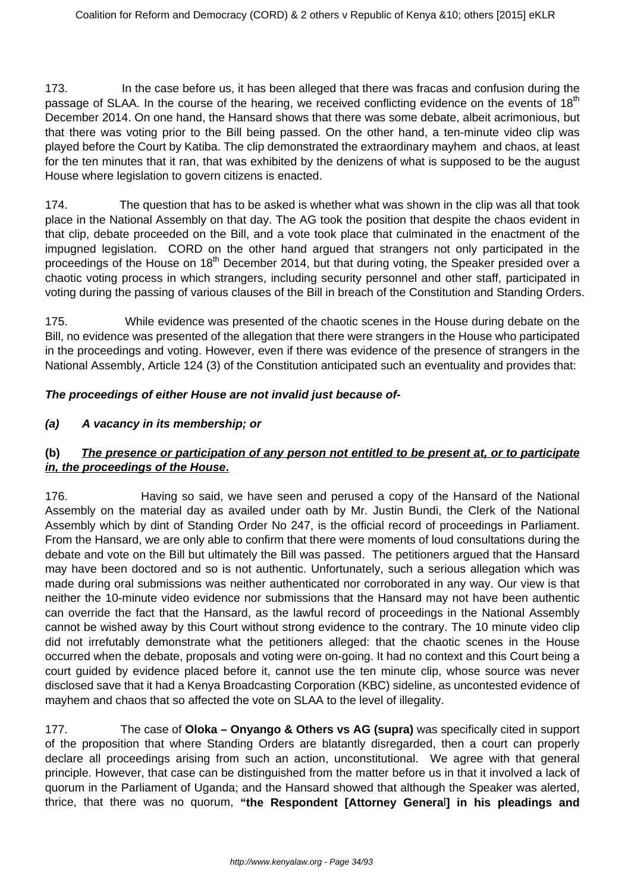173. In the case before us, it has been alleged that there was fracas and confusion during the passage of SLAA. In the course of the hearing, we received conflicting evidence on the events of  $18<sup>th</sup>$ December 2014. On one hand, the Hansard shows that there was some debate, albeit acrimonious, but that there was voting prior to the Bill being passed. On the other hand, a ten-minute video clip was played before the Court by Katiba. The clip demonstrated the extraordinary mayhem and chaos, at least for the ten minutes that it ran, that was exhibited by the denizens of what is supposed to be the august House where legislation to govern citizens is enacted.

174. The question that has to be asked is whether what was shown in the clip was all that took place in the National Assembly on that day. The AG took the position that despite the chaos evident in that clip, debate proceeded on the Bill, and a vote took place that culminated in the enactment of the impugned legislation. CORD on the other hand argued that strangers not only participated in the proceedings of the House on 18<sup>th</sup> December 2014, but that during voting, the Speaker presided over a chaotic voting process in which strangers, including security personnel and other staff, participated in voting during the passing of various clauses of the Bill in breach of the Constitution and Standing Orders.

175. While evidence was presented of the chaotic scenes in the House during debate on the Bill, no evidence was presented of the allegation that there were strangers in the House who participated in the proceedings and voting. However, even if there was evidence of the presence of strangers in the National Assembly, Article 124 (3) of the Constitution anticipated such an eventuality and provides that:

# **The proceedings of either House are not invalid just because of-**

# **(a) A vacancy in its membership; or**

# **(b) The presence or participation of any person not entitled to be present at, or to participate in, the proceedings of the House.**

176. Having so said, we have seen and perused a copy of the Hansard of the National Assembly on the material day as availed under oath by Mr. Justin Bundi, the Clerk of the National Assembly which by dint of Standing Order No 247, is the official record of proceedings in Parliament. From the Hansard, we are only able to confirm that there were moments of loud consultations during the debate and vote on the Bill but ultimately the Bill was passed. The petitioners argued that the Hansard may have been doctored and so is not authentic. Unfortunately, such a serious allegation which was made during oral submissions was neither authenticated nor corroborated in any way. Our view is that neither the 10-minute video evidence nor submissions that the Hansard may not have been authentic can override the fact that the Hansard, as the lawful record of proceedings in the National Assembly cannot be wished away by this Court without strong evidence to the contrary. The 10 minute video clip did not irrefutably demonstrate what the petitioners alleged: that the chaotic scenes in the House occurred when the debate, proposals and voting were on-going. It had no context and this Court being a court guided by evidence placed before it, cannot use the ten minute clip, whose source was never disclosed save that it had a Kenya Broadcasting Corporation (KBC) sideline, as uncontested evidence of mayhem and chaos that so affected the vote on SLAA to the level of illegality.

177. The case of **Oloka – Onyango & Others vs AG (supra)** was specifically cited in support of the proposition that where Standing Orders are blatantly disregarded, then a court can properly declare all proceedings arising from such an action, unconstitutional. We agree with that general principle. However, that case can be distinguished from the matter before us in that it involved a lack of quorum in the Parliament of Uganda; and the Hansard showed that although the Speaker was alerted, thrice, that there was no quorum, **"the Respondent [Attorney Genera**l**] in his pleadings and**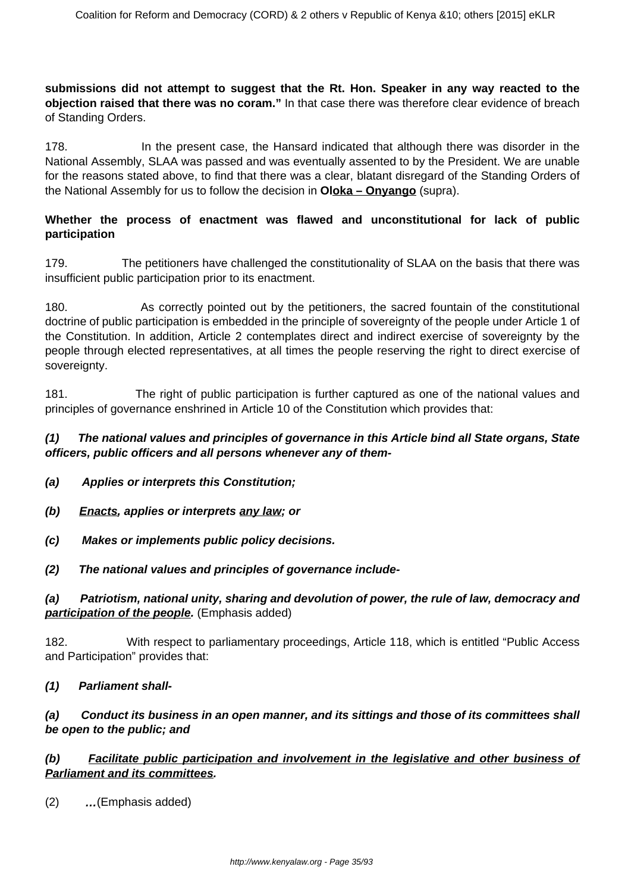**submissions did not attempt to suggest that the Rt. Hon. Speaker in any way reacted to the objection raised that there was no coram."** In that case there was therefore clear evidence of breach of Standing Orders.

178. In the present case, the Hansard indicated that although there was disorder in the National Assembly, SLAA was passed and was eventually assented to by the President. We are unable for the reasons stated above, to find that there was a clear, blatant disregard of the Standing Orders of the National Assembly for us to follow the decision in **Oloka – Onyango** (supra).

## **Whether the process of enactment was flawed and unconstitutional for lack of public participation**

179. The petitioners have challenged the constitutionality of SLAA on the basis that there was insufficient public participation prior to its enactment.

180. As correctly pointed out by the petitioners, the sacred fountain of the constitutional doctrine of public participation is embedded in the principle of sovereignty of the people under Article 1 of the Constitution. In addition, Article 2 contemplates direct and indirect exercise of sovereignty by the people through elected representatives, at all times the people reserving the right to direct exercise of sovereignty.

181. The right of public participation is further captured as one of the national values and principles of governance enshrined in Article 10 of the Constitution which provides that:

#### **(1) The national values and principles of governance in this Article bind all State organs, State officers, public officers and all persons whenever any of them-**

- **(a) Applies or interprets this Constitution;**
- **(b) Enacts, applies or interprets any law; or**
- **(c) Makes or implements public policy decisions.**
- **(2) The national values and principles of governance include-**

## **(a) Patriotism, national unity, sharing and devolution of power, the rule of law, democracy and participation of the people.** (Emphasis added)

182. With respect to parliamentary proceedings, Article 118, which is entitled "Public Access and Participation" provides that:

#### **(1) Parliament shall-**

# **(a) Conduct its business in an open manner, and its sittings and those of its committees shall be open to the public; and**

## **(b) Facilitate public participation and involvement in the legislative and other business of Parliament and its committees.**

(2) **…**(Emphasis added)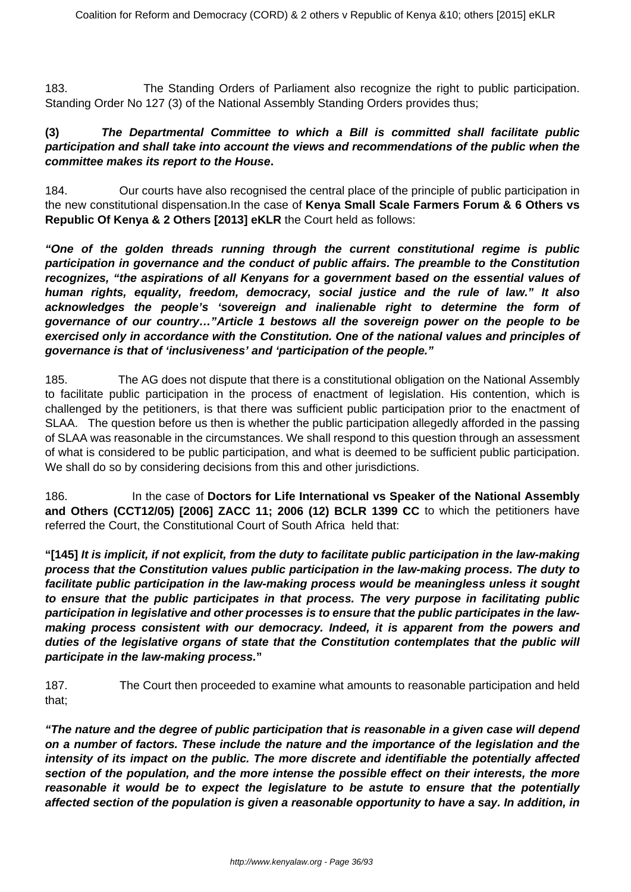183. The Standing Orders of Parliament also recognize the right to public participation. Standing Order No 127 (3) of the National Assembly Standing Orders provides thus;

## **(3) The Departmental Committee to which a Bill is committed shall facilitate public participation and shall take into account the views and recommendations of the public when the committee makes its report to the House.**

184. Our courts have also recognised the central place of the principle of public participation in the new constitutional dispensation.In the case of **Kenya Small Scale Farmers Forum & 6 Others vs Republic Of Kenya & 2 Others [2013] eKLR** the Court held as follows:

**"One of the golden threads running through the current constitutional regime is public participation in governance and the conduct of public affairs. The preamble to the Constitution recognizes, "the aspirations of all Kenyans for a government based on the essential values of human rights, equality, freedom, democracy, social justice and the rule of law." It also acknowledges the people's 'sovereign and inalienable right to determine the form of governance of our country…"Article 1 bestows all the sovereign power on the people to be exercised only in accordance with the Constitution. One of the national values and principles of governance is that of 'inclusiveness' and 'participation of the people."**

185. The AG does not dispute that there is a constitutional obligation on the National Assembly to facilitate public participation in the process of enactment of legislation. His contention, which is challenged by the petitioners, is that there was sufficient public participation prior to the enactment of SLAA. The question before us then is whether the public participation allegedly afforded in the passing of SLAA was reasonable in the circumstances. We shall respond to this question through an assessment of what is considered to be public participation, and what is deemed to be sufficient public participation. We shall do so by considering decisions from this and other jurisdictions.

186. In the case of **Doctors for Life International vs Speaker of the National Assembly and Others (CCT12/05) [2006] ZACC 11; 2006 (12) BCLR 1399 CC** to which the petitioners have referred the Court, the Constitutional Court of South Africa held that:

**"[145] It is implicit, if not explicit, from the duty to facilitate public participation in the law-making process that the Constitution values public participation in the law-making process. The duty to facilitate public participation in the law-making process would be meaningless unless it sought to ensure that the public participates in that process. The very purpose in facilitating public participation in legislative and other processes is to ensure that the public participates in the lawmaking process consistent with our democracy. Indeed, it is apparent from the powers and duties of the legislative organs of state that the Constitution contemplates that the public will participate in the law-making process."**

187. The Court then proceeded to examine what amounts to reasonable participation and held that;

**"The nature and the degree of public participation that is reasonable in a given case will depend on a number of factors. These include the nature and the importance of the legislation and the intensity of its impact on the public. The more discrete and identifiable the potentially affected section of the population, and the more intense the possible effect on their interests, the more reasonable it would be to expect the legislature to be astute to ensure that the potentially affected section of the population is given a reasonable opportunity to have a say. In addition, in**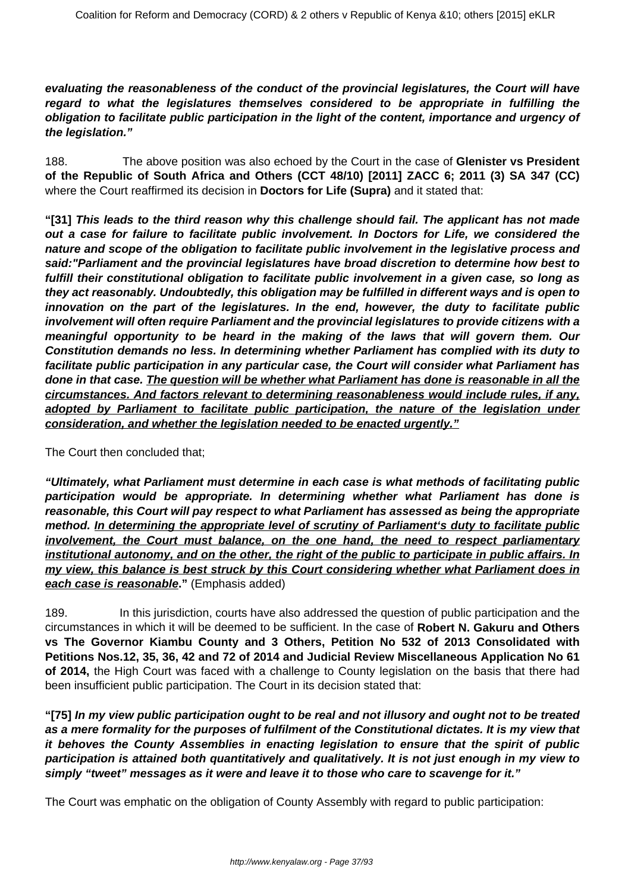**evaluating the reasonableness of the conduct of the provincial legislatures, the Court will have regard to what the legislatures themselves considered to be appropriate in fulfilling the obligation to facilitate public participation in the light of the content, importance and urgency of the legislation."**

188. The above position was also echoed by the Court in the case of **Glenister vs President of the Republic of South Africa and Others (CCT 48/10) [2011] ZACC 6; 2011 (3) SA 347 (CC)** where the Court reaffirmed its decision in **Doctors for Life (Supra)** and it stated that:

**"[31] This leads to the third reason why this challenge should fail. The applicant has not made out a case for failure to facilitate public involvement. In Doctors for Life, we considered the nature and scope of the obligation to facilitate public involvement in the legislative process and said:"Parliament and the provincial legislatures have broad discretion to determine how best to fulfill their constitutional obligation to facilitate public involvement in a given case, so long as they act reasonably. Undoubtedly, this obligation may be fulfilled in different ways and is open to innovation on the part of the legislatures. In the end, however, the duty to facilitate public involvement will often require Parliament and the provincial legislatures to provide citizens with a meaningful opportunity to be heard in the making of the laws that will govern them. Our Constitution demands no less. In determining whether Parliament has complied with its duty to facilitate public participation in any particular case, the Court will consider what Parliament has done in that case. The question will be whether what Parliament has done is reasonable in all the circumstances. And factors relevant to determining reasonableness would include rules, if any, adopted by Parliament to facilitate public participation, the nature of the legislation under consideration, and whether the legislation needed to be enacted urgently."**

#### The Court then concluded that;

**"Ultimately, what Parliament must determine in each case is what methods of facilitating public participation would be appropriate. In determining whether what Parliament has done is reasonable, this Court will pay respect to what Parliament has assessed as being the appropriate method. In determining the appropriate level of scrutiny of Parliament's duty to facilitate public involvement, the Court must balance, on the one hand, the need to respect parliamentary institutional autonomy, and on the other, the right of the public to participate in public affairs. In my view, this balance is best struck by this Court considering whether what Parliament does in each case is reasonable."** (Emphasis added)

189. In this jurisdiction, courts have also addressed the question of public participation and the circumstances in which it will be deemed to be sufficient. In the case of **Robert N. Gakuru and Others vs The Governor Kiambu County and 3 Others, Petition No 532 of 2013 Consolidated with Petitions Nos.12, 35, 36, 42 and 72 of 2014 and Judicial Review Miscellaneous Application No 61 of 2014,** the High Court was faced with a challenge to County legislation on the basis that there had been insufficient public participation. The Court in its decision stated that:

**"[75] In my view public participation ought to be real and not illusory and ought not to be treated as a mere formality for the purposes of fulfilment of the Constitutional dictates. It is my view that it behoves the County Assemblies in enacting legislation to ensure that the spirit of public participation is attained both quantitatively and qualitatively. It is not just enough in my view to simply "tweet" messages as it were and leave it to those who care to scavenge for it."**

The Court was emphatic on the obligation of County Assembly with regard to public participation: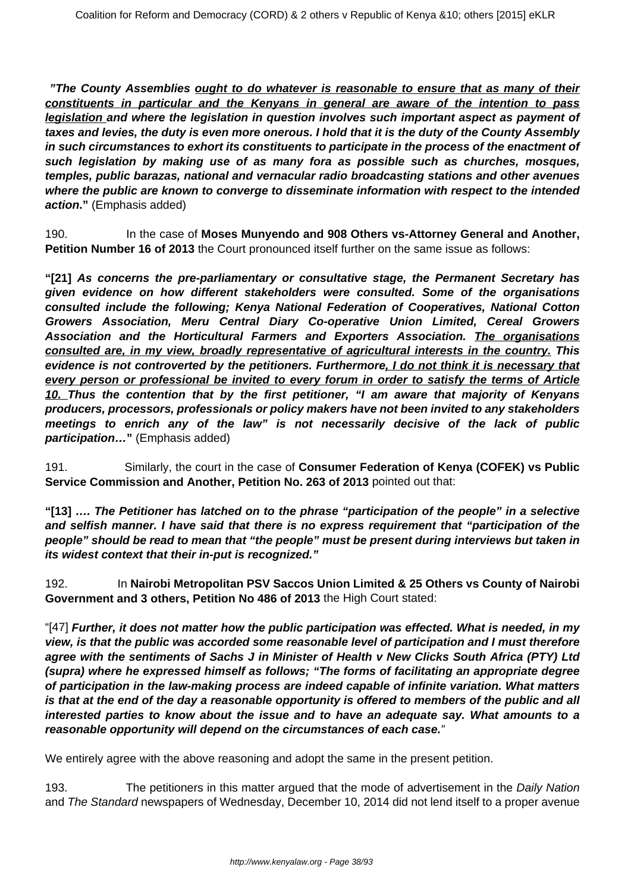**"The County Assemblies ought to do whatever is reasonable to ensure that as many of their constituents in particular and the Kenyans in general are aware of the intention to pass legislation and where the legislation in question involves such important aspect as payment of taxes and levies, the duty is even more onerous. I hold that it is the duty of the County Assembly in such circumstances to exhort its constituents to participate in the process of the enactment of such legislation by making use of as many fora as possible such as churches, mosques, temples, public barazas, national and vernacular radio broadcasting stations and other avenues where the public are known to converge to disseminate information with respect to the intended action."** (Emphasis added)

190. In the case of **Moses Munyendo and 908 Others vs-Attorney General and Another, Petition Number 16 of 2013** the Court pronounced itself further on the same issue as follows:

**"[21] As concerns the pre-parliamentary or consultative stage, the Permanent Secretary has given evidence on how different stakeholders were consulted. Some of the organisations consulted include the following; Kenya National Federation of Cooperatives, National Cotton Growers Association, Meru Central Diary Co-operative Union Limited, Cereal Growers Association and the Horticultural Farmers and Exporters Association. The organisations consulted are, in my view, broadly representative of agricultural interests in the country. This evidence is not controverted by the petitioners. Furthermore, I do not think it is necessary that every person or professional be invited to every forum in order to satisfy the terms of Article 10. Thus the contention that by the first petitioner, "I am aware that majority of Kenyans producers, processors, professionals or policy makers have not been invited to any stakeholders meetings to enrich any of the law" is not necessarily decisive of the lack of public** *participation...*" (Emphasis added)

191. Similarly, the court in the case of **Consumer Federation of Kenya (COFEK) vs Public Service Commission and Another, Petition No. 263 of 2013** pointed out that:

**"[13] …. The Petitioner has latched on to the phrase "participation of the people" in a selective and selfish manner. I have said that there is no express requirement that "participation of the people" should be read to mean that "the people" must be present during interviews but taken in its widest context that their in-put is recognized."**

192. In **Nairobi Metropolitan PSV Saccos Union Limited & 25 Others vs County of Nairobi Government and 3 others, Petition No 486 of 2013** the High Court stated:

"[47] **Further, it does not matter how the public participation was effected. What is needed, in my view, is that the public was accorded some reasonable level of participation and I must therefore agree with the sentiments of Sachs J in Minister of Health v New Clicks South Africa (PTY) Ltd (supra) where he expressed himself as follows; "The forms of facilitating an appropriate degree of participation in the law-making process are indeed capable of infinite variation. What matters is that at the end of the day a reasonable opportunity is offered to members of the public and all interested parties to know about the issue and to have an adequate say. What amounts to a reasonable opportunity will depend on the circumstances of each case.**"

We entirely agree with the above reasoning and adopt the same in the present petition.

193. The petitioners in this matter argued that the mode of advertisement in the Daily Nation and The Standard newspapers of Wednesday, December 10, 2014 did not lend itself to a proper avenue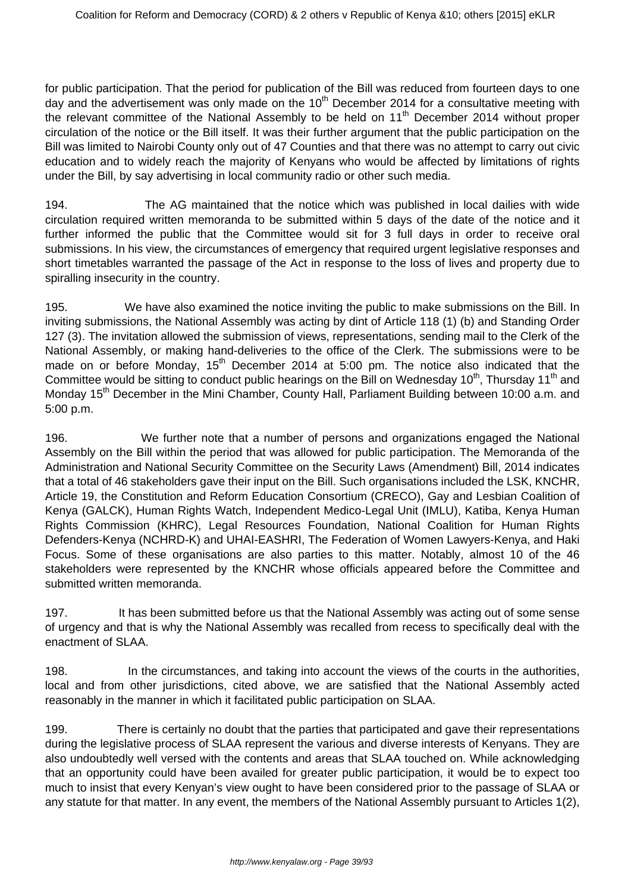for public participation. That the period for publication of the Bill was reduced from fourteen days to one day and the advertisement was only made on the  $10<sup>th</sup>$  December 2014 for a consultative meeting with the relevant committee of the National Assembly to be held on 11<sup>th</sup> December 2014 without proper circulation of the notice or the Bill itself. It was their further argument that the public participation on the Bill was limited to Nairobi County only out of 47 Counties and that there was no attempt to carry out civic education and to widely reach the majority of Kenyans who would be affected by limitations of rights under the Bill, by say advertising in local community radio or other such media.

194. The AG maintained that the notice which was published in local dailies with wide circulation required written memoranda to be submitted within 5 days of the date of the notice and it further informed the public that the Committee would sit for 3 full days in order to receive oral submissions. In his view, the circumstances of emergency that required urgent legislative responses and short timetables warranted the passage of the Act in response to the loss of lives and property due to spiralling insecurity in the country.

195. We have also examined the notice inviting the public to make submissions on the Bill. In inviting submissions, the National Assembly was acting by dint of Article 118 (1) (b) and Standing Order 127 (3). The invitation allowed the submission of views, representations, sending mail to the Clerk of the National Assembly, or making hand-deliveries to the office of the Clerk. The submissions were to be made on or before Monday,  $15<sup>th</sup>$  December 2014 at 5:00 pm. The notice also indicated that the Committee would be sitting to conduct public hearings on the Bill on Wednesday 10<sup>th</sup>, Thursday 11<sup>th</sup> and Monday 15<sup>th</sup> December in the Mini Chamber, County Hall, Parliament Building between 10:00 a.m. and 5:00 p.m.

196. We further note that a number of persons and organizations engaged the National Assembly on the Bill within the period that was allowed for public participation. The Memoranda of the Administration and National Security Committee on the Security Laws (Amendment) Bill, 2014 indicates that a total of 46 stakeholders gave their input on the Bill. Such organisations included the LSK, KNCHR, Article 19, the Constitution and Reform Education Consortium (CRECO), Gay and Lesbian Coalition of Kenya (GALCK), Human Rights Watch, Independent Medico-Legal Unit (IMLU), Katiba, Kenya Human Rights Commission (KHRC), Legal Resources Foundation, National Coalition for Human Rights Defenders-Kenya (NCHRD-K) and UHAI-EASHRI, The Federation of Women Lawyers-Kenya, and Haki Focus. Some of these organisations are also parties to this matter. Notably, almost 10 of the 46 stakeholders were represented by the KNCHR whose officials appeared before the Committee and submitted written memoranda.

197. It has been submitted before us that the National Assembly was acting out of some sense of urgency and that is why the National Assembly was recalled from recess to specifically deal with the enactment of SLAA.

198. In the circumstances, and taking into account the views of the courts in the authorities, local and from other jurisdictions, cited above, we are satisfied that the National Assembly acted reasonably in the manner in which it facilitated public participation on SLAA.

199. There is certainly no doubt that the parties that participated and gave their representations during the legislative process of SLAA represent the various and diverse interests of Kenyans. They are also undoubtedly well versed with the contents and areas that SLAA touched on. While acknowledging that an opportunity could have been availed for greater public participation, it would be to expect too much to insist that every Kenyan's view ought to have been considered prior to the passage of SLAA or any statute for that matter. In any event, the members of the National Assembly pursuant to Articles 1(2),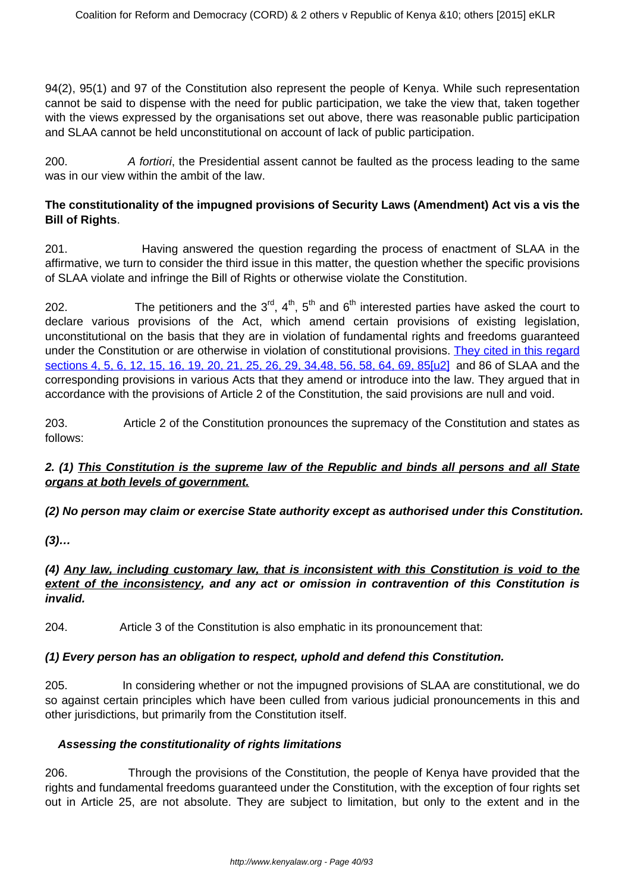94(2), 95(1) and 97 of the Constitution also represent the people of Kenya. While such representation cannot be said to dispense with the need for public participation, we take the view that, taken together with the views expressed by the organisations set out above, there was reasonable public participation and SLAA cannot be held unconstitutional on account of lack of public participation.

200. A fortiori, the Presidential assent cannot be faulted as the process leading to the same was in our view within the ambit of the law.

# **The constitutionality of the impugned provisions of Security Laws (Amendment) Act vis a vis the Bill of Rights**.

201. Having answered the question regarding the process of enactment of SLAA in the affirmative, we turn to consider the third issue in this matter, the question whether the specific provisions of SLAA violate and infringe the Bill of Rights or otherwise violate the Constitution.

202. The petitioners and the  $3^{rd}$ ,  $4^{th}$ ,  $5^{th}$  and  $6^{th}$  interested parties have asked the court to declare various provisions of the Act, which amend certain provisions of existing legislation, unconstitutional on the basis that they are in violation of fundamental rights and freedoms guaranteed under the Constitution or are otherwise in violation of constitutional provisions. They cited in this regard sections 4, 5, 6, 12, 15, 16, 19, 20, 21, 25, 26, 29, 34,48, 56, 58, 64, 69, 8[5\[u2\]](file:///C:/Users/Musa/Downloads/SECURITY_LAW_AMENDMNET_ACT_JUDGMENT%20(1).doc#_msocom_2) and 86 of SLAA and the corresponding provisions in various Acts that they amend or introduce into the law. They argued that in accordance with the provisions of Article 2 of the Constitution, the said provisions are null and void.

203. Article 2 of the Constitution pronounces the supremacy of the Constitution and states as follows:

# **2. (1) This Constitution is the supreme law of the Republic and binds all persons and all State organs at both levels of government.**

# **(2) No person may claim or exercise State authority except as authorised under this Constitution.**

**(3)…**

# **(4) Any law, including customary law, that is inconsistent with this Constitution is void to the extent of the inconsistency, and any act or omission in contravention of this Constitution is invalid.**

204. Article 3 of the Constitution is also emphatic in its pronouncement that:

# **(1) Every person has an obligation to respect, uphold and defend this Constitution.**

205. In considering whether or not the impugned provisions of SLAA are constitutional, we do so against certain principles which have been culled from various judicial pronouncements in this and other jurisdictions, but primarily from the Constitution itself.

# **Assessing the constitutionality of rights limitations**

206. Through the provisions of the Constitution, the people of Kenya have provided that the rights and fundamental freedoms guaranteed under the Constitution, with the exception of four rights set out in Article 25, are not absolute. They are subject to limitation, but only to the extent and in the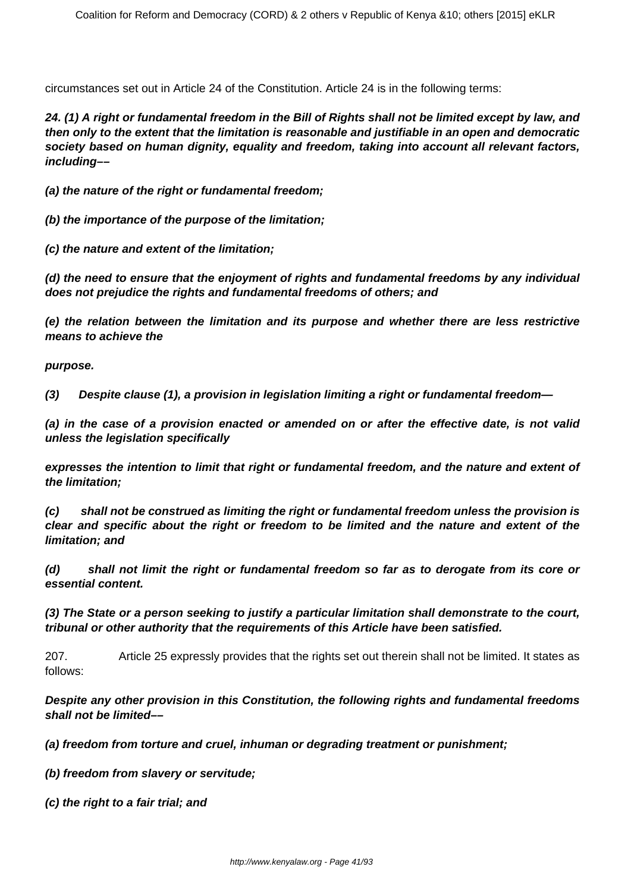circumstances set out in Article 24 of the Constitution. Article 24 is in the following terms:

**24. (1) A right or fundamental freedom in the Bill of Rights shall not be limited except by law, and then only to the extent that the limitation is reasonable and justifiable in an open and democratic society based on human dignity, equality and freedom, taking into account all relevant factors, including––**

**(a) the nature of the right or fundamental freedom;**

**(b) the importance of the purpose of the limitation;**

**(c) the nature and extent of the limitation;**

**(d) the need to ensure that the enjoyment of rights and fundamental freedoms by any individual does not prejudice the rights and fundamental freedoms of others; and**

**(e) the relation between the limitation and its purpose and whether there are less restrictive means to achieve the**

**purpose.**

**(3) Despite clause (1), a provision in legislation limiting a right or fundamental freedom—**

**(a) in the case of a provision enacted or amended on or after the effective date, is not valid unless the legislation specifically**

**expresses the intention to limit that right or fundamental freedom, and the nature and extent of the limitation;**

**(c) shall not be construed as limiting the right or fundamental freedom unless the provision is clear and specific about the right or freedom to be limited and the nature and extent of the limitation; and**

**(d) shall not limit the right or fundamental freedom so far as to derogate from its core or essential content.**

**(3) The State or a person seeking to justify a particular limitation shall demonstrate to the court, tribunal or other authority that the requirements of this Article have been satisfied.**

207. Article 25 expressly provides that the rights set out therein shall not be limited. It states as follows:

**Despite any other provision in this Constitution, the following rights and fundamental freedoms shall not be limited––**

**(a) freedom from torture and cruel, inhuman or degrading treatment or punishment;**

**(b) freedom from slavery or servitude;**

**(c) the right to a fair trial; and**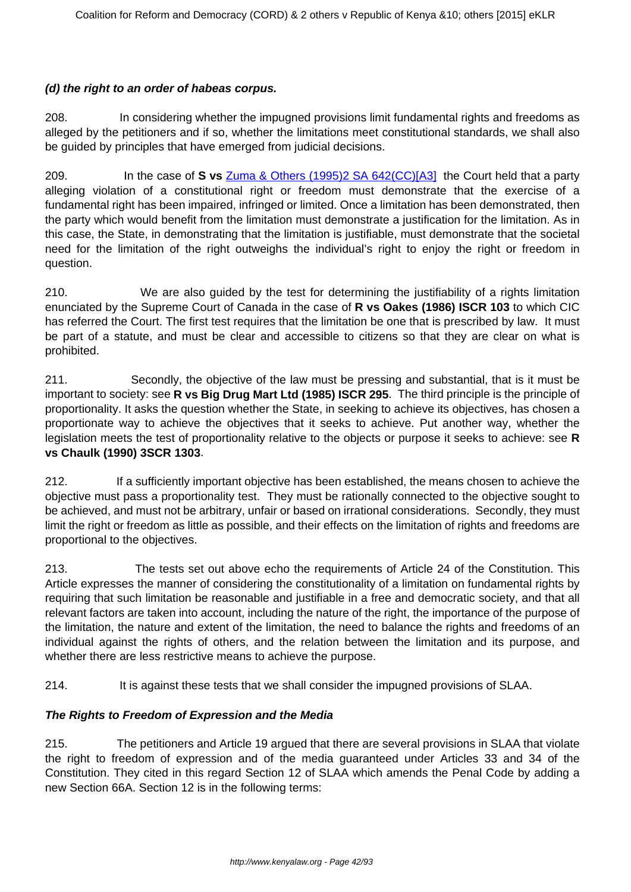# **(d) the right to an order of habeas corpus.**

208. In considering whether the impugned provisions limit fundamental rights and freedoms as alleged by the petitioners and if so, whether the limitations meet constitutional standards, we shall also be guided by principles that have emerged from judicial decisions.

209. In the case of **S vs** Zuma & Others (1995)2 SA 642(CC[\)\[A3\]](file:///C:/Users/Musa/Downloads/SECURITY_LAW_AMENDMNET_ACT_JUDGMENT%20(1).doc#_msocom_3) the Court held that a party alleging violation of a constitutional right or freedom must demonstrate that the exercise of a fundamental right has been impaired, infringed or limited. Once a limitation has been demonstrated, then the party which would benefit from the limitation must demonstrate a justification for the limitation. As in this case, the State, in demonstrating that the limitation is justifiable, must demonstrate that the societal need for the limitation of the right outweighs the individual's right to enjoy the right or freedom in question.

210. We are also guided by the test for determining the justifiability of a rights limitation enunciated by the Supreme Court of Canada in the case of **R vs Oakes (1986) ISCR 103** to which CIC has referred the Court. The first test requires that the limitation be one that is prescribed by law. It must be part of a statute, and must be clear and accessible to citizens so that they are clear on what is prohibited.

211. Secondly, the objective of the law must be pressing and substantial, that is it must be important to society: see **R vs Big Drug Mart Ltd (1985) ISCR 295**. The third principle is the principle of proportionality. It asks the question whether the State, in seeking to achieve its objectives, has chosen a proportionate way to achieve the objectives that it seeks to achieve. Put another way, whether the legislation meets the test of proportionality relative to the objects or purpose it seeks to achieve: see **R vs Chaulk (1990) 3SCR 1303**.

212. If a sufficiently important objective has been established, the means chosen to achieve the objective must pass a proportionality test. They must be rationally connected to the objective sought to be achieved, and must not be arbitrary, unfair or based on irrational considerations. Secondly, they must limit the right or freedom as little as possible, and their effects on the limitation of rights and freedoms are proportional to the objectives.

213. The tests set out above echo the requirements of Article 24 of the Constitution. This Article expresses the manner of considering the constitutionality of a limitation on fundamental rights by requiring that such limitation be reasonable and justifiable in a free and democratic society, and that all relevant factors are taken into account, including the nature of the right, the importance of the purpose of the limitation, the nature and extent of the limitation, the need to balance the rights and freedoms of an individual against the rights of others, and the relation between the limitation and its purpose, and whether there are less restrictive means to achieve the purpose.

214. It is against these tests that we shall consider the impugned provisions of SLAA.

# **The Rights to Freedom of Expression and the Media**

215. The petitioners and Article 19 argued that there are several provisions in SLAA that violate the right to freedom of expression and of the media guaranteed under Articles 33 and 34 of the Constitution. They cited in this regard Section 12 of SLAA which amends the Penal Code by adding a new Section 66A. Section 12 is in the following terms: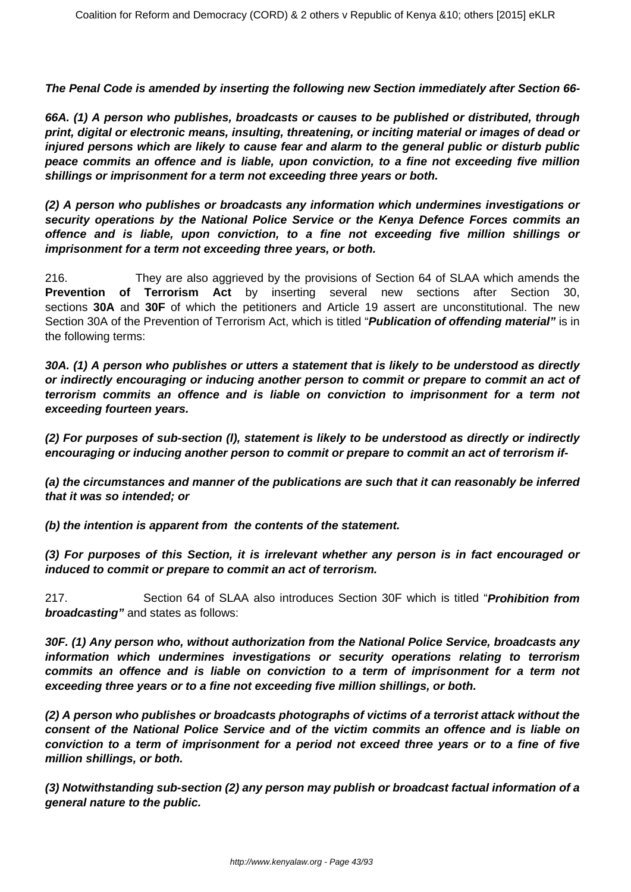**The Penal Code is amended by inserting the following new Section immediately after Section 66-**

**66A. (1) A person who publishes, broadcasts or causes to be published or distributed, through print, digital or electronic means, insulting, threatening, or inciting material or images of dead or injured persons which are likely to cause fear and alarm to the general public or disturb public peace commits an offence and is liable, upon conviction, to a fine not exceeding five million shillings or imprisonment for a term not exceeding three years or both.**

**(2) A person who publishes or broadcasts any information which undermines investigations or security operations by the National Police Service or the Kenya Defence Forces commits an offence and is liable, upon conviction, to a fine not exceeding five million shillings or imprisonment for a term not exceeding three years, or both.**

216. They are also aggrieved by the provisions of Section 64 of SLAA which amends the **Prevention of Terrorism Act** by inserting several new sections after Section 30, sections **30A** and **30F** of which the petitioners and Article 19 assert are unconstitutional. The new Section 30A of the Prevention of Terrorism Act, which is titled "**Publication of offending material"** is in the following terms:

**30A. (1) A person who publishes or utters a statement that is likely to be understood as directly or indirectly encouraging or inducing another person to commit or prepare to commit an act of terrorism commits an offence and is liable on conviction to imprisonment for a term not exceeding fourteen years.**

**(2) For purposes of sub-section (l), statement is likely to be understood as directly or indirectly encouraging or inducing another person to commit or prepare to commit an act of terrorism if-**

**(a) the circumstances and manner of the publications are such that it can reasonably be inferred that it was so intended; or**

**(b) the intention is apparent from the contents of the statement.**

**(3) For purposes of this Section, it is irrelevant whether any person is in fact encouraged or induced to commit or prepare to commit an act of terrorism.**

217. Section 64 of SLAA also introduces Section 30F which is titled "**Prohibition from broadcasting"** and states as follows:

**30F. (1) Any person who, without authorization from the National Police Service, broadcasts any information which undermines investigations or security operations relating to terrorism commits an offence and is liable on conviction to a term of imprisonment for a term not exceeding three years or to a fine not exceeding five million shillings, or both.**

**(2) A person who publishes or broadcasts photographs of victims of a terrorist attack without the consent of the National Police Service and of the victim commits an offence and is liable on conviction to a term of imprisonment for a period not exceed three years or to a fine of five million shillings, or both.**

**(3) Notwithstanding sub-section (2) any person may publish or broadcast factual information of a general nature to the public.**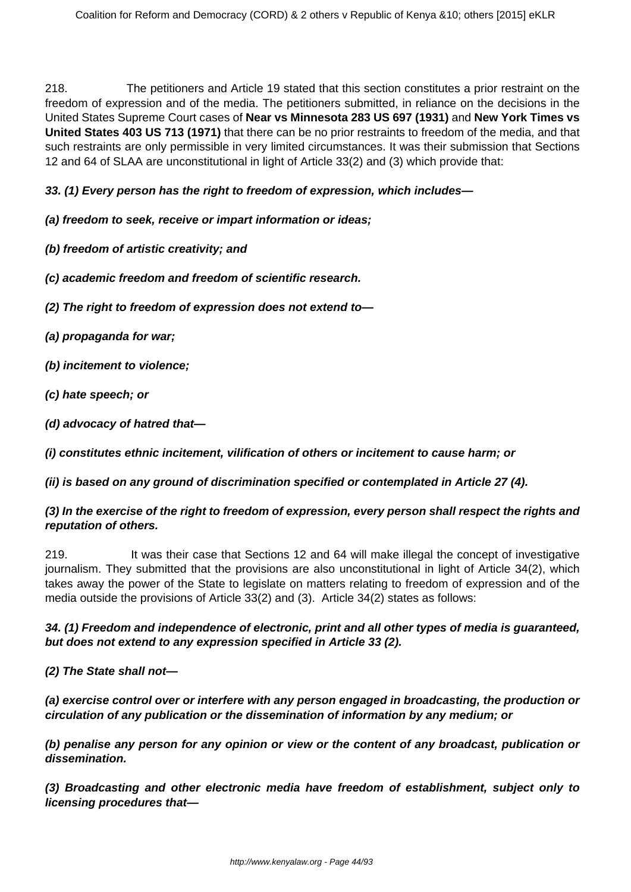218. The petitioners and Article 19 stated that this section constitutes a prior restraint on the freedom of expression and of the media. The petitioners submitted, in reliance on the decisions in the United States Supreme Court cases of **Near vs Minnesota 283 US 697 (1931)** and **New York Times vs United States 403 US 713 (1971)** that there can be no prior restraints to freedom of the media, and that such restraints are only permissible in very limited circumstances. It was their submission that Sections 12 and 64 of SLAA are unconstitutional in light of Article 33(2) and (3) which provide that:

#### **33. (1) Every person has the right to freedom of expression, which includes—**

#### **(a) freedom to seek, receive or impart information or ideas;**

- **(b) freedom of artistic creativity; and**
- **(c) academic freedom and freedom of scientific research.**
- **(2) The right to freedom of expression does not extend to—**
- **(a) propaganda for war;**
- **(b) incitement to violence;**
- **(c) hate speech; or**
- **(d) advocacy of hatred that—**

**(i) constitutes ethnic incitement, vilification of others or incitement to cause harm; or**

**(ii) is based on any ground of discrimination specified or contemplated in Article 27 (4).**

#### **(3) In the exercise of the right to freedom of expression, every person shall respect the rights and reputation of others.**

219. It was their case that Sections 12 and 64 will make illegal the concept of investigative journalism. They submitted that the provisions are also unconstitutional in light of Article 34(2), which takes away the power of the State to legislate on matters relating to freedom of expression and of the media outside the provisions of Article 33(2) and (3). Article 34(2) states as follows:

# **34. (1) Freedom and independence of electronic, print and all other types of media is guaranteed, but does not extend to any expression specified in Article 33 (2).**

**(2) The State shall not—**

**(a) exercise control over or interfere with any person engaged in broadcasting, the production or circulation of any publication or the dissemination of information by any medium; or**

**(b) penalise any person for any opinion or view or the content of any broadcast, publication or dissemination.**

**(3) Broadcasting and other electronic media have freedom of establishment, subject only to licensing procedures that—**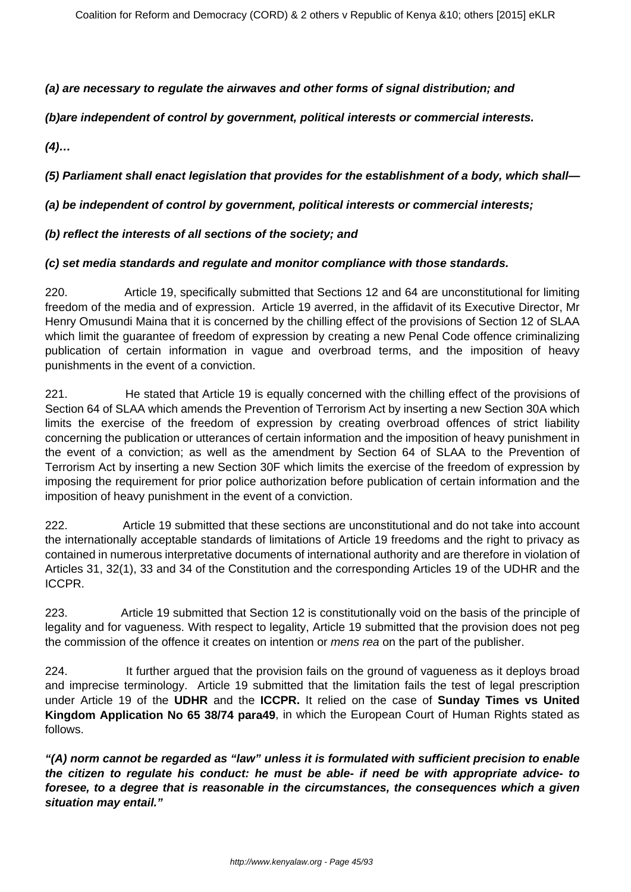### **(a) are necessary to regulate the airwaves and other forms of signal distribution; and**

**(b)are independent of control by government, political interests or commercial interests.**

**(4)…**

**(5) Parliament shall enact legislation that provides for the establishment of a body, which shall—**

### **(a) be independent of control by government, political interests or commercial interests;**

# **(b) reflect the interests of all sections of the society; and**

#### **(c) set media standards and regulate and monitor compliance with those standards.**

220. Article 19, specifically submitted that Sections 12 and 64 are unconstitutional for limiting freedom of the media and of expression. Article 19 averred, in the affidavit of its Executive Director, Mr Henry Omusundi Maina that it is concerned by the chilling effect of the provisions of Section 12 of SLAA which limit the guarantee of freedom of expression by creating a new Penal Code offence criminalizing publication of certain information in vague and overbroad terms, and the imposition of heavy punishments in the event of a conviction.

221. He stated that Article 19 is equally concerned with the chilling effect of the provisions of Section 64 of SLAA which amends the Prevention of Terrorism Act by inserting a new Section 30A which limits the exercise of the freedom of expression by creating overbroad offences of strict liability concerning the publication or utterances of certain information and the imposition of heavy punishment in the event of a conviction; as well as the amendment by Section 64 of SLAA to the Prevention of Terrorism Act by inserting a new Section 30F which limits the exercise of the freedom of expression by imposing the requirement for prior police authorization before publication of certain information and the imposition of heavy punishment in the event of a conviction.

222. Article 19 submitted that these sections are unconstitutional and do not take into account the internationally acceptable standards of limitations of Article 19 freedoms and the right to privacy as contained in numerous interpretative documents of international authority and are therefore in violation of Articles 31, 32(1), 33 and 34 of the Constitution and the corresponding Articles 19 of the UDHR and the ICCPR.

223. Article 19 submitted that Section 12 is constitutionally void on the basis of the principle of legality and for vagueness. With respect to legality, Article 19 submitted that the provision does not peg the commission of the offence it creates on intention or *mens rea* on the part of the publisher.

224. It further argued that the provision fails on the ground of vagueness as it deploys broad and imprecise terminology. Article 19 submitted that the limitation fails the test of legal prescription under Article 19 of the **UDHR** and the **ICCPR.** It relied on the case of **Sunday Times vs United Kingdom Application No 65 38/74 para49**, in which the European Court of Human Rights stated as follows.

**"(A) norm cannot be regarded as "law" unless it is formulated with sufficient precision to enable the citizen to regulate his conduct: he must be able- if need be with appropriate advice- to foresee, to a degree that is reasonable in the circumstances, the consequences which a given situation may entail."**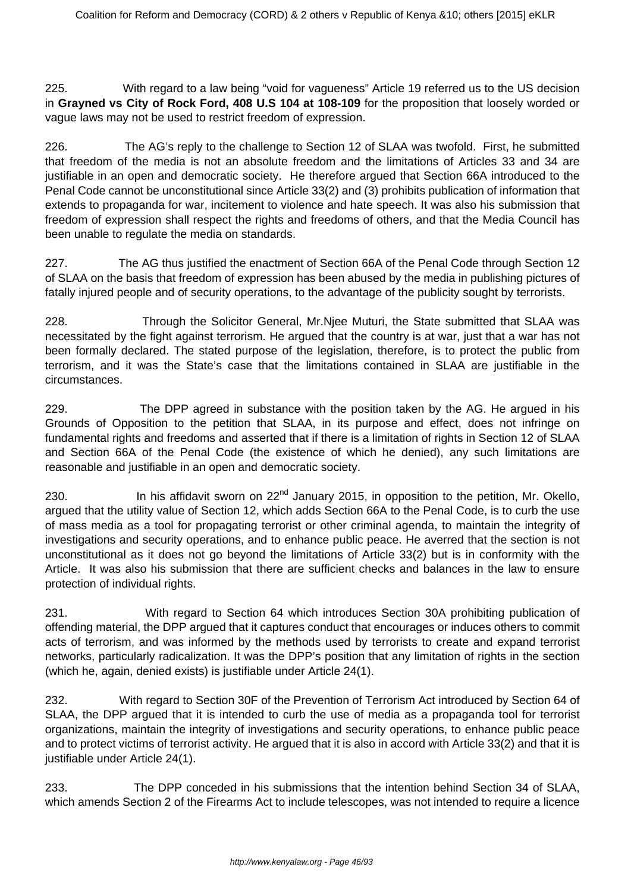225. With regard to a law being "void for vagueness" Article 19 referred us to the US decision in **Grayned vs City of Rock Ford, 408 U.S 104 at 108-109** for the proposition that loosely worded or vague laws may not be used to restrict freedom of expression.

226. The AG's reply to the challenge to Section 12 of SLAA was twofold. First, he submitted that freedom of the media is not an absolute freedom and the limitations of Articles 33 and 34 are justifiable in an open and democratic society. He therefore argued that Section 66A introduced to the Penal Code cannot be unconstitutional since Article 33(2) and (3) prohibits publication of information that extends to propaganda for war, incitement to violence and hate speech. It was also his submission that freedom of expression shall respect the rights and freedoms of others, and that the Media Council has been unable to regulate the media on standards.

227. The AG thus justified the enactment of Section 66A of the Penal Code through Section 12 of SLAA on the basis that freedom of expression has been abused by the media in publishing pictures of fatally injured people and of security operations, to the advantage of the publicity sought by terrorists.

228. Through the Solicitor General, Mr.Njee Muturi, the State submitted that SLAA was necessitated by the fight against terrorism. He argued that the country is at war, just that a war has not been formally declared. The stated purpose of the legislation, therefore, is to protect the public from terrorism, and it was the State's case that the limitations contained in SLAA are justifiable in the circumstances.

229. The DPP agreed in substance with the position taken by the AG. He argued in his Grounds of Opposition to the petition that SLAA, in its purpose and effect, does not infringe on fundamental rights and freedoms and asserted that if there is a limitation of rights in Section 12 of SLAA and Section 66A of the Penal Code (the existence of which he denied), any such limitations are reasonable and justifiable in an open and democratic society.

230. In his affidavit sworn on  $22<sup>nd</sup>$  January 2015, in opposition to the petition, Mr. Okello, argued that the utility value of Section 12, which adds Section 66A to the Penal Code, is to curb the use of mass media as a tool for propagating terrorist or other criminal agenda, to maintain the integrity of investigations and security operations, and to enhance public peace. He averred that the section is not unconstitutional as it does not go beyond the limitations of Article 33(2) but is in conformity with the Article. It was also his submission that there are sufficient checks and balances in the law to ensure protection of individual rights.

231. With regard to Section 64 which introduces Section 30A prohibiting publication of offending material, the DPP argued that it captures conduct that encourages or induces others to commit acts of terrorism, and was informed by the methods used by terrorists to create and expand terrorist networks, particularly radicalization. It was the DPP's position that any limitation of rights in the section (which he, again, denied exists) is justifiable under Article 24(1).

232. With regard to Section 30F of the Prevention of Terrorism Act introduced by Section 64 of SLAA, the DPP argued that it is intended to curb the use of media as a propaganda tool for terrorist organizations, maintain the integrity of investigations and security operations, to enhance public peace and to protect victims of terrorist activity. He argued that it is also in accord with Article 33(2) and that it is justifiable under Article 24(1).

233. The DPP conceded in his submissions that the intention behind Section 34 of SLAA, which amends Section 2 of the Firearms Act to include telescopes, was not intended to require a licence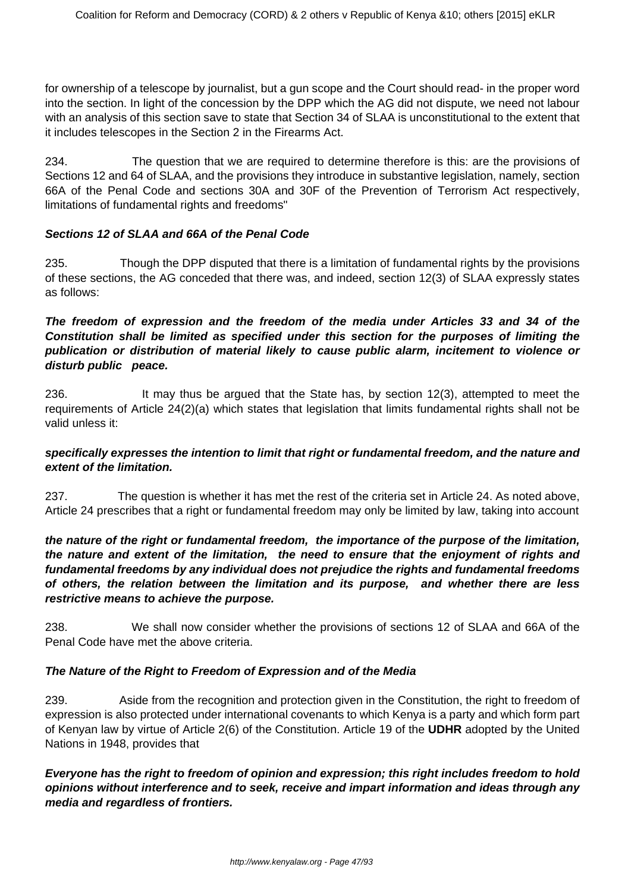for ownership of a telescope by journalist, but a gun scope and the Court should read- in the proper word into the section. In light of the concession by the DPP which the AG did not dispute, we need not labour with an analysis of this section save to state that Section 34 of SLAA is unconstitutional to the extent that it includes telescopes in the Section 2 in the Firearms Act.

234. The question that we are required to determine therefore is this: are the provisions of Sections 12 and 64 of SLAA, and the provisions they introduce in substantive legislation, namely, section 66A of the Penal Code and sections 30A and 30F of the Prevention of Terrorism Act respectively, limitations of fundamental rights and freedoms"

#### **Sections 12 of SLAA and 66A of the Penal Code**

235. Though the DPP disputed that there is a limitation of fundamental rights by the provisions of these sections, the AG conceded that there was, and indeed, section 12(3) of SLAA expressly states as follows:

# **The freedom of expression and the freedom of the media under Articles 33 and 34 of the Constitution shall be limited as specified under this section for the purposes of limiting the publication or distribution of material likely to cause public alarm, incitement to violence or disturb public peace.**

236. It may thus be argued that the State has, by section 12(3), attempted to meet the requirements of Article 24(2)(a) which states that legislation that limits fundamental rights shall not be valid unless it:

#### **specifically expresses the intention to limit that right or fundamental freedom, and the nature and extent of the limitation.**

237. The question is whether it has met the rest of the criteria set in Article 24. As noted above, Article 24 prescribes that a right or fundamental freedom may only be limited by law, taking into account

#### **the nature of the right or fundamental freedom, the importance of the purpose of the limitation, the nature and extent of the limitation, the need to ensure that the enjoyment of rights and fundamental freedoms by any individual does not prejudice the rights and fundamental freedoms of others, the relation between the limitation and its purpose, and whether there are less restrictive means to achieve the purpose.**

238. We shall now consider whether the provisions of sections 12 of SLAA and 66A of the Penal Code have met the above criteria.

#### **The Nature of the Right to Freedom of Expression and of the Media**

239. Aside from the recognition and protection given in the Constitution, the right to freedom of expression is also protected under international covenants to which Kenya is a party and which form part of Kenyan law by virtue of Article 2(6) of the Constitution. Article 19 of the **UDHR** adopted by the United Nations in 1948, provides that

**Everyone has the right to freedom of opinion and expression; this right includes freedom to hold opinions without interference and to seek, receive and impart information and ideas through any media and regardless of frontiers.**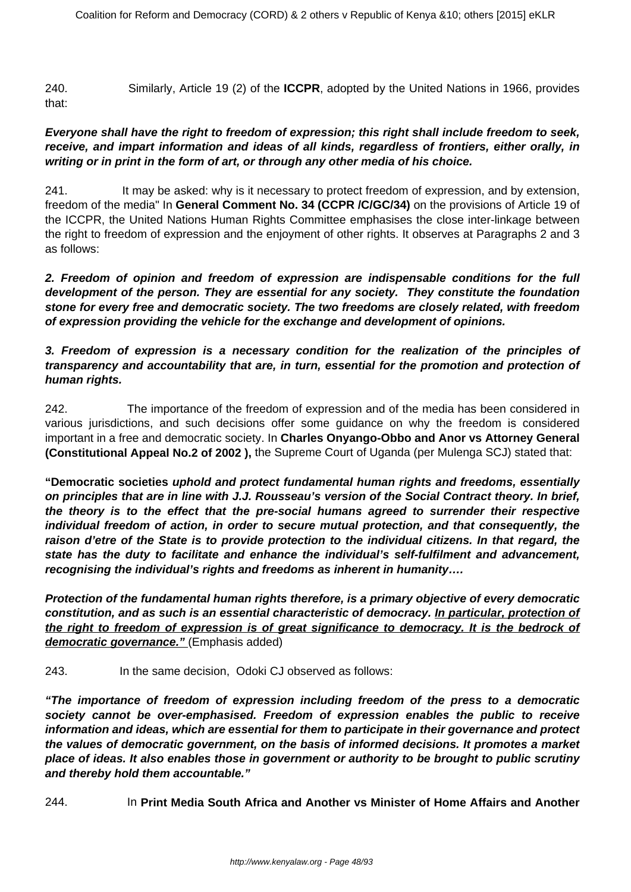240. Similarly, Article 19 (2) of the **ICCPR**, adopted by the United Nations in 1966, provides that:

#### **Everyone shall have the right to freedom of expression; this right shall include freedom to seek, receive, and impart information and ideas of all kinds, regardless of frontiers, either orally, in writing or in print in the form of art, or through any other media of his choice.**

241. It may be asked: why is it necessary to protect freedom of expression, and by extension, freedom of the media" In **General Comment No. 34 (CCPR /C/GC/34)** on the provisions of Article 19 of the ICCPR, the United Nations Human Rights Committee emphasises the close inter-linkage between the right to freedom of expression and the enjoyment of other rights. It observes at Paragraphs 2 and 3 as follows:

**2. Freedom of opinion and freedom of expression are indispensable conditions for the full development of the person. They are essential for any society. They constitute the foundation stone for every free and democratic society. The two freedoms are closely related, with freedom of expression providing the vehicle for the exchange and development of opinions.**

**3. Freedom of expression is a necessary condition for the realization of the principles of transparency and accountability that are, in turn, essential for the promotion and protection of human rights.**

242. The importance of the freedom of expression and of the media has been considered in various jurisdictions, and such decisions offer some guidance on why the freedom is considered important in a free and democratic society. In **Charles Onyango-Obbo and Anor vs Attorney General (Constitutional Appeal No.2 of 2002 ),** the Supreme Court of Uganda (per Mulenga SCJ) stated that:

**"Democratic societies uphold and protect fundamental human rights and freedoms, essentially on principles that are in line with J.J. Rousseau's version of the Social Contract theory. In brief, the theory is to the effect that the pre-social humans agreed to surrender their respective individual freedom of action, in order to secure mutual protection, and that consequently, the raison d'etre of the State is to provide protection to the individual citizens. In that regard, the state has the duty to facilitate and enhance the individual's self-fulfilment and advancement, recognising the individual's rights and freedoms as inherent in humanity….**

**Protection of the fundamental human rights therefore, is a primary objective of every democratic constitution, and as such is an essential characteristic of democracy. In particular, protection of the right to freedom of expression is of great significance to democracy. It is the bedrock of democratic governance."** (Emphasis added)

243. In the same decision, Odoki CJ observed as follows:

**"The importance of freedom of expression including freedom of the press to a democratic society cannot be over-emphasised. Freedom of expression enables the public to receive information and ideas, which are essential for them to participate in their governance and protect the values of democratic government, on the basis of informed decisions. It promotes a market place of ideas. It also enables those in government or authority to be brought to public scrutiny and thereby hold them accountable."**

244. In **Print Media South Africa and Another vs Minister of Home Affairs and Another**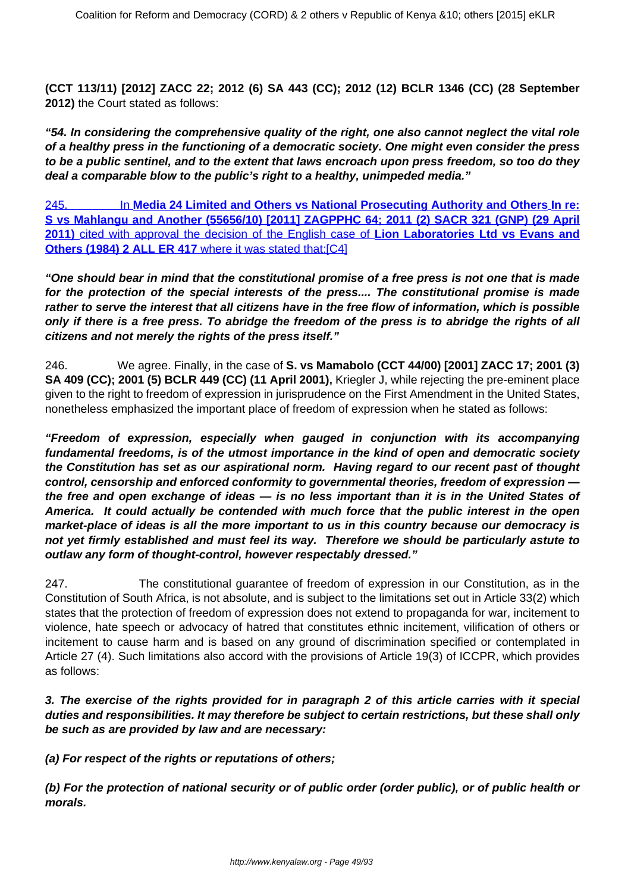**(CCT 113/11) [2012] ZACC 22; 2012 (6) SA 443 (CC); 2012 (12) BCLR 1346 (CC) (28 September 2012)** the Court stated as follows:

**"54. In considering the comprehensive quality of the right, one also cannot neglect the vital role of a healthy press in the functioning of a democratic society. One might even consider the press to be a public sentinel, and to the extent that laws encroach upon press freedom, so too do they deal a comparable blow to the public's right to a healthy, unimpeded media."**

245. In **Media 24 Limited and Others vs National Prosecuting Authority and Others In re: S vs Mahlangu and Another (55656/10) [2011] ZAGPPHC 64; 2011 (2) SACR 321 (GNP) (29 April 2011)** cited with approval the decision of the English case of **Lion Laboratories Ltd vs Evans and Others (1984) 2 ALL ER 417** where it was stated that:[\[C4\]](file:///C:/Users/Musa/Downloads/SECURITY_LAW_AMENDMNET_ACT_JUDGMENT%20(1).doc#_msocom_4)

**"One should bear in mind that the constitutional promise of a free press is not one that is made for the protection of the special interests of the press.... The constitutional promise is made rather to serve the interest that all citizens have in the free flow of information, which is possible only if there is a free press. To abridge the freedom of the press is to abridge the rights of all citizens and not merely the rights of the press itself."**

246. We agree. Finally, in the case of **S. vs Mamabolo (CCT 44/00) [2001] ZACC 17; 2001 (3) SA 409 (CC); 2001 (5) BCLR 449 (CC) (11 April 2001),** Kriegler J, while rejecting the pre-eminent place given to the right to freedom of expression in jurisprudence on the First Amendment in the United States, nonetheless emphasized the important place of freedom of expression when he stated as follows:

**"Freedom of expression, especially when gauged in conjunction with its accompanying fundamental freedoms, is of the utmost importance in the kind of open and democratic society the Constitution has set as our aspirational norm. Having regard to our recent past of thought control, censorship and enforced conformity to governmental theories, freedom of expression the free and open exchange of ideas — is no less important than it is in the United States of America. It could actually be contended with much force that the public interest in the open market-place of ideas is all the more important to us in this country because our democracy is not yet firmly established and must feel its way. Therefore we should be particularly astute to outlaw any form of thought-control, however respectably dressed."**

247. The constitutional guarantee of freedom of expression in our Constitution, as in the Constitution of South Africa, is not absolute, and is subject to the limitations set out in Article 33(2) which states that the protection of freedom of expression does not extend to propaganda for war, incitement to violence, hate speech or advocacy of hatred that constitutes ethnic incitement, vilification of others or incitement to cause harm and is based on any ground of discrimination specified or contemplated in Article 27 (4). Such limitations also accord with the provisions of Article 19(3) of ICCPR, which provides as follows:

# **3. The exercise of the rights provided for in paragraph 2 of this article carries with it special duties and responsibilities. It may therefore be subject to certain restrictions, but these shall only be such as are provided by law and are necessary:**

**(a) For respect of the rights or reputations of others;**

**(b) For the protection of national security or of public order (order public), or of public health or morals.**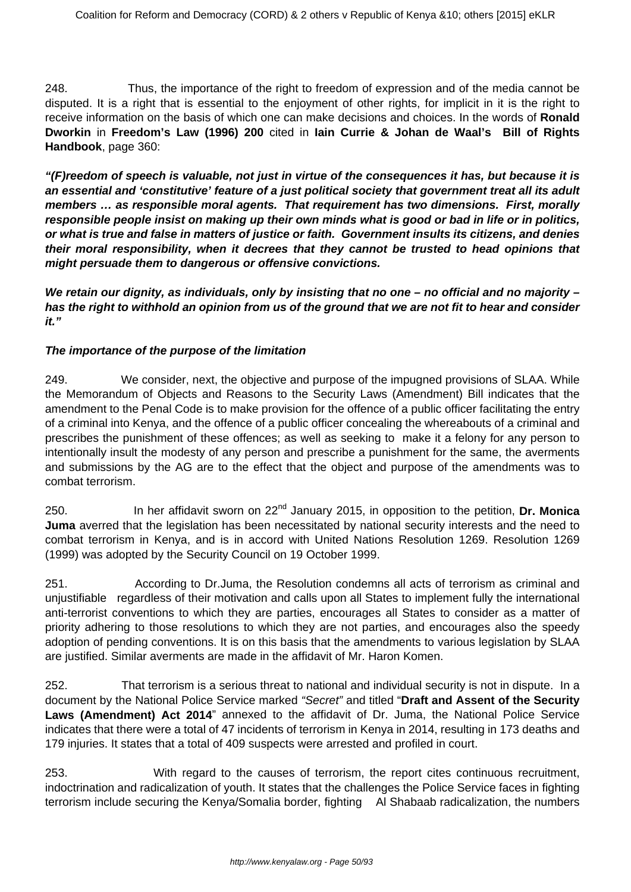248. Thus, the importance of the right to freedom of expression and of the media cannot be disputed. It is a right that is essential to the enjoyment of other rights, for implicit in it is the right to receive information on the basis of which one can make decisions and choices. In the words of **Ronald Dworkin** in **Freedom's Law (1996) 200** cited in **Iain Currie & Johan de Waal's Bill of Rights Handbook**, page 360:

**"(F)reedom of speech is valuable, not just in virtue of the consequences it has, but because it is an essential and 'constitutive' feature of a just political society that government treat all its adult members … as responsible moral agents. That requirement has two dimensions. First, morally responsible people insist on making up their own minds what is good or bad in life or in politics, or what is true and false in matters of justice or faith. Government insults its citizens, and denies their moral responsibility, when it decrees that they cannot be trusted to head opinions that might persuade them to dangerous or offensive convictions.** 

**We retain our dignity, as individuals, only by insisting that no one – no official and no majority – has the right to withhold an opinion from us of the ground that we are not fit to hear and consider it."**

# **The importance of the purpose of the limitation**

249. We consider, next, the objective and purpose of the impugned provisions of SLAA. While the Memorandum of Objects and Reasons to the Security Laws (Amendment) Bill indicates that the amendment to the Penal Code is to make provision for the offence of a public officer facilitating the entry of a criminal into Kenya, and the offence of a public officer concealing the whereabouts of a criminal and prescribes the punishment of these offences; as well as seeking to make it a felony for any person to intentionally insult the modesty of any person and prescribe a punishment for the same, the averments and submissions by the AG are to the effect that the object and purpose of the amendments was to combat terrorism.

250. In her affidavit sworn on 22nd January 2015, in opposition to the petition, **Dr. Monica Juma** averred that the legislation has been necessitated by national security interests and the need to combat terrorism in Kenya, and is in accord with United Nations Resolution 1269. Resolution 1269 (1999) was adopted by the Security Council on 19 October 1999.

251. According to Dr.Juma, the Resolution condemns all acts of terrorism as criminal and unjustifiable regardless of their motivation and calls upon all States to implement fully the international anti-terrorist conventions to which they are parties, encourages all States to consider as a matter of priority adhering to those resolutions to which they are not parties, and encourages also the speedy adoption of pending conventions. It is on this basis that the amendments to various legislation by SLAA are justified. Similar averments are made in the affidavit of Mr. Haron Komen.

252. That terrorism is a serious threat to national and individual security is not in dispute. In a document by the National Police Service marked "Secret" and titled "**Draft and Assent of the Security Laws (Amendment) Act 2014**" annexed to the affidavit of Dr. Juma, the National Police Service indicates that there were a total of 47 incidents of terrorism in Kenya in 2014, resulting in 173 deaths and 179 injuries. It states that a total of 409 suspects were arrested and profiled in court.

253. With regard to the causes of terrorism, the report cites continuous recruitment, indoctrination and radicalization of youth. It states that the challenges the Police Service faces in fighting terrorism include securing the Kenya/Somalia border, fighting Al Shabaab radicalization, the numbers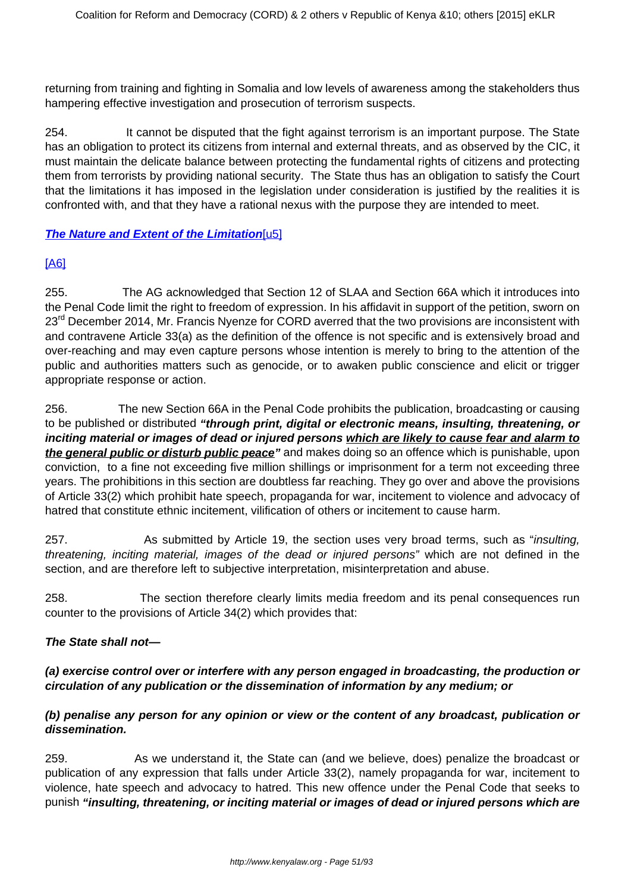returning from training and fighting in Somalia and low levels of awareness among the stakeholders thus hampering effective investigation and prosecution of terrorism suspects.

254. It cannot be disputed that the fight against terrorism is an important purpose. The State has an obligation to protect its citizens from internal and external threats, and as observed by the CIC, it must maintain the delicate balance between protecting the fundamental rights of citizens and protecting them from terrorists by providing national security. The State thus has an obligation to satisfy the Court that the limitations it has imposed in the legislation under consideration is justified by the realities it is confronted with, and that they have a rational nexus with the purpose they are intended to meet.

#### **The Nature and Extent of the Limitation**[\[u5\]](file:///C:/Users/Musa/Downloads/SECURITY_LAW_AMENDMNET_ACT_JUDGMENT%20(1).doc#_msocom_5)

# [\[A6\]](file:///C:/Users/Musa/Downloads/SECURITY_LAW_AMENDMNET_ACT_JUDGMENT%20(1).doc#_msocom_6)

255. The AG acknowledged that Section 12 of SLAA and Section 66A which it introduces into the Penal Code limit the right to freedom of expression. In his affidavit in support of the petition, sworn on 23<sup>rd</sup> December 2014, Mr. Francis Nyenze for CORD averred that the two provisions are inconsistent with and contravene Article 33(a) as the definition of the offence is not specific and is extensively broad and over-reaching and may even capture persons whose intention is merely to bring to the attention of the public and authorities matters such as genocide, or to awaken public conscience and elicit or trigger appropriate response or action.

256. The new Section 66A in the Penal Code prohibits the publication, broadcasting or causing to be published or distributed **"through print, digital or electronic means, insulting, threatening, or inciting material or images of dead or injured persons which are likely to cause fear and alarm to the general public or disturb public peace"** and makes doing so an offence which is punishable, upon conviction, to a fine not exceeding five million shillings or imprisonment for a term not exceeding three years. The prohibitions in this section are doubtless far reaching. They go over and above the provisions of Article 33(2) which prohibit hate speech, propaganda for war, incitement to violence and advocacy of hatred that constitute ethnic incitement, vilification of others or incitement to cause harm.

257. As submitted by Article 19, the section uses very broad terms, such as "insulting, threatening, inciting material, images of the dead or injured persons" which are not defined in the section, and are therefore left to subjective interpretation, misinterpretation and abuse.

258. The section therefore clearly limits media freedom and its penal consequences run counter to the provisions of Article 34(2) which provides that:

#### **The State shall not—**

# **(a) exercise control over or interfere with any person engaged in broadcasting, the production or circulation of any publication or the dissemination of information by any medium; or**

# **(b) penalise any person for any opinion or view or the content of any broadcast, publication or dissemination.**

259. As we understand it, the State can (and we believe, does) penalize the broadcast or publication of any expression that falls under Article 33(2), namely propaganda for war, incitement to violence, hate speech and advocacy to hatred. This new offence under the Penal Code that seeks to punish **"insulting, threatening, or inciting material or images of dead or injured persons which are**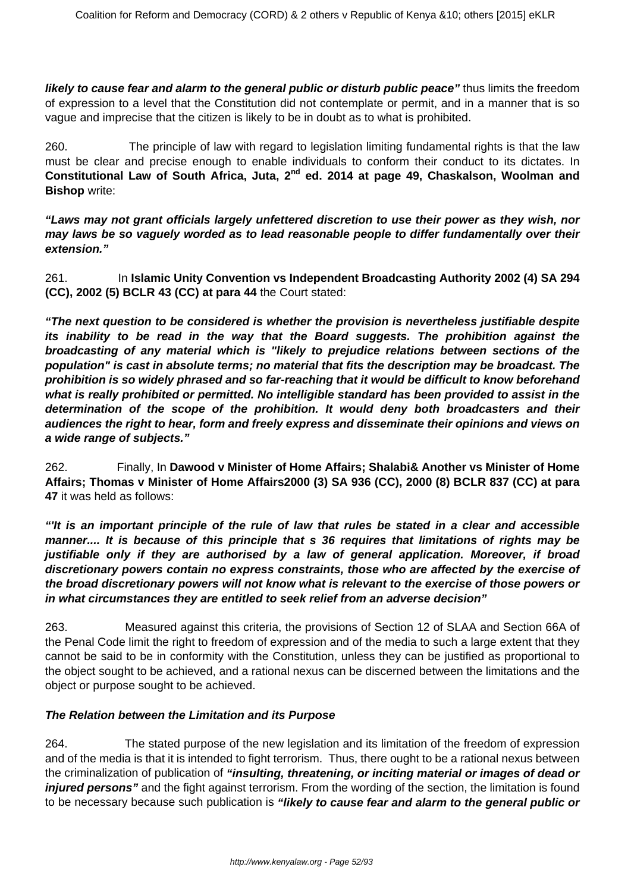**likely to cause fear and alarm to the general public or disturb public peace"** thus limits the freedom of expression to a level that the Constitution did not contemplate or permit, and in a manner that is so vague and imprecise that the citizen is likely to be in doubt as to what is prohibited.

260. The principle of law with regard to legislation limiting fundamental rights is that the law must be clear and precise enough to enable individuals to conform their conduct to its dictates. In **Constitutional Law of South Africa, Juta, 2nd ed. 2014 at page 49, Chaskalson, Woolman and Bishop** write:

**"Laws may not grant officials largely unfettered discretion to use their power as they wish, nor may laws be so vaguely worded as to lead reasonable people to differ fundamentally over their extension."**

261. In **Islamic Unity Convention vs Independent Broadcasting Authority 2002 (4) SA 294 (CC), 2002 (5) BCLR 43 (CC) at para 44** the Court stated:

**"The next question to be considered is whether the provision is nevertheless justifiable despite its inability to be read in the way that the Board suggests. The prohibition against the broadcasting of any material which is "likely to prejudice relations between sections of the population" is cast in absolute terms; no material that fits the description may be broadcast. The prohibition is so widely phrased and so far-reaching that it would be difficult to know beforehand what is really prohibited or permitted. No intelligible standard has been provided to assist in the determination of the scope of the prohibition. It would deny both broadcasters and their audiences the right to hear, form and freely express and disseminate their opinions and views on a wide range of subjects."**

262. Finally, In **Dawood v Minister of Home Affairs; Shalabi& Another vs Minister of Home Affairs; Thomas v Minister of Home Affairs2000 (3) SA 936 (CC), 2000 (8) BCLR 837 (CC) at para 47** it was held as follows:

**"'It is an important principle of the rule of law that rules be stated in a clear and accessible manner.... It is because of this principle that s 36 requires that limitations of rights may be justifiable only if they are authorised by a law of general application. Moreover, if broad discretionary powers contain no express constraints, those who are affected by the exercise of the broad discretionary powers will not know what is relevant to the exercise of those powers or in what circumstances they are entitled to seek relief from an adverse decision"**

263. Measured against this criteria, the provisions of Section 12 of SLAA and Section 66A of the Penal Code limit the right to freedom of expression and of the media to such a large extent that they cannot be said to be in conformity with the Constitution, unless they can be justified as proportional to the object sought to be achieved, and a rational nexus can be discerned between the limitations and the object or purpose sought to be achieved.

# **The Relation between the Limitation and its Purpose**

264. The stated purpose of the new legislation and its limitation of the freedom of expression and of the media is that it is intended to fight terrorism. Thus, there ought to be a rational nexus between the criminalization of publication of **"insulting, threatening, or inciting material or images of dead or** *injured persons* and the fight against terrorism. From the wording of the section, the limitation is found to be necessary because such publication is **"likely to cause fear and alarm to the general public or**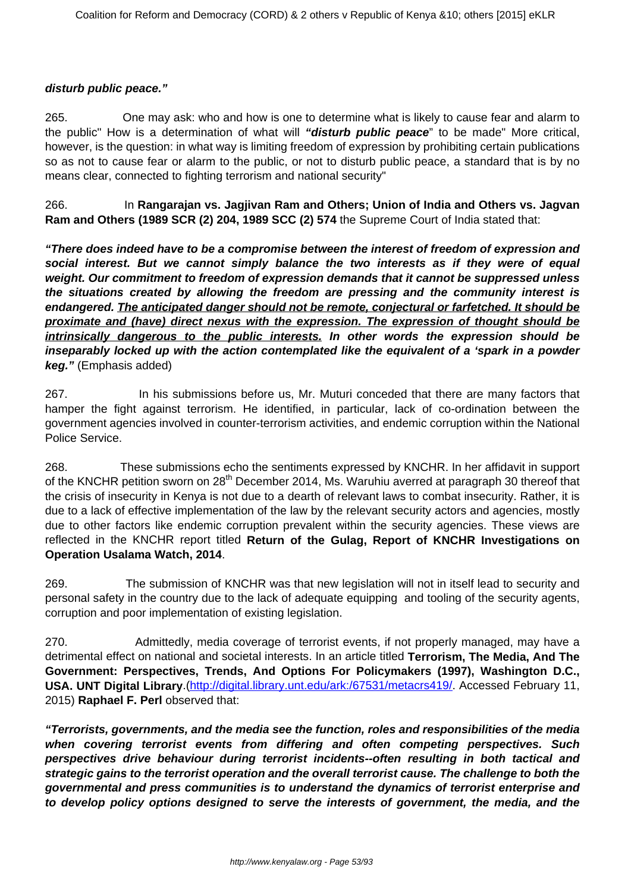#### **disturb public peace."**

265. One may ask: who and how is one to determine what is likely to cause fear and alarm to the public" How is a determination of what will **"disturb public peace**" to be made" More critical, however, is the question: in what way is limiting freedom of expression by prohibiting certain publications so as not to cause fear or alarm to the public, or not to disturb public peace, a standard that is by no means clear, connected to fighting terrorism and national security"

266. In **Rangarajan vs. Jagjivan Ram and Others; Union of India and Others vs. Jagvan Ram and Others (1989 SCR (2) 204, 1989 SCC (2) 574** the Supreme Court of India stated that:

**"There does indeed have to be a compromise between the interest of freedom of expression and social interest. But we cannot simply balance the two interests as if they were of equal weight. Our commitment to freedom of expression demands that it cannot be suppressed unless the situations created by allowing the freedom are pressing and the community interest is endangered. The anticipated danger should not be remote, conjectural or farfetched. It should be proximate and (have) direct nexus with the expression. The expression of thought should be intrinsically dangerous to the public interests. In other words the expression should be inseparably locked up with the action contemplated like the equivalent of a 'spark in a powder keg."** (Emphasis added)

267. In his submissions before us, Mr. Muturi conceded that there are many factors that hamper the fight against terrorism. He identified, in particular, lack of co-ordination between the government agencies involved in counter-terrorism activities, and endemic corruption within the National Police Service.

268. These submissions echo the sentiments expressed by KNCHR. In her affidavit in support of the KNCHR petition sworn on 28<sup>th</sup> December 2014, Ms. Waruhiu averred at paragraph 30 thereof that the crisis of insecurity in Kenya is not due to a dearth of relevant laws to combat insecurity. Rather, it is due to a lack of effective implementation of the law by the relevant security actors and agencies, mostly due to other factors like endemic corruption prevalent within the security agencies. These views are reflected in the KNCHR report titled **Return of the Gulag, Report of KNCHR Investigations on Operation Usalama Watch, 2014**.

269. The submission of KNCHR was that new legislation will not in itself lead to security and personal safety in the country due to the lack of adequate equipping and tooling of the security agents, corruption and poor implementation of existing legislation.

270. Admittedly, media coverage of terrorist events, if not properly managed, may have a detrimental effect on national and societal interests. In an article titled **Terrorism, The Media, And The Government: Perspectives, Trends, And Options For Policymakers (1997), Washington D.C., USA. UNT Digital Library**.[\(http://digital.library.unt.edu/ark:/67531/metacrs419/.](http://digital.library.unt.edu/ark:/67531/metacrs419/) Accessed February 11, 2015) **Raphael F. Perl** observed that:

**"Terrorists, governments, and the media see the function, roles and responsibilities of the media when covering terrorist events from differing and often competing perspectives. Such perspectives drive behaviour during terrorist incidents--often resulting in both tactical and strategic gains to the terrorist operation and the overall terrorist cause. The challenge to both the governmental and press communities is to understand the dynamics of terrorist enterprise and to develop policy options designed to serve the interests of government, the media, and the**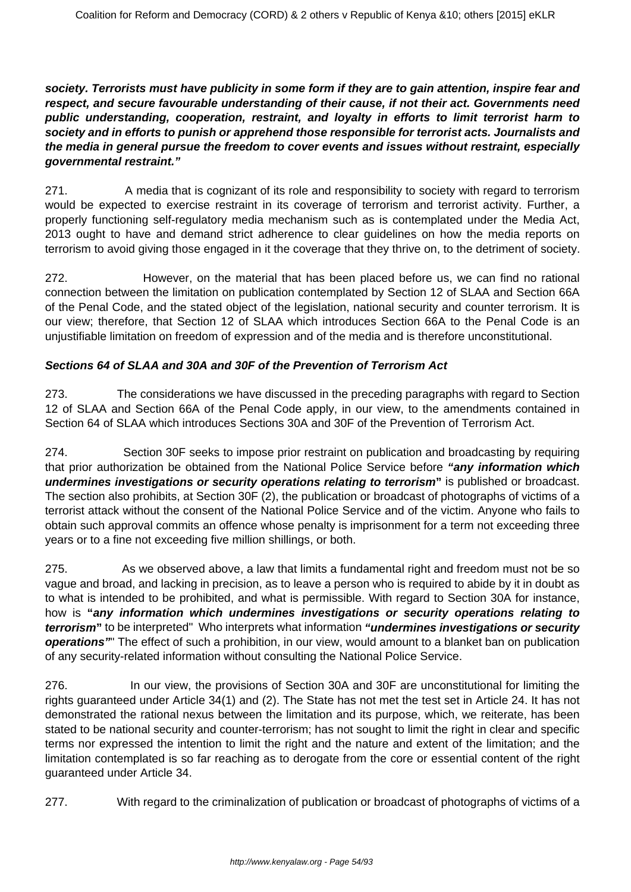**society. Terrorists must have publicity in some form if they are to gain attention, inspire fear and respect, and secure favourable understanding of their cause, if not their act. Governments need public understanding, cooperation, restraint, and loyalty in efforts to limit terrorist harm to society and in efforts to punish or apprehend those responsible for terrorist acts. Journalists and the media in general pursue the freedom to cover events and issues without restraint, especially governmental restraint."**

271. A media that is cognizant of its role and responsibility to society with regard to terrorism would be expected to exercise restraint in its coverage of terrorism and terrorist activity. Further, a properly functioning self-regulatory media mechanism such as is contemplated under the Media Act, 2013 ought to have and demand strict adherence to clear guidelines on how the media reports on terrorism to avoid giving those engaged in it the coverage that they thrive on, to the detriment of society.

272. However, on the material that has been placed before us, we can find no rational connection between the limitation on publication contemplated by Section 12 of SLAA and Section 66A of the Penal Code, and the stated object of the legislation, national security and counter terrorism. It is our view; therefore, that Section 12 of SLAA which introduces Section 66A to the Penal Code is an unjustifiable limitation on freedom of expression and of the media and is therefore unconstitutional.

# **Sections 64 of SLAA and 30A and 30F of the Prevention of Terrorism Act**

273. The considerations we have discussed in the preceding paragraphs with regard to Section 12 of SLAA and Section 66A of the Penal Code apply, in our view, to the amendments contained in Section 64 of SLAA which introduces Sections 30A and 30F of the Prevention of Terrorism Act.

274. Section 30F seeks to impose prior restraint on publication and broadcasting by requiring that prior authorization be obtained from the National Police Service before **"any information which undermines investigations or security operations relating to terrorism"** is published or broadcast. The section also prohibits, at Section 30F (2), the publication or broadcast of photographs of victims of a terrorist attack without the consent of the National Police Service and of the victim. Anyone who fails to obtain such approval commits an offence whose penalty is imprisonment for a term not exceeding three years or to a fine not exceeding five million shillings, or both.

275. As we observed above, a law that limits a fundamental right and freedom must not be so vague and broad, and lacking in precision, as to leave a person who is required to abide by it in doubt as to what is intended to be prohibited, and what is permissible. With regard to Section 30A for instance, how is **"any information which undermines investigations or security operations relating to terrorism"** to be interpreted" Who interprets what information **"undermines investigations or security operations"**" The effect of such a prohibition, in our view, would amount to a blanket ban on publication of any security-related information without consulting the National Police Service.

276. In our view, the provisions of Section 30A and 30F are unconstitutional for limiting the rights guaranteed under Article 34(1) and (2). The State has not met the test set in Article 24. It has not demonstrated the rational nexus between the limitation and its purpose, which, we reiterate, has been stated to be national security and counter-terrorism; has not sought to limit the right in clear and specific terms nor expressed the intention to limit the right and the nature and extent of the limitation; and the limitation contemplated is so far reaching as to derogate from the core or essential content of the right guaranteed under Article 34.

277. With regard to the criminalization of publication or broadcast of photographs of victims of a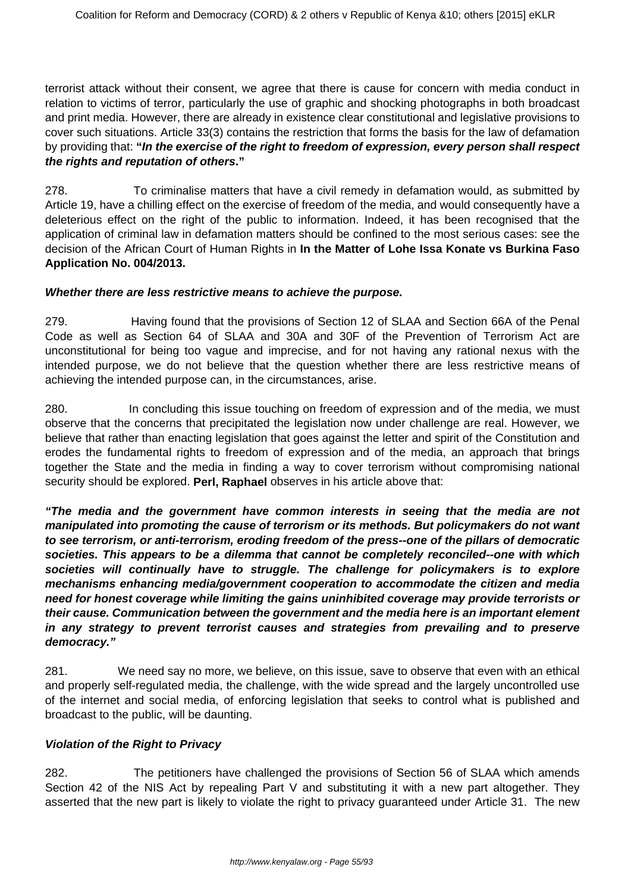terrorist attack without their consent, we agree that there is cause for concern with media conduct in relation to victims of terror, particularly the use of graphic and shocking photographs in both broadcast and print media. However, there are already in existence clear constitutional and legislative provisions to cover such situations. Article 33(3) contains the restriction that forms the basis for the law of defamation by providing that: **"In the exercise of the right to freedom of expression, every person shall respect the rights and reputation of others."**

278. To criminalise matters that have a civil remedy in defamation would, as submitted by Article 19, have a chilling effect on the exercise of freedom of the media, and would consequently have a deleterious effect on the right of the public to information. Indeed, it has been recognised that the application of criminal law in defamation matters should be confined to the most serious cases: see the decision of the African Court of Human Rights in **In the Matter of Lohe Issa Konate vs Burkina Faso Application No. 004/2013.**

#### **Whether there are less restrictive means to achieve the purpose.**

279. Having found that the provisions of Section 12 of SLAA and Section 66A of the Penal Code as well as Section 64 of SLAA and 30A and 30F of the Prevention of Terrorism Act are unconstitutional for being too vague and imprecise, and for not having any rational nexus with the intended purpose, we do not believe that the question whether there are less restrictive means of achieving the intended purpose can, in the circumstances, arise.

280. In concluding this issue touching on freedom of expression and of the media, we must observe that the concerns that precipitated the legislation now under challenge are real. However, we believe that rather than enacting legislation that goes against the letter and spirit of the Constitution and erodes the fundamental rights to freedom of expression and of the media, an approach that brings together the State and the media in finding a way to cover terrorism without compromising national security should be explored. **Perl, Raphael** observes in his article above that:

**"The media and the government have common interests in seeing that the media are not manipulated into promoting the cause of terrorism or its methods. But policymakers do not want to see terrorism, or anti-terrorism, eroding freedom of the press--one of the pillars of democratic societies. This appears to be a dilemma that cannot be completely reconciled--one with which societies will continually have to struggle. The challenge for policymakers is to explore mechanisms enhancing media/government cooperation to accommodate the citizen and media need for honest coverage while limiting the gains uninhibited coverage may provide terrorists or their cause. Communication between the government and the media here is an important element in any strategy to prevent terrorist causes and strategies from prevailing and to preserve democracy."**

281. We need say no more, we believe, on this issue, save to observe that even with an ethical and properly self-regulated media, the challenge, with the wide spread and the largely uncontrolled use of the internet and social media, of enforcing legislation that seeks to control what is published and broadcast to the public, will be daunting.

# **Violation of the Right to Privacy**

282. The petitioners have challenged the provisions of Section 56 of SLAA which amends Section 42 of the NIS Act by repealing Part V and substituting it with a new part altogether. They asserted that the new part is likely to violate the right to privacy guaranteed under Article 31. The new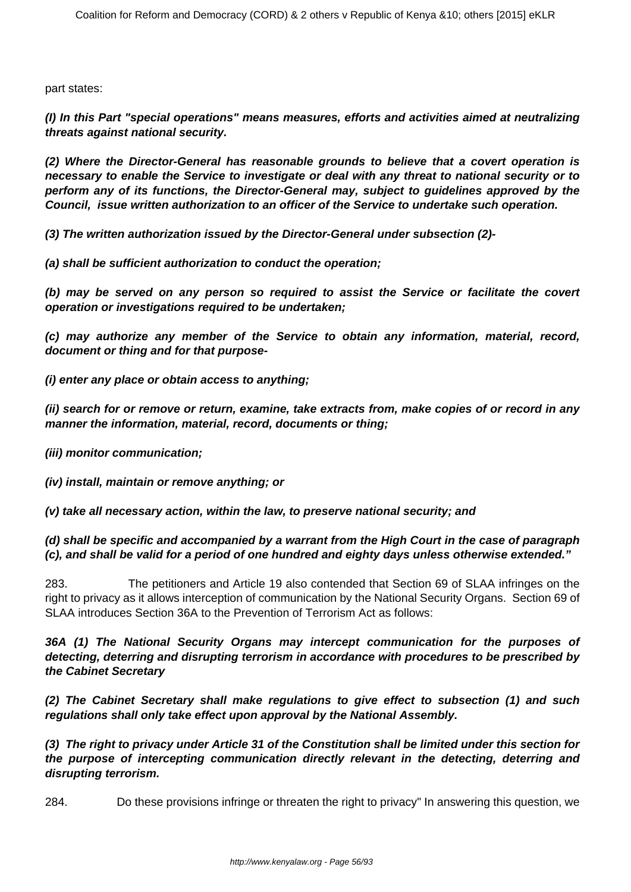part states:

**(I) In this Part "special operations" means measures, efforts and activities aimed at neutralizing threats against national security.**

**(2) Where the Director-General has reasonable grounds to believe that a covert operation is necessary to enable the Service to investigate or deal with any threat to national security or to perform any of its functions, the Director-General may, subject to guidelines approved by the Council, issue written authorization to an officer of the Service to undertake such operation.**

**(3) The written authorization issued by the Director-General under subsection (2)-**

**(a) shall be sufficient authorization to conduct the operation;**

**(b) may be served on any person so required to assist the Service or facilitate the covert operation or investigations required to be undertaken;**

**(c) may authorize any member of the Service to obtain any information, material, record, document or thing and for that purpose-**

**(i) enter any place or obtain access to anything;**

**(ii) search for or remove or return, examine, take extracts from, make copies of or record in any manner the information, material, record, documents or thing;**

**(iii) monitor communication;**

**(iv) install, maintain or remove anything; or**

**(v) take all necessary action, within the law, to preserve national security; and**

**(d) shall be specific and accompanied by a warrant from the High Court in the case of paragraph (c), and shall be valid for a period of one hundred and eighty days unless otherwise extended."**

283. The petitioners and Article 19 also contended that Section 69 of SLAA infringes on the right to privacy as it allows interception of communication by the National Security Organs. Section 69 of SLAA introduces Section 36A to the Prevention of Terrorism Act as follows:

**36A (1) The National Security Organs may intercept communication for the purposes of detecting, deterring and disrupting terrorism in accordance with procedures to be prescribed by the Cabinet Secretary**

**(2) The Cabinet Secretary shall make regulations to give effect to subsection (1) and such regulations shall only take effect upon approval by the National Assembly.**

**(3) The right to privacy under Article 31 of the Constitution shall be limited under this section for the purpose of intercepting communication directly relevant in the detecting, deterring and disrupting terrorism.**

284. Do these provisions infringe or threaten the right to privacy" In answering this question, we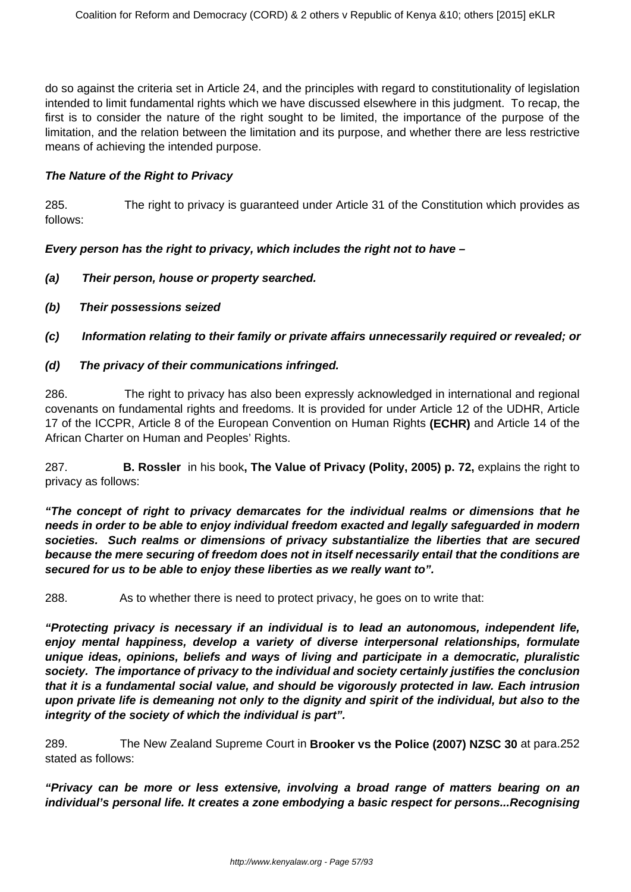do so against the criteria set in Article 24, and the principles with regard to constitutionality of legislation intended to limit fundamental rights which we have discussed elsewhere in this judgment. To recap, the first is to consider the nature of the right sought to be limited, the importance of the purpose of the limitation, and the relation between the limitation and its purpose, and whether there are less restrictive means of achieving the intended purpose.

#### **The Nature of the Right to Privacy**

285. The right to privacy is guaranteed under Article 31 of the Constitution which provides as follows:

**Every person has the right to privacy, which includes the right not to have –**

- **(a) Their person, house or property searched.**
- **(b) Their possessions seized**

**(c) Information relating to their family or private affairs unnecessarily required or revealed; or** 

#### **(d) The privacy of their communications infringed.**

286. The right to privacy has also been expressly acknowledged in international and regional covenants on fundamental rights and freedoms. It is provided for under Article 12 of the UDHR, Article 17 of the ICCPR, Article 8 of the European Convention on Human Rights **(ECHR)** and Article 14 of the African Charter on Human and Peoples' Rights.

287. **B. Rossler** in his book**, The Value of Privacy (Polity, 2005) p. 72,** explains the right to privacy as follows:

**"The concept of right to privacy demarcates for the individual realms or dimensions that he needs in order to be able to enjoy individual freedom exacted and legally safeguarded in modern societies. Such realms or dimensions of privacy substantialize the liberties that are secured because the mere securing of freedom does not in itself necessarily entail that the conditions are secured for us to be able to enjoy these liberties as we really want to".**

288. As to whether there is need to protect privacy, he goes on to write that:

**"Protecting privacy is necessary if an individual is to lead an autonomous, independent life, enjoy mental happiness, develop a variety of diverse interpersonal relationships, formulate unique ideas, opinions, beliefs and ways of living and participate in a democratic, pluralistic society. The importance of privacy to the individual and society certainly justifies the conclusion that it is a fundamental social value, and should be vigorously protected in law. Each intrusion upon private life is demeaning not only to the dignity and spirit of the individual, but also to the integrity of the society of which the individual is part".**

289. The New Zealand Supreme Court in **Brooker vs the Police (2007) NZSC 30** at para.252 stated as follows:

**"Privacy can be more or less extensive, involving a broad range of matters bearing on an individual's personal life. It creates a zone embodying a basic respect for persons...Recognising**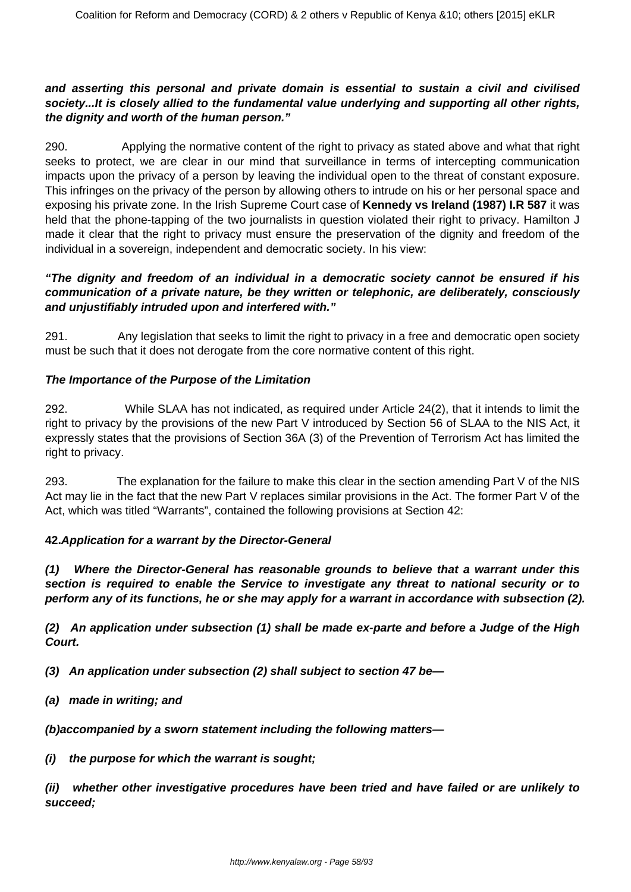#### **and asserting this personal and private domain is essential to sustain a civil and civilised society...It is closely allied to the fundamental value underlying and supporting all other rights, the dignity and worth of the human person."**

290. Applying the normative content of the right to privacy as stated above and what that right seeks to protect, we are clear in our mind that surveillance in terms of intercepting communication impacts upon the privacy of a person by leaving the individual open to the threat of constant exposure. This infringes on the privacy of the person by allowing others to intrude on his or her personal space and exposing his private zone. In the Irish Supreme Court case of **Kennedy vs Ireland (1987) I.R 587** it was held that the phone-tapping of the two journalists in question violated their right to privacy. Hamilton J made it clear that the right to privacy must ensure the preservation of the dignity and freedom of the individual in a sovereign, independent and democratic society. In his view:

# **"The dignity and freedom of an individual in a democratic society cannot be ensured if his communication of a private nature, be they written or telephonic, are deliberately, consciously and unjustifiably intruded upon and interfered with."**

291. Any legislation that seeks to limit the right to privacy in a free and democratic open society must be such that it does not derogate from the core normative content of this right.

#### **The Importance of the Purpose of the Limitation**

292. While SLAA has not indicated, as required under Article 24(2), that it intends to limit the right to privacy by the provisions of the new Part V introduced by Section 56 of SLAA to the NIS Act, it expressly states that the provisions of Section 36A (3) of the Prevention of Terrorism Act has limited the right to privacy.

293. The explanation for the failure to make this clear in the section amending Part V of the NIS Act may lie in the fact that the new Part V replaces similar provisions in the Act. The former Part V of the Act, which was titled "Warrants", contained the following provisions at Section 42:

#### **42.Application for a warrant by the Director-General**

**(1) Where the Director-General has reasonable grounds to believe that a warrant under this section is required to enable the Service to investigate any threat to national security or to perform any of its functions, he or she may apply for a warrant in accordance with subsection (2).**

**(2) An application under subsection (1) shall be made ex-parte and before a Judge of the High Court.**

**(3) An application under subsection (2) shall subject to section 47 be—**

**(a) made in writing; and**

**(b)accompanied by a sworn statement including the following matters—**

**(i) the purpose for which the warrant is sought;**

**(ii) whether other investigative procedures have been tried and have failed or are unlikely to succeed;**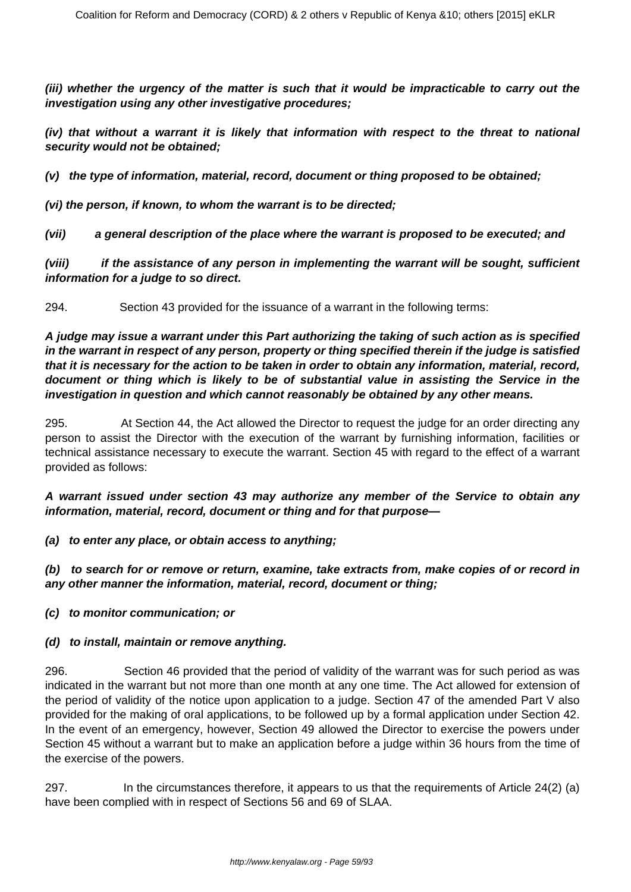**(iii) whether the urgency of the matter is such that it would be impracticable to carry out the investigation using any other investigative procedures;**

**(iv) that without a warrant it is likely that information with respect to the threat to national security would not be obtained;**

**(v) the type of information, material, record, document or thing proposed to be obtained;**

**(vi) the person, if known, to whom the warrant is to be directed;**

**(vii) a general description of the place where the warrant is proposed to be executed; and**

**(viii) if the assistance of any person in implementing the warrant will be sought, sufficient information for a judge to so direct.**

294. Section 43 provided for the issuance of a warrant in the following terms:

**A judge may issue a warrant under this Part authorizing the taking of such action as is specified in the warrant in respect of any person, property or thing specified therein if the judge is satisfied that it is necessary for the action to be taken in order to obtain any information, material, record, document or thing which is likely to be of substantial value in assisting the Service in the investigation in question and which cannot reasonably be obtained by any other means.**

295. At Section 44, the Act allowed the Director to request the judge for an order directing any person to assist the Director with the execution of the warrant by furnishing information, facilities or technical assistance necessary to execute the warrant. Section 45 with regard to the effect of a warrant provided as follows:

**A warrant issued under section 43 may authorize any member of the Service to obtain any information, material, record, document or thing and for that purpose—**

**(a) to enter any place, or obtain access to anything;**

**(b) to search for or remove or return, examine, take extracts from, make copies of or record in any other manner the information, material, record, document or thing;**

**(c) to monitor communication; or**

#### **(d) to install, maintain or remove anything.**

296. Section 46 provided that the period of validity of the warrant was for such period as was indicated in the warrant but not more than one month at any one time. The Act allowed for extension of the period of validity of the notice upon application to a judge. Section 47 of the amended Part V also provided for the making of oral applications, to be followed up by a formal application under Section 42. In the event of an emergency, however, Section 49 allowed the Director to exercise the powers under Section 45 without a warrant but to make an application before a judge within 36 hours from the time of the exercise of the powers.

297. In the circumstances therefore, it appears to us that the requirements of Article 24(2) (a) have been complied with in respect of Sections 56 and 69 of SLAA.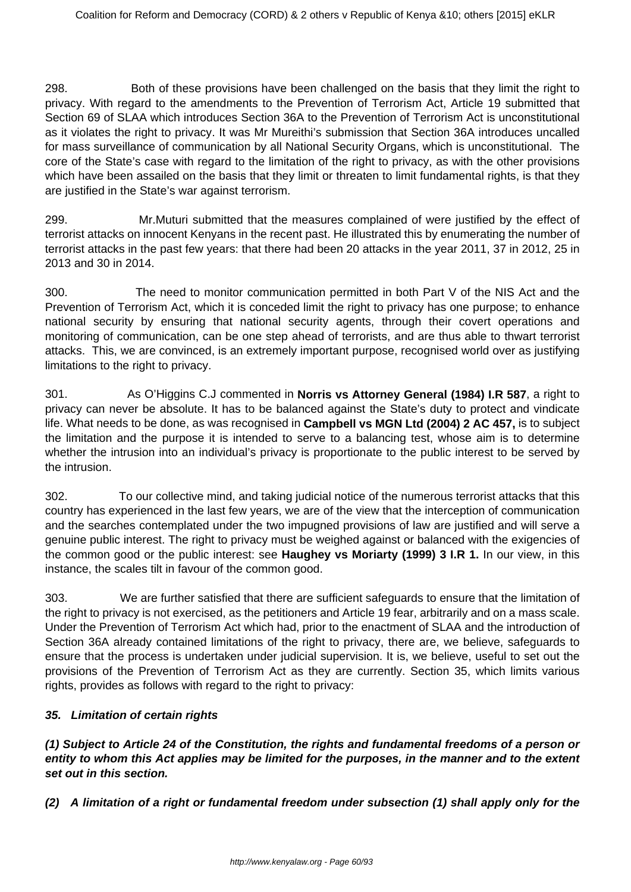298. Both of these provisions have been challenged on the basis that they limit the right to privacy. With regard to the amendments to the Prevention of Terrorism Act, Article 19 submitted that Section 69 of SLAA which introduces Section 36A to the Prevention of Terrorism Act is unconstitutional as it violates the right to privacy. It was Mr Mureithi's submission that Section 36A introduces uncalled for mass surveillance of communication by all National Security Organs, which is unconstitutional. The core of the State's case with regard to the limitation of the right to privacy, as with the other provisions which have been assailed on the basis that they limit or threaten to limit fundamental rights, is that they are justified in the State's war against terrorism.

299. Mr.Muturi submitted that the measures complained of were justified by the effect of terrorist attacks on innocent Kenyans in the recent past. He illustrated this by enumerating the number of terrorist attacks in the past few years: that there had been 20 attacks in the year 2011, 37 in 2012, 25 in 2013 and 30 in 2014.

300. The need to monitor communication permitted in both Part V of the NIS Act and the Prevention of Terrorism Act, which it is conceded limit the right to privacy has one purpose; to enhance national security by ensuring that national security agents, through their covert operations and monitoring of communication, can be one step ahead of terrorists, and are thus able to thwart terrorist attacks. This, we are convinced, is an extremely important purpose, recognised world over as justifying limitations to the right to privacy.

301. As O'Higgins C.J commented in **Norris vs Attorney General (1984) I.R 587**, a right to privacy can never be absolute. It has to be balanced against the State's duty to protect and vindicate life. What needs to be done, as was recognised in **Campbell vs MGN Ltd (2004) 2 AC 457,** is to subject the limitation and the purpose it is intended to serve to a balancing test, whose aim is to determine whether the intrusion into an individual's privacy is proportionate to the public interest to be served by the intrusion.

302. To our collective mind, and taking judicial notice of the numerous terrorist attacks that this country has experienced in the last few years, we are of the view that the interception of communication and the searches contemplated under the two impugned provisions of law are justified and will serve a genuine public interest. The right to privacy must be weighed against or balanced with the exigencies of the common good or the public interest: see **Haughey vs Moriarty (1999) 3 I.R 1.** In our view, in this instance, the scales tilt in favour of the common good.

303. We are further satisfied that there are sufficient safeguards to ensure that the limitation of the right to privacy is not exercised, as the petitioners and Article 19 fear, arbitrarily and on a mass scale. Under the Prevention of Terrorism Act which had, prior to the enactment of SLAA and the introduction of Section 36A already contained limitations of the right to privacy, there are, we believe, safeguards to ensure that the process is undertaken under judicial supervision. It is, we believe, useful to set out the provisions of the Prevention of Terrorism Act as they are currently. Section 35, which limits various rights, provides as follows with regard to the right to privacy:

# **35. Limitation of certain rights**

**(1) Subject to Article 24 of the Constitution, the rights and fundamental freedoms of a person or entity to whom this Act applies may be limited for the purposes, in the manner and to the extent set out in this section.**

**(2) A limitation of a right or fundamental freedom under subsection (1) shall apply only for the**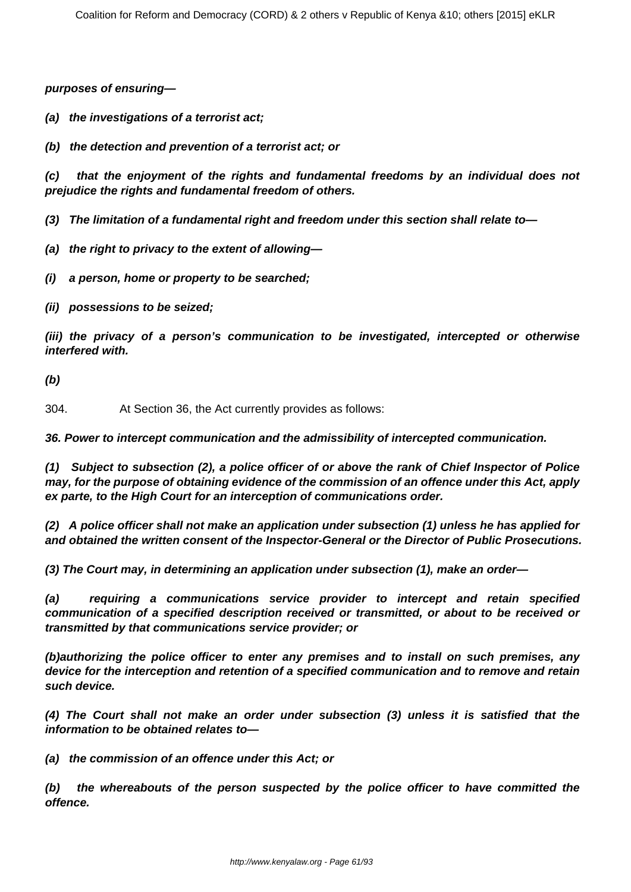**purposes of ensuring—**

**(a) the investigations of a terrorist act;**

**(b) the detection and prevention of a terrorist act; or**

**(c) that the enjoyment of the rights and fundamental freedoms by an individual does not prejudice the rights and fundamental freedom of others.**

**(3) The limitation of a fundamental right and freedom under this section shall relate to—**

- **(a) the right to privacy to the extent of allowing—**
- **(i) a person, home or property to be searched;**

**(ii) possessions to be seized;**

**(iii) the privacy of a person's communication to be investigated, intercepted or otherwise interfered with.**

**(b)**

304. At Section 36, the Act currently provides as follows:

**36. Power to intercept communication and the admissibility of intercepted communication.**

**(1) Subject to subsection (2), a police officer of or above the rank of Chief Inspector of Police may, for the purpose of obtaining evidence of the commission of an offence under this Act, apply ex parte, to the High Court for an interception of communications order.**

**(2) A police officer shall not make an application under subsection (1) unless he has applied for and obtained the written consent of the Inspector-General or the Director of Public Prosecutions.**

**(3) The Court may, in determining an application under subsection (1), make an order—**

**(a) requiring a communications service provider to intercept and retain specified communication of a specified description received or transmitted, or about to be received or transmitted by that communications service provider; or**

**(b)authorizing the police officer to enter any premises and to install on such premises, any device for the interception and retention of a specified communication and to remove and retain such device.**

**(4) The Court shall not make an order under subsection (3) unless it is satisfied that the information to be obtained relates to—**

**(a) the commission of an offence under this Act; or**

**(b) the whereabouts of the person suspected by the police officer to have committed the offence.**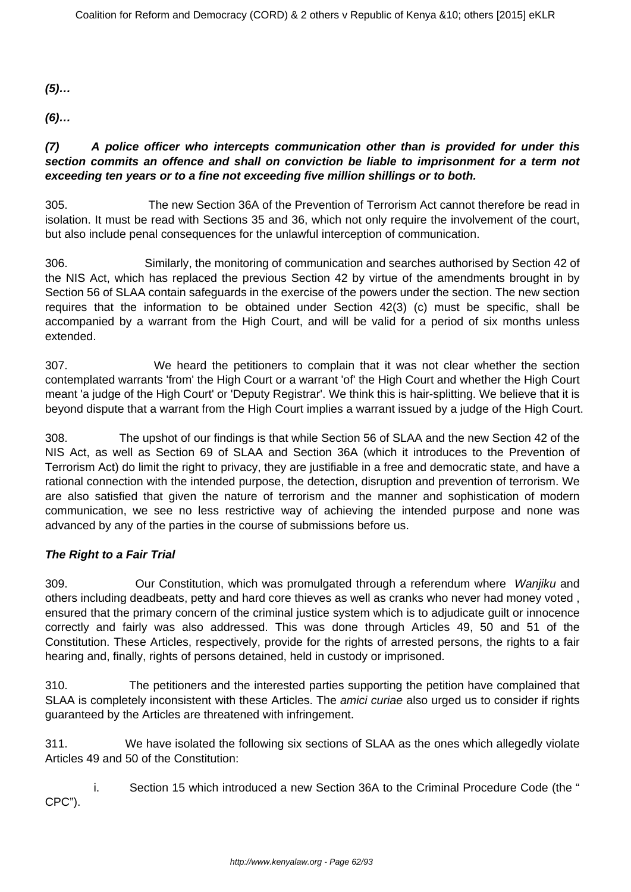**(5)…**

**(6)…**

# **(7) A police officer who intercepts communication other than is provided for under this section commits an offence and shall on conviction be liable to imprisonment for a term not exceeding ten years or to a fine not exceeding five million shillings or to both.**

305. The new Section 36A of the Prevention of Terrorism Act cannot therefore be read in isolation. It must be read with Sections 35 and 36, which not only require the involvement of the court, but also include penal consequences for the unlawful interception of communication.

306. Similarly, the monitoring of communication and searches authorised by Section 42 of the NIS Act, which has replaced the previous Section 42 by virtue of the amendments brought in by Section 56 of SLAA contain safeguards in the exercise of the powers under the section. The new section requires that the information to be obtained under Section 42(3) (c) must be specific, shall be accompanied by a warrant from the High Court, and will be valid for a period of six months unless extended.

307. We heard the petitioners to complain that it was not clear whether the section contemplated warrants 'from' the High Court or a warrant 'of' the High Court and whether the High Court meant 'a judge of the High Court' or 'Deputy Registrar'. We think this is hair-splitting. We believe that it is beyond dispute that a warrant from the High Court implies a warrant issued by a judge of the High Court.

308. The upshot of our findings is that while Section 56 of SLAA and the new Section 42 of the NIS Act, as well as Section 69 of SLAA and Section 36A (which it introduces to the Prevention of Terrorism Act) do limit the right to privacy, they are justifiable in a free and democratic state, and have a rational connection with the intended purpose, the detection, disruption and prevention of terrorism. We are also satisfied that given the nature of terrorism and the manner and sophistication of modern communication, we see no less restrictive way of achieving the intended purpose and none was advanced by any of the parties in the course of submissions before us.

# **The Right to a Fair Trial**

309. Our Constitution, which was promulgated through a referendum where Wanjiku and others including deadbeats, petty and hard core thieves as well as cranks who never had money voted , ensured that the primary concern of the criminal justice system which is to adjudicate guilt or innocence correctly and fairly was also addressed. This was done through Articles 49, 50 and 51 of the Constitution. These Articles, respectively, provide for the rights of arrested persons, the rights to a fair hearing and, finally, rights of persons detained, held in custody or imprisoned.

310. The petitioners and the interested parties supporting the petition have complained that SLAA is completely inconsistent with these Articles. The *amici curiae* also urged us to consider if rights guaranteed by the Articles are threatened with infringement.

311. We have isolated the following six sections of SLAA as the ones which allegedly violate Articles 49 and 50 of the Constitution:

 i. Section 15 which introduced a new Section 36A to the Criminal Procedure Code (the " CPC").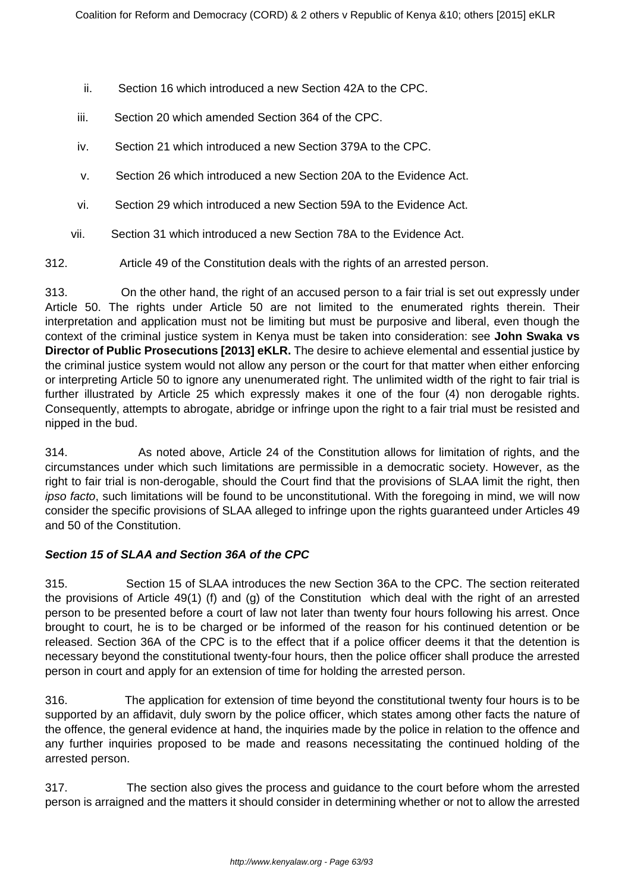- ii. Section 16 which introduced a new Section 42A to the CPC.
- iii. Section 20 which amended Section 364 of the CPC.
- iv. Section 21 which introduced a new Section 379A to the CPC.
- v. Section 26 which introduced a new Section 20A to the Evidence Act.
- vi. Section 29 which introduced a new Section 59A to the Evidence Act.
- vii. Section 31 which introduced a new Section 78A to the Evidence Act.

312. Article 49 of the Constitution deals with the rights of an arrested person.

313. On the other hand, the right of an accused person to a fair trial is set out expressly under Article 50. The rights under Article 50 are not limited to the enumerated rights therein. Their interpretation and application must not be limiting but must be purposive and liberal, even though the context of the criminal justice system in Kenya must be taken into consideration: see **John Swaka vs Director of Public Prosecutions [2013] eKLR.** The desire to achieve elemental and essential justice by the criminal justice system would not allow any person or the court for that matter when either enforcing or interpreting Article 50 to ignore any unenumerated right. The unlimited width of the right to fair trial is further illustrated by Article 25 which expressly makes it one of the four (4) non derogable rights. Consequently, attempts to abrogate, abridge or infringe upon the right to a fair trial must be resisted and nipped in the bud.

314. As noted above, Article 24 of the Constitution allows for limitation of rights, and the circumstances under which such limitations are permissible in a democratic society. However, as the right to fair trial is non-derogable, should the Court find that the provisions of SLAA limit the right, then ipso facto, such limitations will be found to be unconstitutional. With the foregoing in mind, we will now consider the specific provisions of SLAA alleged to infringe upon the rights guaranteed under Articles 49 and 50 of the Constitution.

# **Section 15 of SLAA and Section 36A of the CPC**

315. Section 15 of SLAA introduces the new Section 36A to the CPC. The section reiterated the provisions of Article 49(1) (f) and (g) of the Constitution which deal with the right of an arrested person to be presented before a court of law not later than twenty four hours following his arrest. Once brought to court, he is to be charged or be informed of the reason for his continued detention or be released. Section 36A of the CPC is to the effect that if a police officer deems it that the detention is necessary beyond the constitutional twenty-four hours, then the police officer shall produce the arrested person in court and apply for an extension of time for holding the arrested person.

316. The application for extension of time beyond the constitutional twenty four hours is to be supported by an affidavit, duly sworn by the police officer, which states among other facts the nature of the offence, the general evidence at hand, the inquiries made by the police in relation to the offence and any further inquiries proposed to be made and reasons necessitating the continued holding of the arrested person.

317. The section also gives the process and guidance to the court before whom the arrested person is arraigned and the matters it should consider in determining whether or not to allow the arrested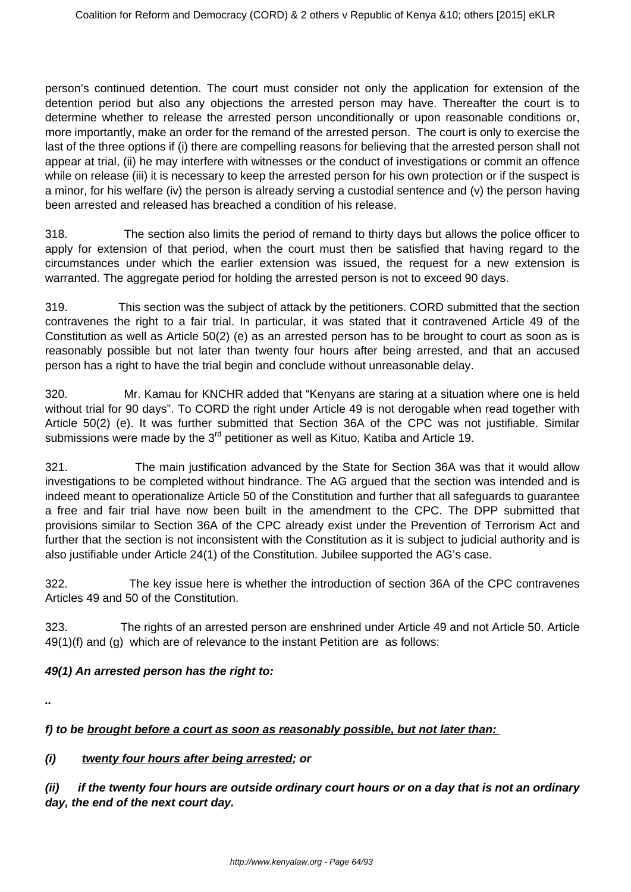person's continued detention. The court must consider not only the application for extension of the detention period but also any objections the arrested person may have. Thereafter the court is to determine whether to release the arrested person unconditionally or upon reasonable conditions or, more importantly, make an order for the remand of the arrested person. The court is only to exercise the last of the three options if (i) there are compelling reasons for believing that the arrested person shall not appear at trial, (ii) he may interfere with witnesses or the conduct of investigations or commit an offence while on release (iii) it is necessary to keep the arrested person for his own protection or if the suspect is a minor, for his welfare (iv) the person is already serving a custodial sentence and (v) the person having been arrested and released has breached a condition of his release.

318. The section also limits the period of remand to thirty days but allows the police officer to apply for extension of that period, when the court must then be satisfied that having regard to the circumstances under which the earlier extension was issued, the request for a new extension is warranted. The aggregate period for holding the arrested person is not to exceed 90 days.

319. This section was the subject of attack by the petitioners. CORD submitted that the section contravenes the right to a fair trial. In particular, it was stated that it contravened Article 49 of the Constitution as well as Article 50(2) (e) as an arrested person has to be brought to court as soon as is reasonably possible but not later than twenty four hours after being arrested, and that an accused person has a right to have the trial begin and conclude without unreasonable delay.

320. Mr. Kamau for KNCHR added that "Kenyans are staring at a situation where one is held without trial for 90 days". To CORD the right under Article 49 is not derogable when read together with Article 50(2) (e). It was further submitted that Section 36A of the CPC was not justifiable. Similar submissions were made by the  $3<sup>rd</sup>$  petitioner as well as Kituo, Katiba and Article 19.

321. The main justification advanced by the State for Section 36A was that it would allow investigations to be completed without hindrance. The AG argued that the section was intended and is indeed meant to operationalize Article 50 of the Constitution and further that all safeguards to guarantee a free and fair trial have now been built in the amendment to the CPC. The DPP submitted that provisions similar to Section 36A of the CPC already exist under the Prevention of Terrorism Act and further that the section is not inconsistent with the Constitution as it is subject to judicial authority and is also justifiable under Article 24(1) of the Constitution. Jubilee supported the AG's case.

322. The key issue here is whether the introduction of section 36A of the CPC contravenes Articles 49 and 50 of the Constitution.

323. The rights of an arrested person are enshrined under Article 49 and not Article 50. Article 49(1)(f) and (g) which are of relevance to the instant Petition are as follows:

# **49(1) An arrested person has the right to:**

**..**

# **f) to be brought before a court as soon as reasonably possible, but not later than:**

# **(i) twenty four hours after being arrested; or**

**(ii) if the twenty four hours are outside ordinary court hours or on a day that is not an ordinary day, the end of the next court day.**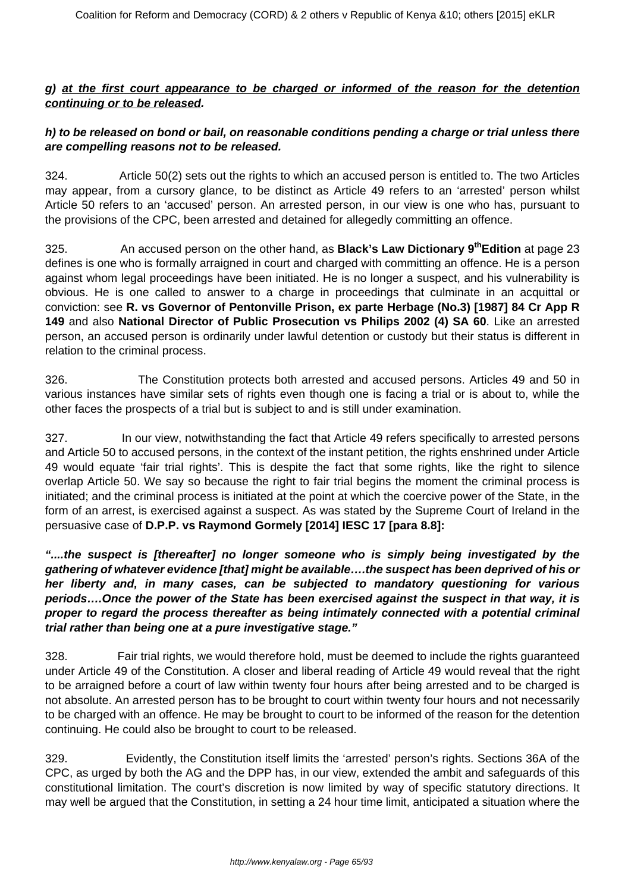### **g) at the first court appearance to be charged or informed of the reason for the detention continuing or to be released.**

# **h) to be released on bond or bail, on reasonable conditions pending a charge or trial unless there are compelling reasons not to be released.**

324. Article 50(2) sets out the rights to which an accused person is entitled to. The two Articles may appear, from a cursory glance, to be distinct as Article 49 refers to an 'arrested' person whilst Article 50 refers to an 'accused' person. An arrested person, in our view is one who has, pursuant to the provisions of the CPC, been arrested and detained for allegedly committing an offence.

325. An accused person on the other hand, as **Black's Law Dictionary 9thEdition** at page 23 defines is one who is formally arraigned in court and charged with committing an offence. He is a person against whom legal proceedings have been initiated. He is no longer a suspect, and his vulnerability is obvious. He is one called to answer to a charge in proceedings that culminate in an acquittal or conviction: see **R. vs Governor of Pentonville Prison, ex parte Herbage (No.3) [1987] 84 Cr App R 149** and also **National Director of Public Prosecution vs Philips 2002 (4) SA 60**. Like an arrested person, an accused person is ordinarily under lawful detention or custody but their status is different in relation to the criminal process.

326. The Constitution protects both arrested and accused persons. Articles 49 and 50 in various instances have similar sets of rights even though one is facing a trial or is about to, while the other faces the prospects of a trial but is subject to and is still under examination.

327. In our view, notwithstanding the fact that Article 49 refers specifically to arrested persons and Article 50 to accused persons, in the context of the instant petition, the rights enshrined under Article 49 would equate 'fair trial rights'. This is despite the fact that some rights, like the right to silence overlap Article 50. We say so because the right to fair trial begins the moment the criminal process is initiated; and the criminal process is initiated at the point at which the coercive power of the State, in the form of an arrest, is exercised against a suspect. As was stated by the Supreme Court of Ireland in the persuasive case of **D.P.P. vs Raymond Gormely [2014] IESC 17 [para 8.8]:**

**"....the suspect is [thereafter] no longer someone who is simply being investigated by the gathering of whatever evidence [that] might be available….the suspect has been deprived of his or her liberty and, in many cases, can be subjected to mandatory questioning for various periods….Once the power of the State has been exercised against the suspect in that way, it is proper to regard the process thereafter as being intimately connected with a potential criminal trial rather than being one at a pure investigative stage."**

328. Fair trial rights, we would therefore hold, must be deemed to include the rights guaranteed under Article 49 of the Constitution. A closer and liberal reading of Article 49 would reveal that the right to be arraigned before a court of law within twenty four hours after being arrested and to be charged is not absolute. An arrested person has to be brought to court within twenty four hours and not necessarily to be charged with an offence. He may be brought to court to be informed of the reason for the detention continuing. He could also be brought to court to be released.

329. Evidently, the Constitution itself limits the 'arrested' person's rights. Sections 36A of the CPC, as urged by both the AG and the DPP has, in our view, extended the ambit and safeguards of this constitutional limitation. The court's discretion is now limited by way of specific statutory directions. It may well be argued that the Constitution, in setting a 24 hour time limit, anticipated a situation where the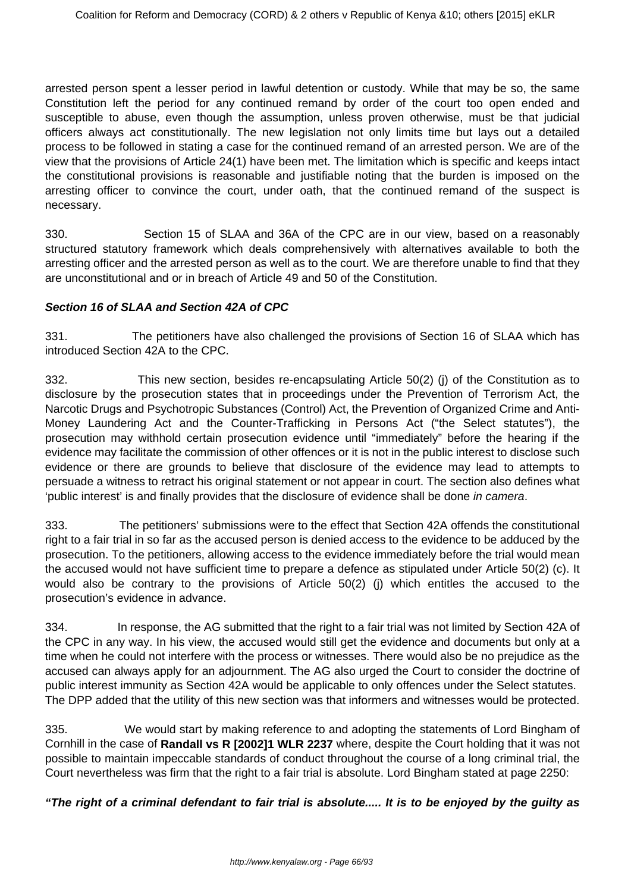arrested person spent a lesser period in lawful detention or custody. While that may be so, the same Constitution left the period for any continued remand by order of the court too open ended and susceptible to abuse, even though the assumption, unless proven otherwise, must be that judicial officers always act constitutionally. The new legislation not only limits time but lays out a detailed process to be followed in stating a case for the continued remand of an arrested person. We are of the view that the provisions of Article 24(1) have been met. The limitation which is specific and keeps intact the constitutional provisions is reasonable and justifiable noting that the burden is imposed on the arresting officer to convince the court, under oath, that the continued remand of the suspect is necessary.

330. Section 15 of SLAA and 36A of the CPC are in our view, based on a reasonably structured statutory framework which deals comprehensively with alternatives available to both the arresting officer and the arrested person as well as to the court. We are therefore unable to find that they are unconstitutional and or in breach of Article 49 and 50 of the Constitution.

#### **Section 16 of SLAA and Section 42A of CPC**

331. The petitioners have also challenged the provisions of Section 16 of SLAA which has introduced Section 42A to the CPC.

332. This new section, besides re-encapsulating Article 50(2) (j) of the Constitution as to disclosure by the prosecution states that in proceedings under the Prevention of Terrorism Act, the Narcotic Drugs and Psychotropic Substances (Control) Act, the Prevention of Organized Crime and Anti-Money Laundering Act and the Counter-Trafficking in Persons Act ("the Select statutes"), the prosecution may withhold certain prosecution evidence until "immediately" before the hearing if the evidence may facilitate the commission of other offences or it is not in the public interest to disclose such evidence or there are grounds to believe that disclosure of the evidence may lead to attempts to persuade a witness to retract his original statement or not appear in court. The section also defines what 'public interest' is and finally provides that the disclosure of evidence shall be done in camera.

333. The petitioners' submissions were to the effect that Section 42A offends the constitutional right to a fair trial in so far as the accused person is denied access to the evidence to be adduced by the prosecution. To the petitioners, allowing access to the evidence immediately before the trial would mean the accused would not have sufficient time to prepare a defence as stipulated under Article 50(2) (c). It would also be contrary to the provisions of Article 50(2) (j) which entitles the accused to the prosecution's evidence in advance.

334. In response, the AG submitted that the right to a fair trial was not limited by Section 42A of the CPC in any way. In his view, the accused would still get the evidence and documents but only at a time when he could not interfere with the process or witnesses. There would also be no prejudice as the accused can always apply for an adjournment. The AG also urged the Court to consider the doctrine of public interest immunity as Section 42A would be applicable to only offences under the Select statutes. The DPP added that the utility of this new section was that informers and witnesses would be protected.

335. We would start by making reference to and adopting the statements of Lord Bingham of Cornhill in the case of **Randall vs R [2002]1 WLR 2237** where, despite the Court holding that it was not possible to maintain impeccable standards of conduct throughout the course of a long criminal trial, the Court nevertheless was firm that the right to a fair trial is absolute. Lord Bingham stated at page 2250:

**"The right of a criminal defendant to fair trial is absolute..... It is to be enjoyed by the guilty as**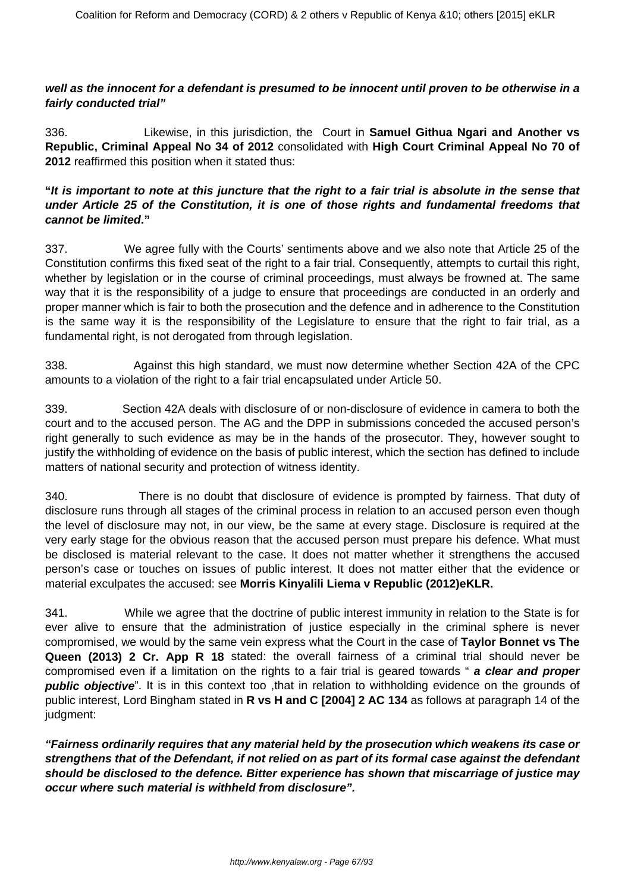#### **well as the innocent for a defendant is presumed to be innocent until proven to be otherwise in a fairly conducted trial"**

336. Likewise, in this jurisdiction, the Court in **Samuel Githua Ngari and Another vs Republic, Criminal Appeal No 34 of 2012** consolidated with **High Court Criminal Appeal No 70 of 2012** reaffirmed this position when it stated thus:

### **"It is important to note at this juncture that the right to a fair trial is absolute in the sense that under Article 25 of the Constitution, it is one of those rights and fundamental freedoms that cannot be limited."**

337. We agree fully with the Courts' sentiments above and we also note that Article 25 of the Constitution confirms this fixed seat of the right to a fair trial. Consequently, attempts to curtail this right, whether by legislation or in the course of criminal proceedings, must always be frowned at. The same way that it is the responsibility of a judge to ensure that proceedings are conducted in an orderly and proper manner which is fair to both the prosecution and the defence and in adherence to the Constitution is the same way it is the responsibility of the Legislature to ensure that the right to fair trial, as a fundamental right, is not derogated from through legislation.

338. Against this high standard, we must now determine whether Section 42A of the CPC amounts to a violation of the right to a fair trial encapsulated under Article 50.

339. Section 42A deals with disclosure of or non-disclosure of evidence in camera to both the court and to the accused person. The AG and the DPP in submissions conceded the accused person's right generally to such evidence as may be in the hands of the prosecutor. They, however sought to justify the withholding of evidence on the basis of public interest, which the section has defined to include matters of national security and protection of witness identity.

340. There is no doubt that disclosure of evidence is prompted by fairness. That duty of disclosure runs through all stages of the criminal process in relation to an accused person even though the level of disclosure may not, in our view, be the same at every stage. Disclosure is required at the very early stage for the obvious reason that the accused person must prepare his defence. What must be disclosed is material relevant to the case. It does not matter whether it strengthens the accused person's case or touches on issues of public interest. It does not matter either that the evidence or material exculpates the accused: see **Morris Kinyalili Liema v Republic (2012)eKLR.**

341. While we agree that the doctrine of public interest immunity in relation to the State is for ever alive to ensure that the administration of justice especially in the criminal sphere is never compromised, we would by the same vein express what the Court in the case of **Taylor Bonnet vs The Queen (2013) 2 Cr. App R 18** stated: the overall fairness of a criminal trial should never be compromised even if a limitation on the rights to a fair trial is geared towards " **a clear and proper public objective**". It is in this context too ,that in relation to withholding evidence on the grounds of public interest, Lord Bingham stated in **R vs H and C [2004] 2 AC 134** as follows at paragraph 14 of the judgment:

**"Fairness ordinarily requires that any material held by the prosecution which weakens its case or strengthens that of the Defendant, if not relied on as part of its formal case against the defendant should be disclosed to the defence. Bitter experience has shown that miscarriage of justice may occur where such material is withheld from disclosure".**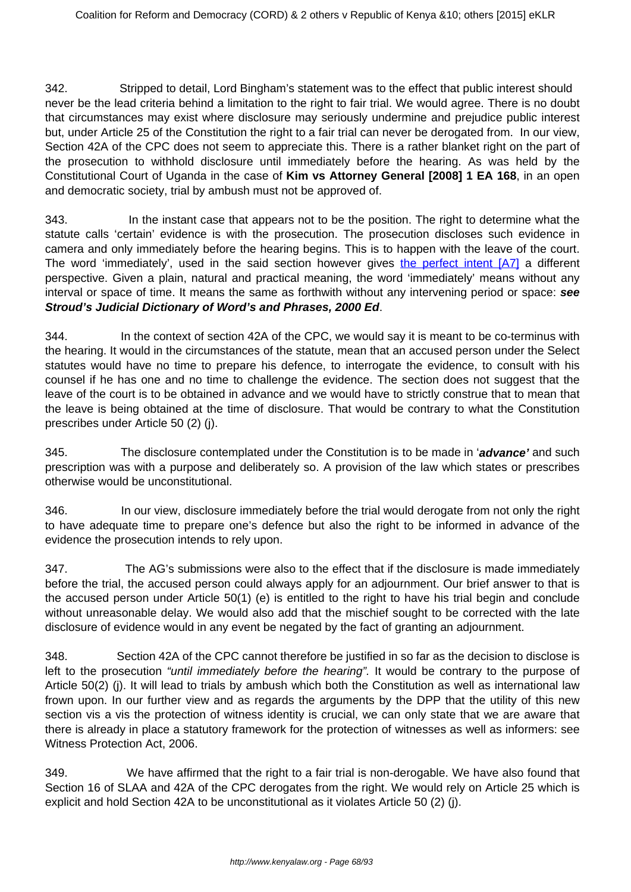342. Stripped to detail, Lord Bingham's statement was to the effect that public interest should never be the lead criteria behind a limitation to the right to fair trial. We would agree. There is no doubt that circumstances may exist where disclosure may seriously undermine and prejudice public interest but, under Article 25 of the Constitution the right to a fair trial can never be derogated from. In our view, Section 42A of the CPC does not seem to appreciate this. There is a rather blanket right on the part of the prosecution to withhold disclosure until immediately before the hearing. As was held by the Constitutional Court of Uganda in the case of **Kim vs Attorney General [2008] 1 EA 168**, in an open and democratic society, trial by ambush must not be approved of.

343. In the instant case that appears not to be the position. The right to determine what the statute calls 'certain' evidence is with the prosecution. The prosecution discloses such evidence in camera and only immediately before the hearing begins. This is to happen with the leave of the court. The word 'immediately', used in the said section however gives the perfect intent [\[A7\]](file:///C:/Users/Musa/Downloads/SECURITY_LAW_AMENDMNET_ACT_JUDGMENT%20(1).doc#_msocom_7) a different perspective. Given a plain, natural and practical meaning, the word 'immediately' means without any interval or space of time. It means the same as forthwith without any intervening period or space: **see Stroud's Judicial Dictionary of Word's and Phrases, 2000 Ed**.

344. In the context of section 42A of the CPC, we would say it is meant to be co-terminus with the hearing. It would in the circumstances of the statute, mean that an accused person under the Select statutes would have no time to prepare his defence, to interrogate the evidence, to consult with his counsel if he has one and no time to challenge the evidence. The section does not suggest that the leave of the court is to be obtained in advance and we would have to strictly construe that to mean that the leave is being obtained at the time of disclosure. That would be contrary to what the Constitution prescribes under Article 50 (2) (j).

345. The disclosure contemplated under the Constitution is to be made in '**advance'** and such prescription was with a purpose and deliberately so. A provision of the law which states or prescribes otherwise would be unconstitutional.

346. In our view, disclosure immediately before the trial would derogate from not only the right to have adequate time to prepare one's defence but also the right to be informed in advance of the evidence the prosecution intends to rely upon.

347. The AG's submissions were also to the effect that if the disclosure is made immediately before the trial, the accused person could always apply for an adjournment. Our brief answer to that is the accused person under Article 50(1) (e) is entitled to the right to have his trial begin and conclude without unreasonable delay. We would also add that the mischief sought to be corrected with the late disclosure of evidence would in any event be negated by the fact of granting an adjournment.

348. Section 42A of the CPC cannot therefore be justified in so far as the decision to disclose is left to the prosecution "until immediately before the hearing". It would be contrary to the purpose of Article 50(2) (j). It will lead to trials by ambush which both the Constitution as well as international law frown upon. In our further view and as regards the arguments by the DPP that the utility of this new section vis a vis the protection of witness identity is crucial, we can only state that we are aware that there is already in place a statutory framework for the protection of witnesses as well as informers: see Witness Protection Act, 2006.

349. We have affirmed that the right to a fair trial is non-derogable. We have also found that Section 16 of SLAA and 42A of the CPC derogates from the right. We would rely on Article 25 which is explicit and hold Section 42A to be unconstitutional as it violates Article 50 (2) (j).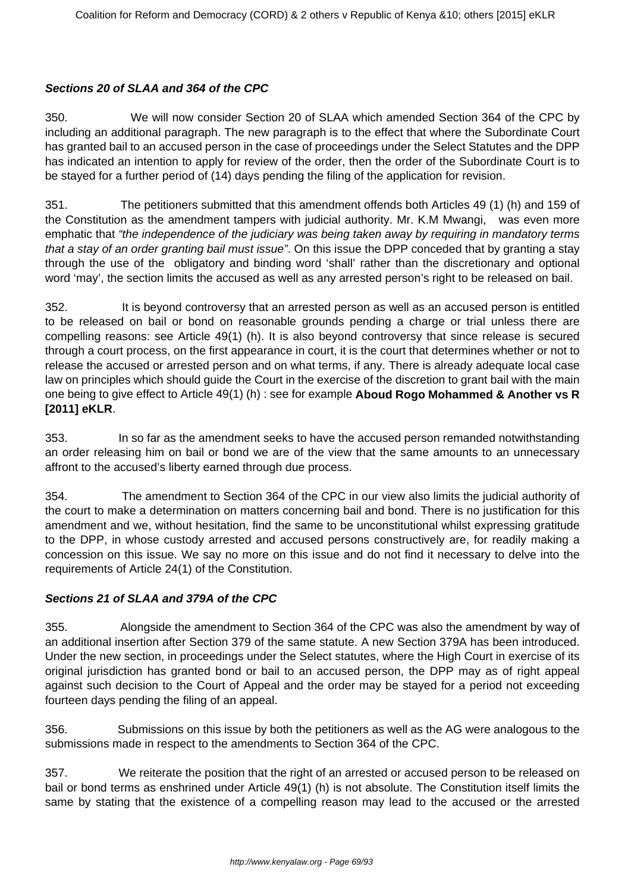# **Sections 20 of SLAA and 364 of the CPC**

350. We will now consider Section 20 of SLAA which amended Section 364 of the CPC by including an additional paragraph. The new paragraph is to the effect that where the Subordinate Court has granted bail to an accused person in the case of proceedings under the Select Statutes and the DPP has indicated an intention to apply for review of the order, then the order of the Subordinate Court is to be stayed for a further period of (14) days pending the filing of the application for revision.

351. The petitioners submitted that this amendment offends both Articles 49 (1) (h) and 159 of the Constitution as the amendment tampers with judicial authority. Mr. K.M Mwangi, was even more emphatic that "the independence of the judiciary was being taken away by requiring in mandatory terms that a stay of an order granting bail must issue". On this issue the DPP conceded that by granting a stay through the use of the obligatory and binding word 'shall' rather than the discretionary and optional word 'may', the section limits the accused as well as any arrested person's right to be released on bail.

352. It is beyond controversy that an arrested person as well as an accused person is entitled to be released on bail or bond on reasonable grounds pending a charge or trial unless there are compelling reasons: see Article 49(1) (h). It is also beyond controversy that since release is secured through a court process, on the first appearance in court, it is the court that determines whether or not to release the accused or arrested person and on what terms, if any. There is already adequate local case law on principles which should guide the Court in the exercise of the discretion to grant bail with the main one being to give effect to Article 49(1) (h) : see for example **Aboud Rogo Mohammed & Another vs R [2011] eKLR**.

353. In so far as the amendment seeks to have the accused person remanded notwithstanding an order releasing him on bail or bond we are of the view that the same amounts to an unnecessary affront to the accused's liberty earned through due process.

354. The amendment to Section 364 of the CPC in our view also limits the judicial authority of the court to make a determination on matters concerning bail and bond. There is no justification for this amendment and we, without hesitation, find the same to be unconstitutional whilst expressing gratitude to the DPP, in whose custody arrested and accused persons constructively are, for readily making a concession on this issue. We say no more on this issue and do not find it necessary to delve into the requirements of Article 24(1) of the Constitution.

# **Sections 21 of SLAA and 379A of the CPC**

355. Alongside the amendment to Section 364 of the CPC was also the amendment by way of an additional insertion after Section 379 of the same statute. A new Section 379A has been introduced. Under the new section, in proceedings under the Select statutes, where the High Court in exercise of its original jurisdiction has granted bond or bail to an accused person, the DPP may as of right appeal against such decision to the Court of Appeal and the order may be stayed for a period not exceeding fourteen days pending the filing of an appeal.

356. Submissions on this issue by both the petitioners as well as the AG were analogous to the submissions made in respect to the amendments to Section 364 of the CPC.

357. We reiterate the position that the right of an arrested or accused person to be released on bail or bond terms as enshrined under Article 49(1) (h) is not absolute. The Constitution itself limits the same by stating that the existence of a compelling reason may lead to the accused or the arrested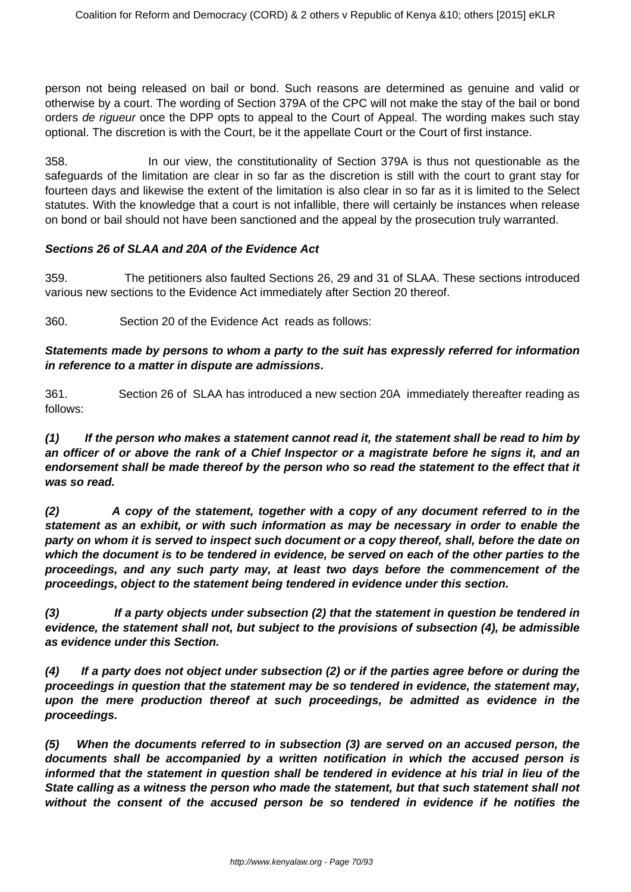person not being released on bail or bond. Such reasons are determined as genuine and valid or otherwise by a court. The wording of Section 379A of the CPC will not make the stay of the bail or bond orders de rigueur once the DPP opts to appeal to the Court of Appeal. The wording makes such stay optional. The discretion is with the Court, be it the appellate Court or the Court of first instance.

358. In our view, the constitutionality of Section 379A is thus not questionable as the safeguards of the limitation are clear in so far as the discretion is still with the court to grant stay for fourteen days and likewise the extent of the limitation is also clear in so far as it is limited to the Select statutes. With the knowledge that a court is not infallible, there will certainly be instances when release on bond or bail should not have been sanctioned and the appeal by the prosecution truly warranted.

#### **Sections 26 of SLAA and 20A of the Evidence Act**

359. The petitioners also faulted Sections 26, 29 and 31 of SLAA. These sections introduced various new sections to the Evidence Act immediately after Section 20 thereof.

360. Section 20 of the Evidence Act reads as follows:

#### **Statements made by persons to whom a party to the suit has expressly referred for information in reference to a matter in dispute are admissions.**

361. Section 26 of SLAA has introduced a new section 20A immediately thereafter reading as follows:

**(1) If the person who makes a statement cannot read it, the statement shall be read to him by an officer of or above the rank of a Chief Inspector or a magistrate before he signs it, and an endorsement shall be made thereof by the person who so read the statement to the effect that it was so read.**

**(2) A copy of the statement, together with a copy of any document referred to in the statement as an exhibit, or with such information as may be necessary in order to enable the party on whom it is served to inspect such document or a copy thereof, shall, before the date on which the document is to be tendered in evidence, be served on each of the other parties to the proceedings, and any such party may, at least two days before the commencement of the proceedings, object to the statement being tendered in evidence under this section.**

**(3) If a party objects under subsection (2) that the statement in question be tendered in evidence, the statement shall not, but subject to the provisions of subsection (4), be admissible as evidence under this Section.**

**(4) If a party does not object under subsection (2) or if the parties agree before or during the proceedings in question that the statement may be so tendered in evidence, the statement may, upon the mere production thereof at such proceedings, be admitted as evidence in the proceedings.**

**(5) When the documents referred to in subsection (3) are served on an accused person, the documents shall be accompanied by a written notification in which the accused person is informed that the statement in question shall be tendered in evidence at his trial in lieu of the State calling as a witness the person who made the statement, but that such statement shall not without the consent of the accused person be so tendered in evidence if he notifies the**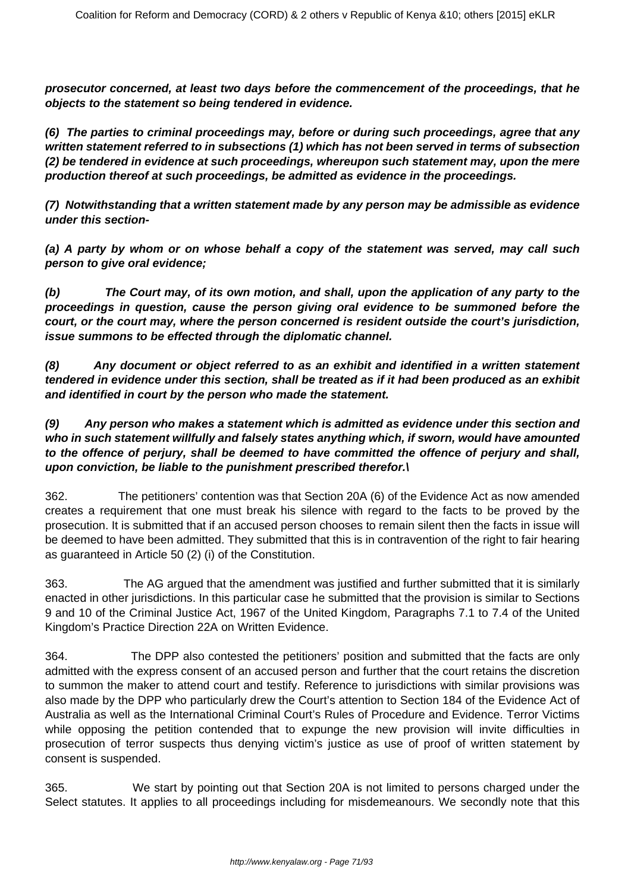**prosecutor concerned, at least two days before the commencement of the proceedings, that he objects to the statement so being tendered in evidence.**

**(6) The parties to criminal proceedings may, before or during such proceedings, agree that any written statement referred to in subsections (1) which has not been served in terms of subsection (2) be tendered in evidence at such proceedings, whereupon such statement may, upon the mere production thereof at such proceedings, be admitted as evidence in the proceedings.**

**(7) Notwithstanding that a written statement made by any person may be admissible as evidence under this section-**

**(a) A party by whom or on whose behalf a copy of the statement was served, may call such person to give oral evidence;**

**(b) The Court may, of its own motion, and shall, upon the application of any party to the proceedings in question, cause the person giving oral evidence to be summoned before the court, or the court may, where the person concerned is resident outside the court's jurisdiction, issue summons to be effected through the diplomatic channel.**

**(8) Any document or object referred to as an exhibit and identified in a written statement tendered in evidence under this section, shall be treated as if it had been produced as an exhibit and identified in court by the person who made the statement.**

# **(9) Any person who makes a statement which is admitted as evidence under this section and who in such statement willfully and falsely states anything which, if sworn, would have amounted to the offence of perjury, shall be deemed to have committed the offence of perjury and shall, upon conviction, be liable to the punishment prescribed therefor.\**

362. The petitioners' contention was that Section 20A (6) of the Evidence Act as now amended creates a requirement that one must break his silence with regard to the facts to be proved by the prosecution. It is submitted that if an accused person chooses to remain silent then the facts in issue will be deemed to have been admitted. They submitted that this is in contravention of the right to fair hearing as guaranteed in Article 50 (2) (i) of the Constitution.

363. The AG argued that the amendment was justified and further submitted that it is similarly enacted in other jurisdictions. In this particular case he submitted that the provision is similar to Sections 9 and 10 of the Criminal Justice Act, 1967 of the United Kingdom, Paragraphs 7.1 to 7.4 of the United Kingdom's Practice Direction 22A on Written Evidence.

364. The DPP also contested the petitioners' position and submitted that the facts are only admitted with the express consent of an accused person and further that the court retains the discretion to summon the maker to attend court and testify. Reference to jurisdictions with similar provisions was also made by the DPP who particularly drew the Court's attention to Section 184 of the Evidence Act of Australia as well as the International Criminal Court's Rules of Procedure and Evidence. Terror Victims while opposing the petition contended that to expunge the new provision will invite difficulties in prosecution of terror suspects thus denying victim's justice as use of proof of written statement by consent is suspended.

365. We start by pointing out that Section 20A is not limited to persons charged under the Select statutes. It applies to all proceedings including for misdemeanours. We secondly note that this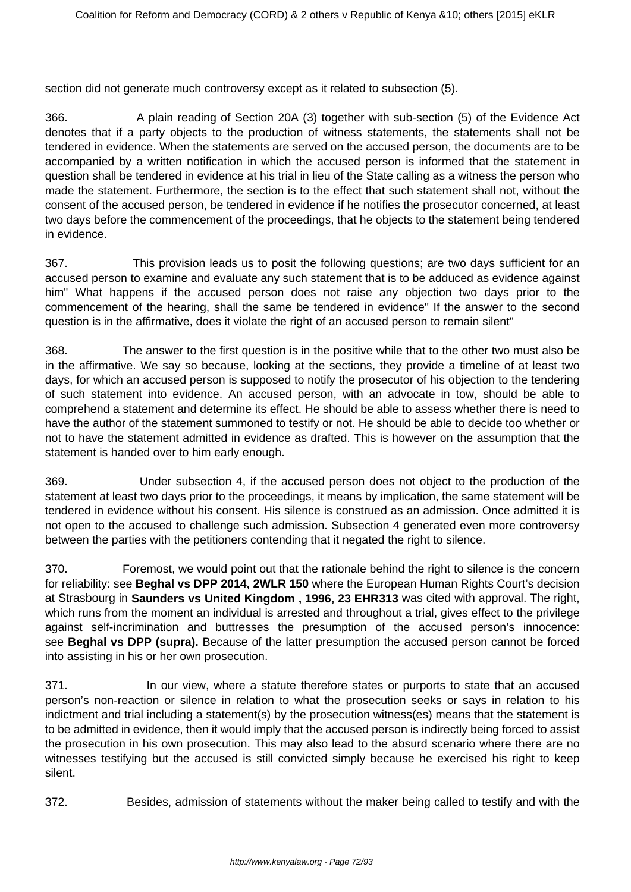section did not generate much controversy except as it related to subsection (5).

366. A plain reading of Section 20A (3) together with sub-section (5) of the Evidence Act denotes that if a party objects to the production of witness statements, the statements shall not be tendered in evidence. When the statements are served on the accused person, the documents are to be accompanied by a written notification in which the accused person is informed that the statement in question shall be tendered in evidence at his trial in lieu of the State calling as a witness the person who made the statement. Furthermore, the section is to the effect that such statement shall not, without the consent of the accused person, be tendered in evidence if he notifies the prosecutor concerned, at least two days before the commencement of the proceedings, that he objects to the statement being tendered in evidence.

367. This provision leads us to posit the following questions; are two days sufficient for an accused person to examine and evaluate any such statement that is to be adduced as evidence against him" What happens if the accused person does not raise any objection two days prior to the commencement of the hearing, shall the same be tendered in evidence" If the answer to the second question is in the affirmative, does it violate the right of an accused person to remain silent"

368. The answer to the first question is in the positive while that to the other two must also be in the affirmative. We say so because, looking at the sections, they provide a timeline of at least two days, for which an accused person is supposed to notify the prosecutor of his objection to the tendering of such statement into evidence. An accused person, with an advocate in tow, should be able to comprehend a statement and determine its effect. He should be able to assess whether there is need to have the author of the statement summoned to testify or not. He should be able to decide too whether or not to have the statement admitted in evidence as drafted. This is however on the assumption that the statement is handed over to him early enough.

369. Under subsection 4, if the accused person does not object to the production of the statement at least two days prior to the proceedings, it means by implication, the same statement will be tendered in evidence without his consent. His silence is construed as an admission. Once admitted it is not open to the accused to challenge such admission. Subsection 4 generated even more controversy between the parties with the petitioners contending that it negated the right to silence.

370. Foremost, we would point out that the rationale behind the right to silence is the concern for reliability: see **Beghal vs DPP 2014, 2WLR 150** where the European Human Rights Court's decision at Strasbourg in **Saunders vs United Kingdom , 1996, 23 EHR313** was cited with approval. The right, which runs from the moment an individual is arrested and throughout a trial, gives effect to the privilege against self-incrimination and buttresses the presumption of the accused person's innocence: see **Beghal vs DPP (supra).** Because of the latter presumption the accused person cannot be forced into assisting in his or her own prosecution.

371. In our view, where a statute therefore states or purports to state that an accused person's non-reaction or silence in relation to what the prosecution seeks or says in relation to his indictment and trial including a statement(s) by the prosecution witness(es) means that the statement is to be admitted in evidence, then it would imply that the accused person is indirectly being forced to assist the prosecution in his own prosecution. This may also lead to the absurd scenario where there are no witnesses testifying but the accused is still convicted simply because he exercised his right to keep silent.

372. Besides, admission of statements without the maker being called to testify and with the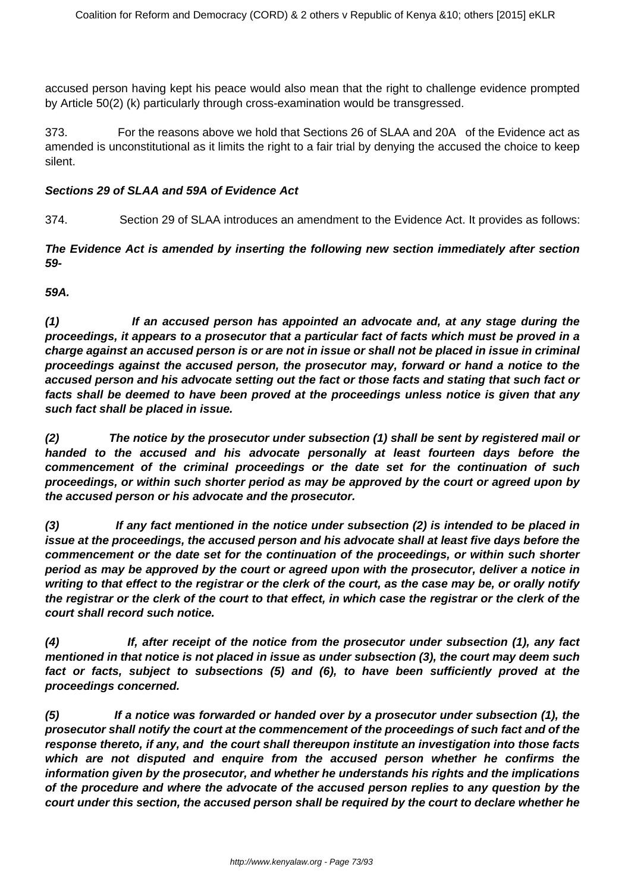accused person having kept his peace would also mean that the right to challenge evidence prompted by Article 50(2) (k) particularly through cross-examination would be transgressed.

373. For the reasons above we hold that Sections 26 of SLAA and 20A of the Evidence act as amended is unconstitutional as it limits the right to a fair trial by denying the accused the choice to keep silent.

#### **Sections 29 of SLAA and 59A of Evidence Act**

374. Section 29 of SLAA introduces an amendment to the Evidence Act. It provides as follows:

**The Evidence Act is amended by inserting the following new section immediately after section 59-**

**59A.** 

**(1) If an accused person has appointed an advocate and, at any stage during the proceedings, it appears to a prosecutor that a particular fact of facts which must be proved in a charge against an accused person is or are not in issue or shall not be placed in issue in criminal proceedings against the accused person, the prosecutor may, forward or hand a notice to the accused person and his advocate setting out the fact or those facts and stating that such fact or facts shall be deemed to have been proved at the proceedings unless notice is given that any such fact shall be placed in issue.**

**(2) The notice by the prosecutor under subsection (1) shall be sent by registered mail or handed to the accused and his advocate personally at least fourteen days before the commencement of the criminal proceedings or the date set for the continuation of such proceedings, or within such shorter period as may be approved by the court or agreed upon by the accused person or his advocate and the prosecutor.**

**(3) If any fact mentioned in the notice under subsection (2) is intended to be placed in issue at the proceedings, the accused person and his advocate shall at least five days before the commencement or the date set for the continuation of the proceedings, or within such shorter period as may be approved by the court or agreed upon with the prosecutor, deliver a notice in writing to that effect to the registrar or the clerk of the court, as the case may be, or orally notify the registrar or the clerk of the court to that effect, in which case the registrar or the clerk of the court shall record such notice.**

**(4) If, after receipt of the notice from the prosecutor under subsection (1), any fact mentioned in that notice is not placed in issue as under subsection (3), the court may deem such fact or facts, subject to subsections (5) and (6), to have been sufficiently proved at the proceedings concerned.**

**(5) If a notice was forwarded or handed over by a prosecutor under subsection (1), the prosecutor shall notify the court at the commencement of the proceedings of such fact and of the response thereto, if any, and the court shall thereupon institute an investigation into those facts which are not disputed and enquire from the accused person whether he confirms the information given by the prosecutor, and whether he understands his rights and the implications of the procedure and where the advocate of the accused person replies to any question by the court under this section, the accused person shall be required by the court to declare whether he**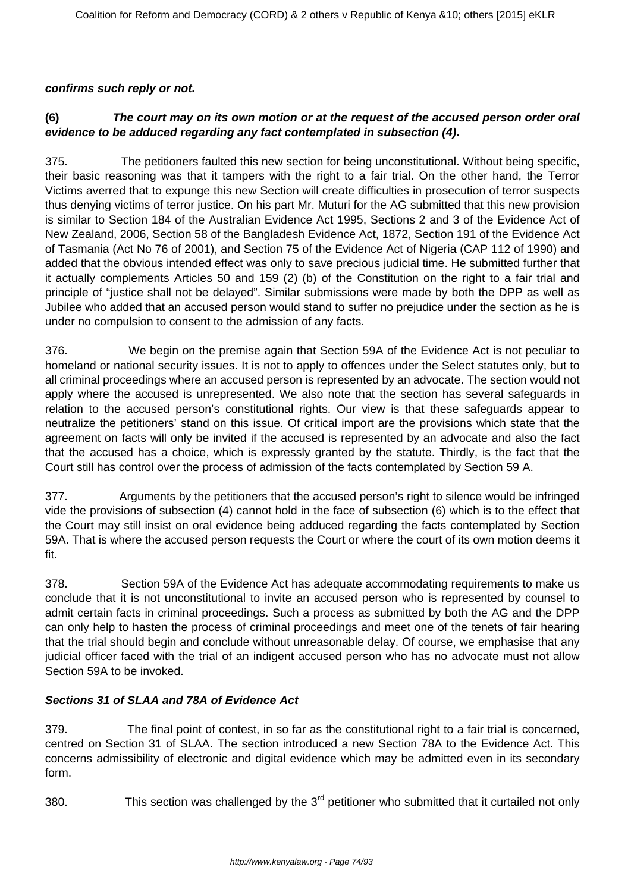## **confirms such reply or not.**

# **(6) The court may on its own motion or at the request of the accused person order oral evidence to be adduced regarding any fact contemplated in subsection (4).**

375. The petitioners faulted this new section for being unconstitutional. Without being specific, their basic reasoning was that it tampers with the right to a fair trial. On the other hand, the Terror Victims averred that to expunge this new Section will create difficulties in prosecution of terror suspects thus denying victims of terror justice. On his part Mr. Muturi for the AG submitted that this new provision is similar to Section 184 of the Australian Evidence Act 1995, Sections 2 and 3 of the Evidence Act of New Zealand, 2006, Section 58 of the Bangladesh Evidence Act, 1872, Section 191 of the Evidence Act of Tasmania (Act No 76 of 2001), and Section 75 of the Evidence Act of Nigeria (CAP 112 of 1990) and added that the obvious intended effect was only to save precious judicial time. He submitted further that it actually complements Articles 50 and 159 (2) (b) of the Constitution on the right to a fair trial and principle of "justice shall not be delayed". Similar submissions were made by both the DPP as well as Jubilee who added that an accused person would stand to suffer no prejudice under the section as he is under no compulsion to consent to the admission of any facts.

376. We begin on the premise again that Section 59A of the Evidence Act is not peculiar to homeland or national security issues. It is not to apply to offences under the Select statutes only, but to all criminal proceedings where an accused person is represented by an advocate. The section would not apply where the accused is unrepresented. We also note that the section has several safeguards in relation to the accused person's constitutional rights. Our view is that these safeguards appear to neutralize the petitioners' stand on this issue. Of critical import are the provisions which state that the agreement on facts will only be invited if the accused is represented by an advocate and also the fact that the accused has a choice, which is expressly granted by the statute. Thirdly, is the fact that the Court still has control over the process of admission of the facts contemplated by Section 59 A.

377. Arguments by the petitioners that the accused person's right to silence would be infringed vide the provisions of subsection (4) cannot hold in the face of subsection (6) which is to the effect that the Court may still insist on oral evidence being adduced regarding the facts contemplated by Section 59A. That is where the accused person requests the Court or where the court of its own motion deems it fit.

378. Section 59A of the Evidence Act has adequate accommodating requirements to make us conclude that it is not unconstitutional to invite an accused person who is represented by counsel to admit certain facts in criminal proceedings. Such a process as submitted by both the AG and the DPP can only help to hasten the process of criminal proceedings and meet one of the tenets of fair hearing that the trial should begin and conclude without unreasonable delay. Of course, we emphasise that any judicial officer faced with the trial of an indigent accused person who has no advocate must not allow Section 59A to be invoked.

# **Sections 31 of SLAA and 78A of Evidence Act**

379. The final point of contest, in so far as the constitutional right to a fair trial is concerned, centred on Section 31 of SLAA. The section introduced a new Section 78A to the Evidence Act. This concerns admissibility of electronic and digital evidence which may be admitted even in its secondary form.

380. This section was challenged by the  $3<sup>rd</sup>$  petitioner who submitted that it curtailed not only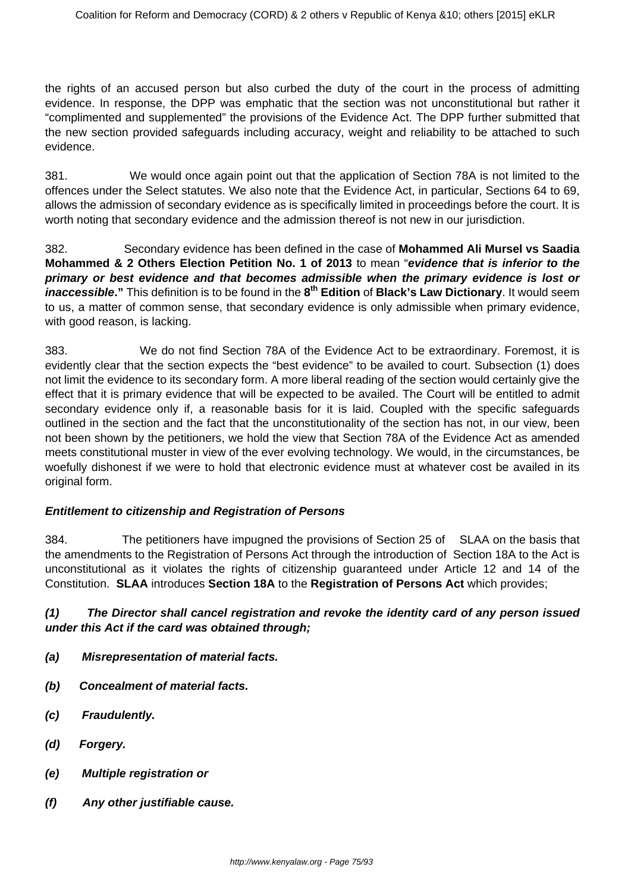the rights of an accused person but also curbed the duty of the court in the process of admitting evidence. In response, the DPP was emphatic that the section was not unconstitutional but rather it "complimented and supplemented" the provisions of the Evidence Act. The DPP further submitted that the new section provided safeguards including accuracy, weight and reliability to be attached to such evidence.

381. We would once again point out that the application of Section 78A is not limited to the offences under the Select statutes. We also note that the Evidence Act, in particular, Sections 64 to 69, allows the admission of secondary evidence as is specifically limited in proceedings before the court. It is worth noting that secondary evidence and the admission thereof is not new in our jurisdiction.

382. Secondary evidence has been defined in the case of **Mohammed Ali Mursel vs Saadia Mohammed & 2 Others Election Petition No. 1 of 2013** to mean "**evidence that is inferior to the primary or best evidence and that becomes admissible when the primary evidence is lost or inaccessible."** This definition is to be found in the **8 th Edition** of **Black's Law Dictionary**. It would seem to us, a matter of common sense, that secondary evidence is only admissible when primary evidence, with good reason, is lacking.

383. We do not find Section 78A of the Evidence Act to be extraordinary. Foremost, it is evidently clear that the section expects the "best evidence" to be availed to court. Subsection (1) does not limit the evidence to its secondary form. A more liberal reading of the section would certainly give the effect that it is primary evidence that will be expected to be availed. The Court will be entitled to admit secondary evidence only if, a reasonable basis for it is laid. Coupled with the specific safeguards outlined in the section and the fact that the unconstitutionality of the section has not, in our view, been not been shown by the petitioners, we hold the view that Section 78A of the Evidence Act as amended meets constitutional muster in view of the ever evolving technology. We would, in the circumstances, be woefully dishonest if we were to hold that electronic evidence must at whatever cost be availed in its original form.

#### **Entitlement to citizenship and Registration of Persons**

384. The petitioners have impugned the provisions of Section 25 of SLAA on the basis that the amendments to the Registration of Persons Act through the introduction of Section 18A to the Act is unconstitutional as it violates the rights of citizenship guaranteed under Article 12 and 14 of the Constitution. **SLAA** introduces **Section 18A** to the **Registration of Persons Act** which provides;

## **(1) The Director shall cancel registration and revoke the identity card of any person issued under this Act if the card was obtained through;**

- **(a) Misrepresentation of material facts.**
- **(b) Concealment of material facts.**
- **(c) Fraudulently.**
- **(d) Forgery.**
- **(e) Multiple registration or**
- **(f) Any other justifiable cause.**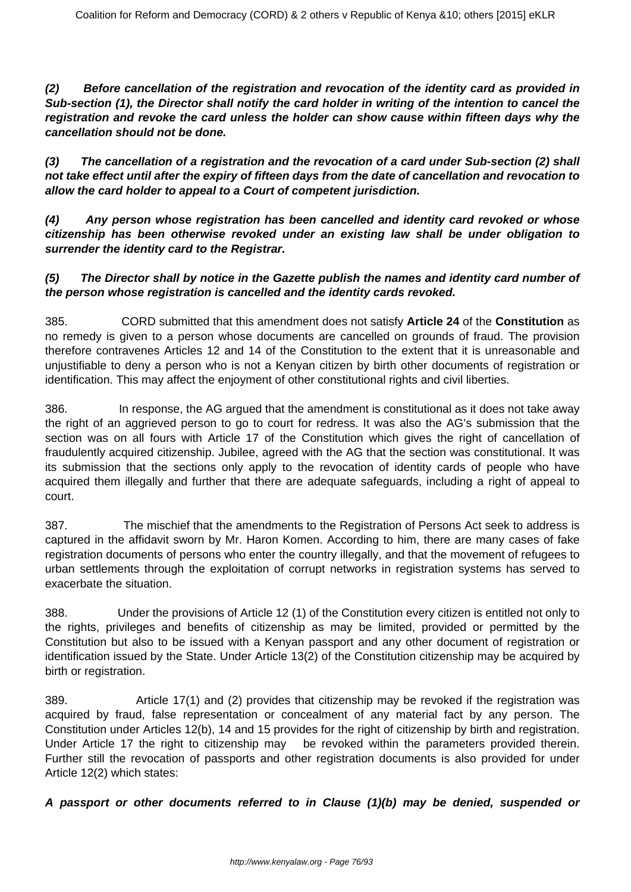**(2) Before cancellation of the registration and revocation of the identity card as provided in Sub-section (1), the Director shall notify the card holder in writing of the intention to cancel the registration and revoke the card unless the holder can show cause within fifteen days why the cancellation should not be done.**

**(3) The cancellation of a registration and the revocation of a card under Sub-section (2) shall not take effect until after the expiry of fifteen days from the date of cancellation and revocation to allow the card holder to appeal to a Court of competent jurisdiction.**

**(4) Any person whose registration has been cancelled and identity card revoked or whose citizenship has been otherwise revoked under an existing law shall be under obligation to surrender the identity card to the Registrar.**

## **(5) The Director shall by notice in the Gazette publish the names and identity card number of the person whose registration is cancelled and the identity cards revoked.**

385. CORD submitted that this amendment does not satisfy **Article 24** of the **Constitution** as no remedy is given to a person whose documents are cancelled on grounds of fraud. The provision therefore contravenes Articles 12 and 14 of the Constitution to the extent that it is unreasonable and unjustifiable to deny a person who is not a Kenyan citizen by birth other documents of registration or identification. This may affect the enjoyment of other constitutional rights and civil liberties.

386. In response, the AG argued that the amendment is constitutional as it does not take away the right of an aggrieved person to go to court for redress. It was also the AG's submission that the section was on all fours with Article 17 of the Constitution which gives the right of cancellation of fraudulently acquired citizenship. Jubilee, agreed with the AG that the section was constitutional. It was its submission that the sections only apply to the revocation of identity cards of people who have acquired them illegally and further that there are adequate safeguards, including a right of appeal to court.

387. The mischief that the amendments to the Registration of Persons Act seek to address is captured in the affidavit sworn by Mr. Haron Komen. According to him, there are many cases of fake registration documents of persons who enter the country illegally, and that the movement of refugees to urban settlements through the exploitation of corrupt networks in registration systems has served to exacerbate the situation.

388. Under the provisions of Article 12 (1) of the Constitution every citizen is entitled not only to the rights, privileges and benefits of citizenship as may be limited, provided or permitted by the Constitution but also to be issued with a Kenyan passport and any other document of registration or identification issued by the State. Under Article 13(2) of the Constitution citizenship may be acquired by birth or registration.

389. Article 17(1) and (2) provides that citizenship may be revoked if the registration was acquired by fraud, false representation or concealment of any material fact by any person. The Constitution under Articles 12(b), 14 and 15 provides for the right of citizenship by birth and registration. Under Article 17 the right to citizenship may be revoked within the parameters provided therein. Further still the revocation of passports and other registration documents is also provided for under Article 12(2) which states:

**A passport or other documents referred to in Clause (1)(b) may be denied, suspended or**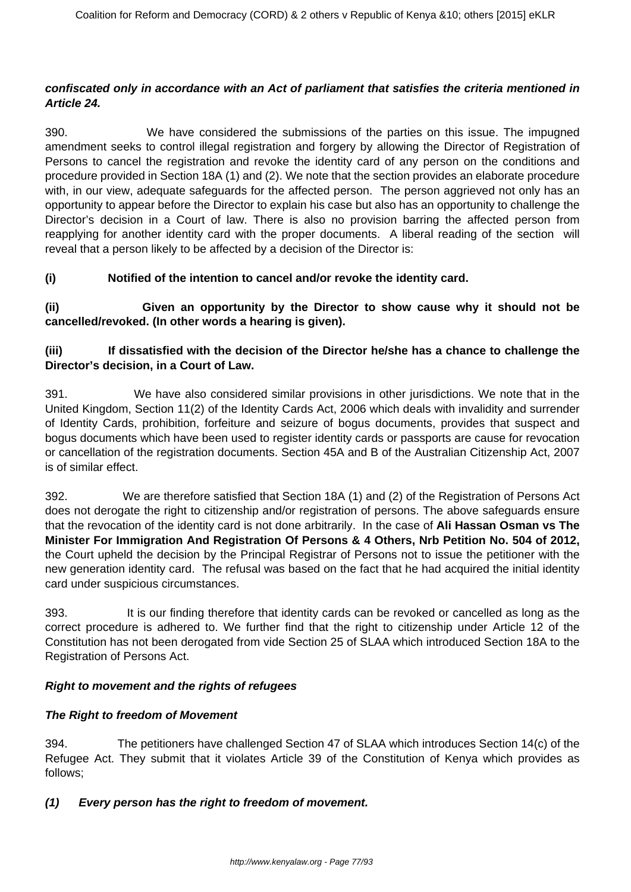### **confiscated only in accordance with an Act of parliament that satisfies the criteria mentioned in Article 24.**

390. We have considered the submissions of the parties on this issue. The impugned amendment seeks to control illegal registration and forgery by allowing the Director of Registration of Persons to cancel the registration and revoke the identity card of any person on the conditions and procedure provided in Section 18A (1) and (2). We note that the section provides an elaborate procedure with, in our view, adequate safeguards for the affected person. The person aggrieved not only has an opportunity to appear before the Director to explain his case but also has an opportunity to challenge the Director's decision in a Court of law. There is also no provision barring the affected person from reapplying for another identity card with the proper documents. A liberal reading of the section will reveal that a person likely to be affected by a decision of the Director is:

# **(i) Notified of the intention to cancel and/or revoke the identity card.**

**(ii) Given an opportunity by the Director to show cause why it should not be cancelled/revoked. (In other words a hearing is given).**

## **(iii) If dissatisfied with the decision of the Director he/she has a chance to challenge the Director's decision, in a Court of Law.**

391. We have also considered similar provisions in other jurisdictions. We note that in the United Kingdom, Section 11(2) of the Identity Cards Act, 2006 which deals with invalidity and surrender of Identity Cards, prohibition, forfeiture and seizure of bogus documents, provides that suspect and bogus documents which have been used to register identity cards or passports are cause for revocation or cancellation of the registration documents. Section 45A and B of the Australian Citizenship Act, 2007 is of similar effect.

392. We are therefore satisfied that Section 18A (1) and (2) of the Registration of Persons Act does not derogate the right to citizenship and/or registration of persons. The above safeguards ensure that the revocation of the identity card is not done arbitrarily. In the case of **Ali Hassan Osman vs The Minister For Immigration And Registration Of Persons & 4 Others, Nrb Petition No. 504 of 2012,** the Court upheld the decision by the Principal Registrar of Persons not to issue the petitioner with the new generation identity card. The refusal was based on the fact that he had acquired the initial identity card under suspicious circumstances.

393. It is our finding therefore that identity cards can be revoked or cancelled as long as the correct procedure is adhered to. We further find that the right to citizenship under Article 12 of the Constitution has not been derogated from vide Section 25 of SLAA which introduced Section 18A to the Registration of Persons Act.

#### **Right to movement and the rights of refugees**

#### **The Right to freedom of Movement**

394. The petitioners have challenged Section 47 of SLAA which introduces Section 14(c) of the Refugee Act. They submit that it violates Article 39 of the Constitution of Kenya which provides as follows;

# **(1) Every person has the right to freedom of movement.**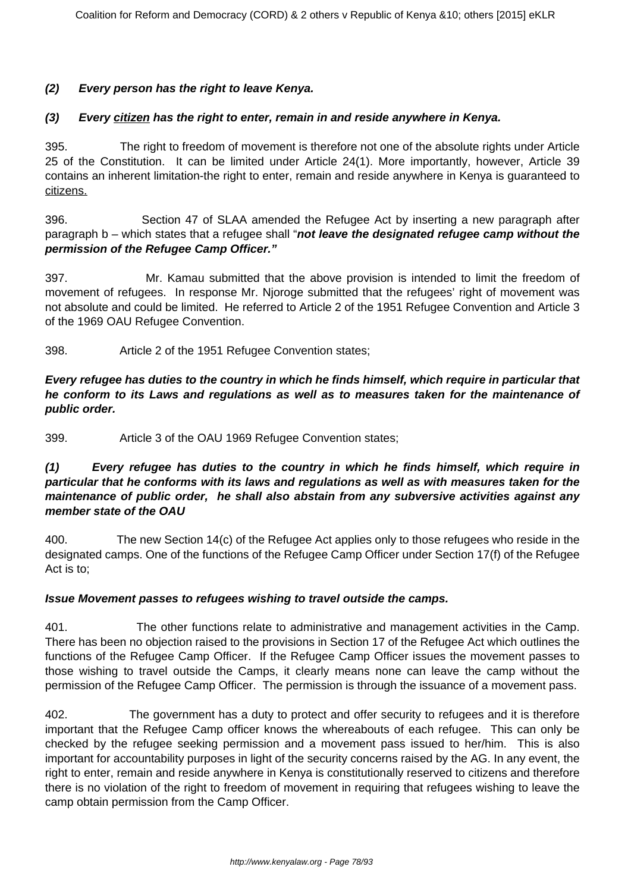## **(2) Every person has the right to leave Kenya.**

### **(3) Every citizen has the right to enter, remain in and reside anywhere in Kenya.**

395. The right to freedom of movement is therefore not one of the absolute rights under Article 25 of the Constitution. It can be limited under Article 24(1). More importantly, however, Article 39 contains an inherent limitation-the right to enter, remain and reside anywhere in Kenya is guaranteed to citizens.

396. Section 47 of SLAA amended the Refugee Act by inserting a new paragraph after paragraph b – which states that a refugee shall "**not leave the designated refugee camp without the permission of the Refugee Camp Officer."**

397. Mr. Kamau submitted that the above provision is intended to limit the freedom of movement of refugees. In response Mr. Njoroge submitted that the refugees' right of movement was not absolute and could be limited. He referred to Article 2 of the 1951 Refugee Convention and Article 3 of the 1969 OAU Refugee Convention.

398. Article 2 of the 1951 Refugee Convention states;

**Every refugee has duties to the country in which he finds himself, which require in particular that he conform to its Laws and regulations as well as to measures taken for the maintenance of public order.**

399. Article 3 of the OAU 1969 Refugee Convention states;

## **(1) Every refugee has duties to the country in which he finds himself, which require in particular that he conforms with its laws and regulations as well as with measures taken for the maintenance of public order, he shall also abstain from any subversive activities against any member state of the OAU**

400. The new Section 14(c) of the Refugee Act applies only to those refugees who reside in the designated camps. One of the functions of the Refugee Camp Officer under Section 17(f) of the Refugee Act is to;

#### **Issue Movement passes to refugees wishing to travel outside the camps.**

401. The other functions relate to administrative and management activities in the Camp. There has been no objection raised to the provisions in Section 17 of the Refugee Act which outlines the functions of the Refugee Camp Officer. If the Refugee Camp Officer issues the movement passes to those wishing to travel outside the Camps, it clearly means none can leave the camp without the permission of the Refugee Camp Officer. The permission is through the issuance of a movement pass.

402. The government has a duty to protect and offer security to refugees and it is therefore important that the Refugee Camp officer knows the whereabouts of each refugee. This can only be checked by the refugee seeking permission and a movement pass issued to her/him. This is also important for accountability purposes in light of the security concerns raised by the AG. In any event, the right to enter, remain and reside anywhere in Kenya is constitutionally reserved to citizens and therefore there is no violation of the right to freedom of movement in requiring that refugees wishing to leave the camp obtain permission from the Camp Officer.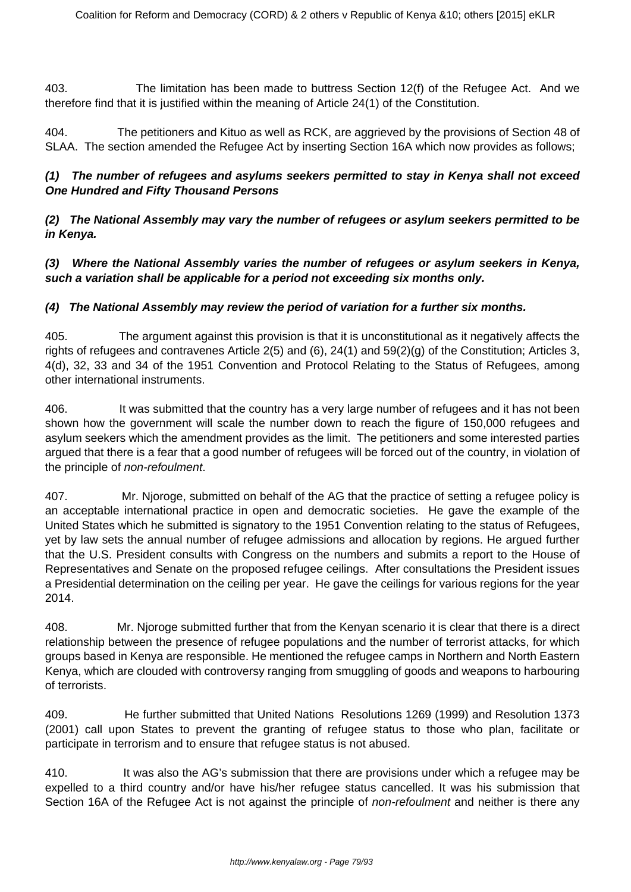403. The limitation has been made to buttress Section 12(f) of the Refugee Act. And we therefore find that it is justified within the meaning of Article 24(1) of the Constitution.

404. The petitioners and Kituo as well as RCK, are aggrieved by the provisions of Section 48 of SLAA. The section amended the Refugee Act by inserting Section 16A which now provides as follows;

## **(1) The number of refugees and asylums seekers permitted to stay in Kenya shall not exceed One Hundred and Fifty Thousand Persons**

**(2) The National Assembly may vary the number of refugees or asylum seekers permitted to be in Kenya.**

**(3) Where the National Assembly varies the number of refugees or asylum seekers in Kenya, such a variation shall be applicable for a period not exceeding six months only.**

# **(4) The National Assembly may review the period of variation for a further six months.**

405. The argument against this provision is that it is unconstitutional as it negatively affects the rights of refugees and contravenes Article 2(5) and (6), 24(1) and 59(2)(g) of the Constitution; Articles 3, 4(d), 32, 33 and 34 of the 1951 Convention and Protocol Relating to the Status of Refugees, among other international instruments.

406. It was submitted that the country has a very large number of refugees and it has not been shown how the government will scale the number down to reach the figure of 150,000 refugees and asylum seekers which the amendment provides as the limit. The petitioners and some interested parties argued that there is a fear that a good number of refugees will be forced out of the country, in violation of the principle of non-refoulment.

407. Mr. Njoroge, submitted on behalf of the AG that the practice of setting a refugee policy is an acceptable international practice in open and democratic societies. He gave the example of the United States which he submitted is signatory to the 1951 Convention relating to the status of Refugees, yet by law sets the annual number of refugee admissions and allocation by regions. He argued further that the U.S. President consults with Congress on the numbers and submits a report to the House of Representatives and Senate on the proposed refugee ceilings. After consultations the President issues a Presidential determination on the ceiling per year. He gave the ceilings for various regions for the year 2014.

408. Mr. Njoroge submitted further that from the Kenyan scenario it is clear that there is a direct relationship between the presence of refugee populations and the number of terrorist attacks, for which groups based in Kenya are responsible. He mentioned the refugee camps in Northern and North Eastern Kenya, which are clouded with controversy ranging from smuggling of goods and weapons to harbouring of terrorists.

409. He further submitted that United Nations Resolutions 1269 (1999) and Resolution 1373 (2001) call upon States to prevent the granting of refugee status to those who plan, facilitate or participate in terrorism and to ensure that refugee status is not abused.

410. It was also the AG's submission that there are provisions under which a refugee may be expelled to a third country and/or have his/her refugee status cancelled. It was his submission that Section 16A of the Refugee Act is not against the principle of non-refoulment and neither is there any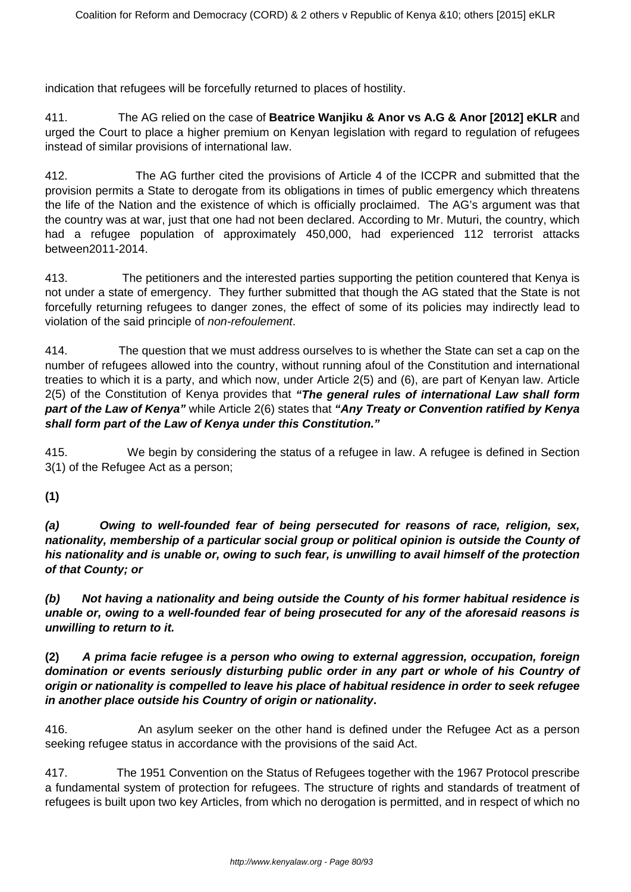indication that refugees will be forcefully returned to places of hostility.

411. The AG relied on the case of **Beatrice Wanjiku & Anor vs A.G & Anor [2012] eKLR** and urged the Court to place a higher premium on Kenyan legislation with regard to regulation of refugees instead of similar provisions of international law.

412. The AG further cited the provisions of Article 4 of the ICCPR and submitted that the provision permits a State to derogate from its obligations in times of public emergency which threatens the life of the Nation and the existence of which is officially proclaimed. The AG's argument was that the country was at war, just that one had not been declared. According to Mr. Muturi, the country, which had a refugee population of approximately 450,000, had experienced 112 terrorist attacks between2011-2014.

413. The petitioners and the interested parties supporting the petition countered that Kenya is not under a state of emergency. They further submitted that though the AG stated that the State is not forcefully returning refugees to danger zones, the effect of some of its policies may indirectly lead to violation of the said principle of non-refoulement.

414. The question that we must address ourselves to is whether the State can set a cap on the number of refugees allowed into the country, without running afoul of the Constitution and international treaties to which it is a party, and which now, under Article 2(5) and (6), are part of Kenyan law. Article 2(5) of the Constitution of Kenya provides that **"The general rules of international Law shall form part of the Law of Kenya"** while Article 2(6) states that **"Any Treaty or Convention ratified by Kenya shall form part of the Law of Kenya under this Constitution."**

415. We begin by considering the status of a refugee in law. A refugee is defined in Section 3(1) of the Refugee Act as a person;

**(1)**

**(a) Owing to well-founded fear of being persecuted for reasons of race, religion, sex, nationality, membership of a particular social group or political opinion is outside the County of his nationality and is unable or, owing to such fear, is unwilling to avail himself of the protection of that County; or**

**(b) Not having a nationality and being outside the County of his former habitual residence is unable or, owing to a well-founded fear of being prosecuted for any of the aforesaid reasons is unwilling to return to it.**

**(2) A prima facie refugee is a person who owing to external aggression, occupation, foreign domination or events seriously disturbing public order in any part or whole of his Country of origin or nationality is compelled to leave his place of habitual residence in order to seek refugee in another place outside his Country of origin or nationality.**

416. An asylum seeker on the other hand is defined under the Refugee Act as a person seeking refugee status in accordance with the provisions of the said Act.

417. The 1951 Convention on the Status of Refugees together with the 1967 Protocol prescribe a fundamental system of protection for refugees. The structure of rights and standards of treatment of refugees is built upon two key Articles, from which no derogation is permitted, and in respect of which no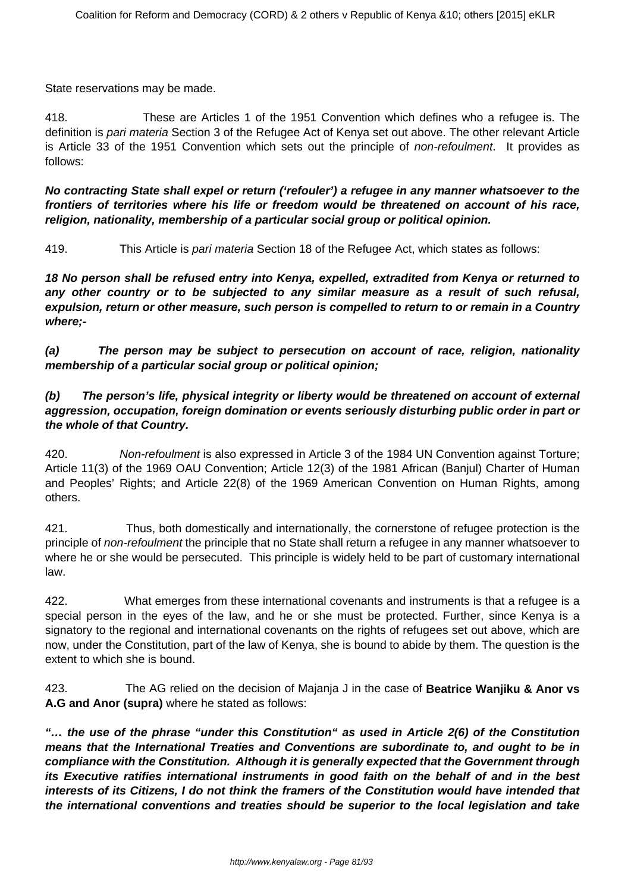State reservations may be made.

418. These are Articles 1 of the 1951 Convention which defines who a refugee is. The definition is pari materia Section 3 of the Refugee Act of Kenya set out above. The other relevant Article is Article 33 of the 1951 Convention which sets out the principle of *non-refoulment*. It provides as follows:

**No contracting State shall expel or return ('refouler') a refugee in any manner whatsoever to the frontiers of territories where his life or freedom would be threatened on account of his race, religion, nationality, membership of a particular social group or political opinion.**

419. This Article is pari materia Section 18 of the Refugee Act, which states as follows:

**18 No person shall be refused entry into Kenya, expelled, extradited from Kenya or returned to any other country or to be subjected to any similar measure as a result of such refusal, expulsion, return or other measure, such person is compelled to return to or remain in a Country where;-**

**(a) The person may be subject to persecution on account of race, religion, nationality membership of a particular social group or political opinion;**

## **(b) The person's life, physical integrity or liberty would be threatened on account of external aggression, occupation, foreign domination or events seriously disturbing public order in part or the whole of that Country.**

420. Non-refoulment is also expressed in Article 3 of the 1984 UN Convention against Torture; Article 11(3) of the 1969 OAU Convention; Article 12(3) of the 1981 African (Banjul) Charter of Human and Peoples' Rights; and Article 22(8) of the 1969 American Convention on Human Rights, among others.

421. Thus, both domestically and internationally, the cornerstone of refugee protection is the principle of non-refoulment the principle that no State shall return a refugee in any manner whatsoever to where he or she would be persecuted. This principle is widely held to be part of customary international law.

422. What emerges from these international covenants and instruments is that a refugee is a special person in the eyes of the law, and he or she must be protected. Further, since Kenya is a signatory to the regional and international covenants on the rights of refugees set out above, which are now, under the Constitution, part of the law of Kenya, she is bound to abide by them. The question is the extent to which she is bound.

423. The AG relied on the decision of Majanja J in the case of **Beatrice Wanjiku & Anor vs A.G and Anor (supra)** where he stated as follows:

**"… the use of the phrase "under this Constitution" as used in Article 2(6) of the Constitution means that the International Treaties and Conventions are subordinate to, and ought to be in compliance with the Constitution. Although it is generally expected that the Government through its Executive ratifies international instruments in good faith on the behalf of and in the best interests of its Citizens, I do not think the framers of the Constitution would have intended that the international conventions and treaties should be superior to the local legislation and take**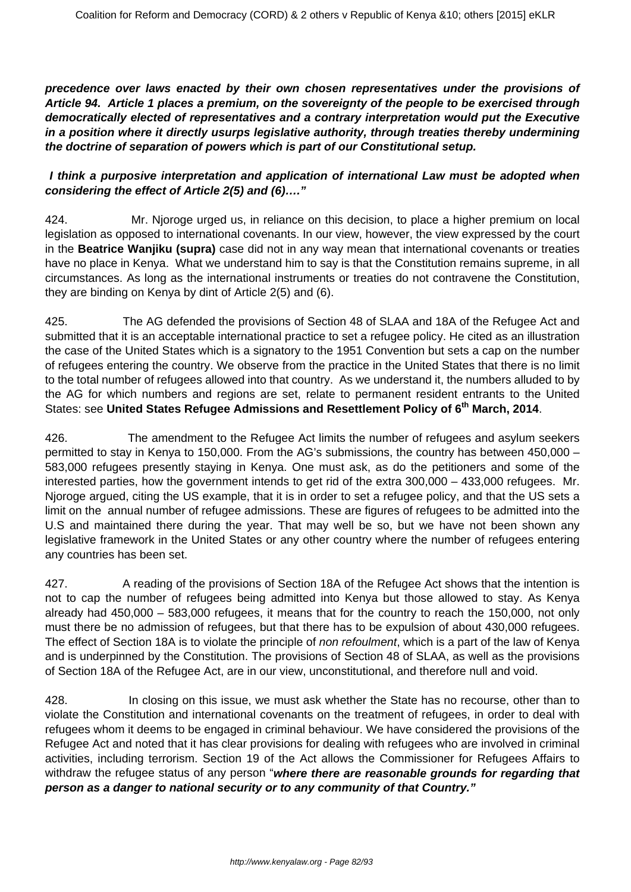**precedence over laws enacted by their own chosen representatives under the provisions of Article 94. Article 1 places a premium, on the sovereignty of the people to be exercised through democratically elected of representatives and a contrary interpretation would put the Executive in a position where it directly usurps legislative authority, through treaties thereby undermining the doctrine of separation of powers which is part of our Constitutional setup.**

## **I think a purposive interpretation and application of international Law must be adopted when considering the effect of Article 2(5) and (6)…."**

424. Mr. Njoroge urged us, in reliance on this decision, to place a higher premium on local legislation as opposed to international covenants. In our view, however, the view expressed by the court in the **Beatrice Wanjiku (supra)** case did not in any way mean that international covenants or treaties have no place in Kenya. What we understand him to say is that the Constitution remains supreme, in all circumstances. As long as the international instruments or treaties do not contravene the Constitution, they are binding on Kenya by dint of Article 2(5) and (6).

425. The AG defended the provisions of Section 48 of SLAA and 18A of the Refugee Act and submitted that it is an acceptable international practice to set a refugee policy. He cited as an illustration the case of the United States which is a signatory to the 1951 Convention but sets a cap on the number of refugees entering the country. We observe from the practice in the United States that there is no limit to the total number of refugees allowed into that country. As we understand it, the numbers alluded to by the AG for which numbers and regions are set, relate to permanent resident entrants to the United States: see **United States Refugee Admissions and Resettlement Policy of 6th March, 2014**.

426. The amendment to the Refugee Act limits the number of refugees and asylum seekers permitted to stay in Kenya to 150,000. From the AG's submissions, the country has between 450,000 – 583,000 refugees presently staying in Kenya. One must ask, as do the petitioners and some of the interested parties, how the government intends to get rid of the extra 300,000 – 433,000 refugees. Mr. Njoroge argued, citing the US example, that it is in order to set a refugee policy, and that the US sets a limit on the annual number of refugee admissions. These are figures of refugees to be admitted into the U.S and maintained there during the year. That may well be so, but we have not been shown any legislative framework in the United States or any other country where the number of refugees entering any countries has been set.

427. A reading of the provisions of Section 18A of the Refugee Act shows that the intention is not to cap the number of refugees being admitted into Kenya but those allowed to stay. As Kenya already had 450,000 – 583,000 refugees, it means that for the country to reach the 150,000, not only must there be no admission of refugees, but that there has to be expulsion of about 430,000 refugees. The effect of Section 18A is to violate the principle of non refoulment, which is a part of the law of Kenya and is underpinned by the Constitution. The provisions of Section 48 of SLAA, as well as the provisions of Section 18A of the Refugee Act, are in our view, unconstitutional, and therefore null and void.

428. In closing on this issue, we must ask whether the State has no recourse, other than to violate the Constitution and international covenants on the treatment of refugees, in order to deal with refugees whom it deems to be engaged in criminal behaviour. We have considered the provisions of the Refugee Act and noted that it has clear provisions for dealing with refugees who are involved in criminal activities, including terrorism. Section 19 of the Act allows the Commissioner for Refugees Affairs to withdraw the refugee status of any person "**where there are reasonable grounds for regarding that person as a danger to national security or to any community of that Country."**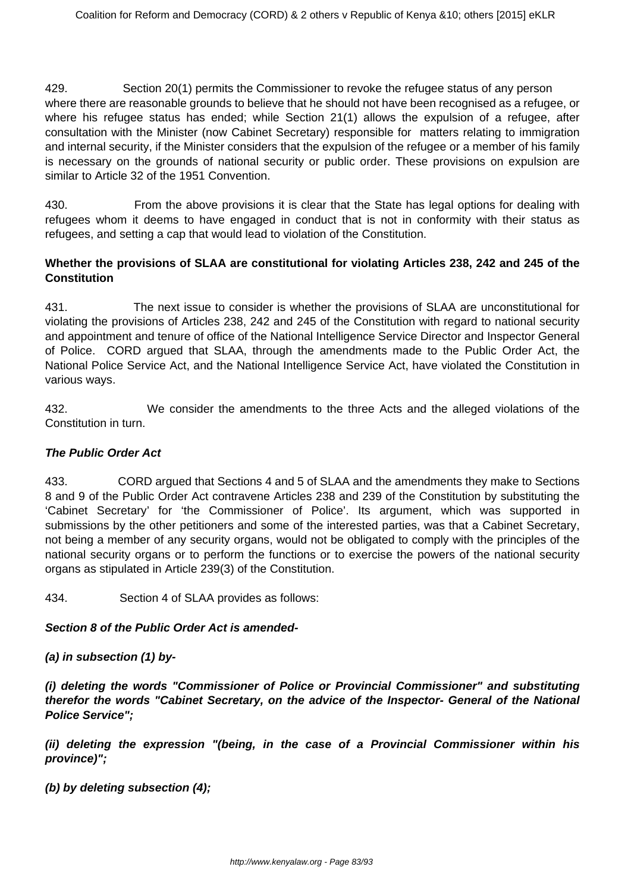429. Section 20(1) permits the Commissioner to revoke the refugee status of any person where there are reasonable grounds to believe that he should not have been recognised as a refugee, or where his refugee status has ended; while Section 21(1) allows the expulsion of a refugee, after consultation with the Minister (now Cabinet Secretary) responsible for matters relating to immigration and internal security, if the Minister considers that the expulsion of the refugee or a member of his family is necessary on the grounds of national security or public order. These provisions on expulsion are similar to Article 32 of the 1951 Convention.

430. From the above provisions it is clear that the State has legal options for dealing with refugees whom it deems to have engaged in conduct that is not in conformity with their status as refugees, and setting a cap that would lead to violation of the Constitution.

# **Whether the provisions of SLAA are constitutional for violating Articles 238, 242 and 245 of the Constitution**

431. The next issue to consider is whether the provisions of SLAA are unconstitutional for violating the provisions of Articles 238, 242 and 245 of the Constitution with regard to national security and appointment and tenure of office of the National Intelligence Service Director and Inspector General of Police. CORD argued that SLAA, through the amendments made to the Public Order Act, the National Police Service Act, and the National Intelligence Service Act, have violated the Constitution in various ways.

432. We consider the amendments to the three Acts and the alleged violations of the Constitution in turn.

# **The Public Order Act**

433. CORD argued that Sections 4 and 5 of SLAA and the amendments they make to Sections 8 and 9 of the Public Order Act contravene Articles 238 and 239 of the Constitution by substituting the 'Cabinet Secretary' for 'the Commissioner of Police'. Its argument, which was supported in submissions by the other petitioners and some of the interested parties, was that a Cabinet Secretary, not being a member of any security organs, would not be obligated to comply with the principles of the national security organs or to perform the functions or to exercise the powers of the national security organs as stipulated in Article 239(3) of the Constitution.

434. Section 4 of SLAA provides as follows:

# **Section 8 of the Public Order Act is amended-**

**(a) in subsection (1) by-**

**(i) deleting the words "Commissioner of Police or Provincial Commissioner" and substituting therefor the words "Cabinet Secretary, on the advice of the Inspector- General of the National Police Service";**

**(ii) deleting the expression "(being, in the case of a Provincial Commissioner within his province)";**

**(b) by deleting subsection (4);**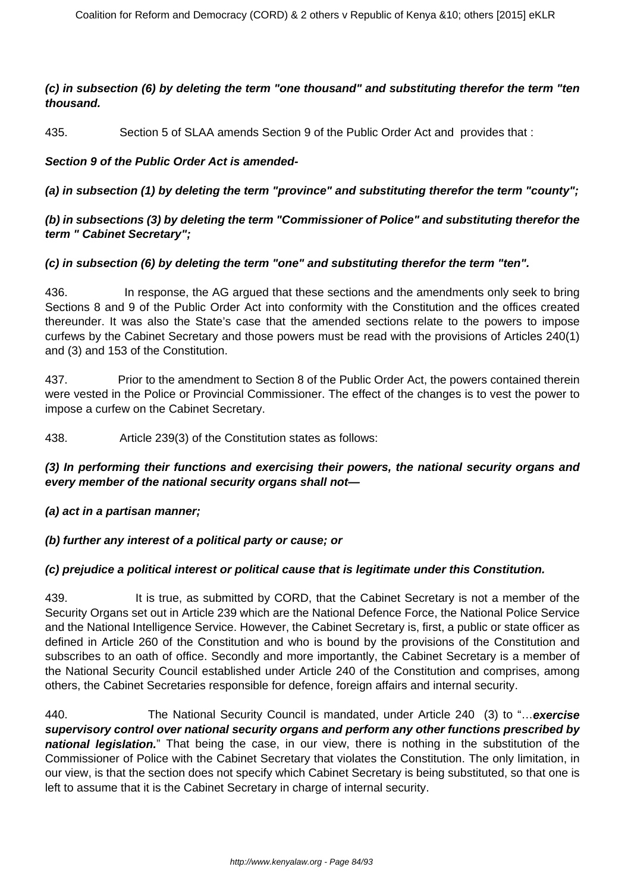## **(c) in subsection (6) by deleting the term "one thousand" and substituting therefor the term "ten thousand.**

435. Section 5 of SLAA amends Section 9 of the Public Order Act and provides that :

## **Section 9 of the Public Order Act is amended-**

**(a) in subsection (1) by deleting the term "province" and substituting therefor the term "county";**

## **(b) in subsections (3) by deleting the term "Commissioner of Police" and substituting therefor the term " Cabinet Secretary";**

## **(c) in subsection (6) by deleting the term "one" and substituting therefor the term "ten".**

436. In response, the AG argued that these sections and the amendments only seek to bring Sections 8 and 9 of the Public Order Act into conformity with the Constitution and the offices created thereunder. It was also the State's case that the amended sections relate to the powers to impose curfews by the Cabinet Secretary and those powers must be read with the provisions of Articles 240(1) and (3) and 153 of the Constitution.

437. Prior to the amendment to Section 8 of the Public Order Act, the powers contained therein were vested in the Police or Provincial Commissioner. The effect of the changes is to vest the power to impose a curfew on the Cabinet Secretary.

438. Article 239(3) of the Constitution states as follows:

## **(3) In performing their functions and exercising their powers, the national security organs and every member of the national security organs shall not—**

#### **(a) act in a partisan manner;**

#### **(b) further any interest of a political party or cause; or**

#### **(c) prejudice a political interest or political cause that is legitimate under this Constitution.**

439. It is true, as submitted by CORD, that the Cabinet Secretary is not a member of the Security Organs set out in Article 239 which are the National Defence Force, the National Police Service and the National Intelligence Service. However, the Cabinet Secretary is, first, a public or state officer as defined in Article 260 of the Constitution and who is bound by the provisions of the Constitution and subscribes to an oath of office. Secondly and more importantly, the Cabinet Secretary is a member of the National Security Council established under Article 240 of the Constitution and comprises, among others, the Cabinet Secretaries responsible for defence, foreign affairs and internal security.

440. The National Security Council is mandated, under Article 240 (3) to "…**exercise supervisory control over national security organs and perform any other functions prescribed by national legislation.**" That being the case, in our view, there is nothing in the substitution of the Commissioner of Police with the Cabinet Secretary that violates the Constitution. The only limitation, in our view, is that the section does not specify which Cabinet Secretary is being substituted, so that one is left to assume that it is the Cabinet Secretary in charge of internal security.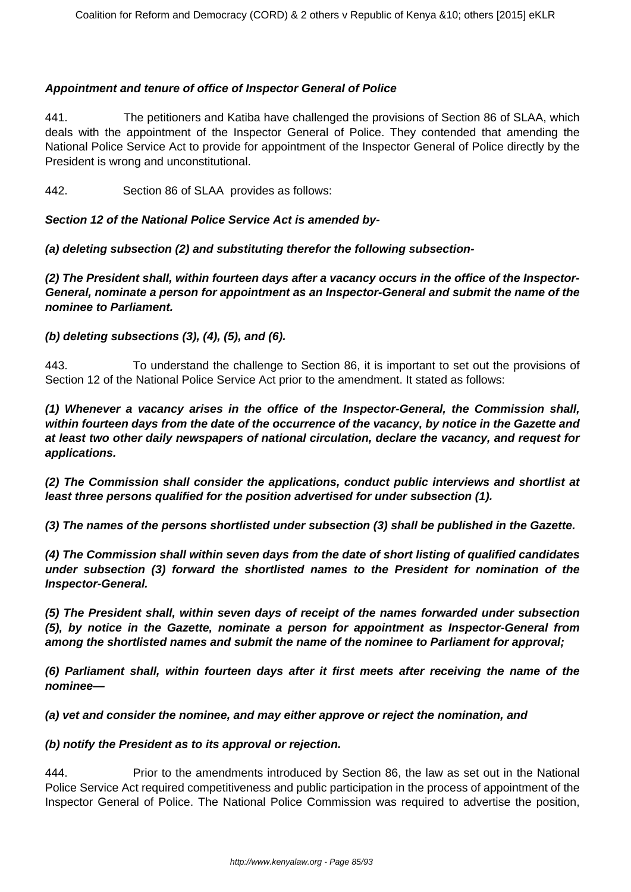### **Appointment and tenure of office of Inspector General of Police**

441. The petitioners and Katiba have challenged the provisions of Section 86 of SLAA, which deals with the appointment of the Inspector General of Police. They contended that amending the National Police Service Act to provide for appointment of the Inspector General of Police directly by the President is wrong and unconstitutional.

442. Section 86 of SLAA provides as follows:

### **Section 12 of the National Police Service Act is amended by-**

**(a) deleting subsection (2) and substituting therefor the following subsection-**

**(2) The President shall, within fourteen days after a vacancy occurs in the office of the Inspector-General, nominate a person for appointment as an Inspector-General and submit the name of the nominee to Parliament.**

#### **(b) deleting subsections (3), (4), (5), and (6).**

443. To understand the challenge to Section 86, it is important to set out the provisions of Section 12 of the National Police Service Act prior to the amendment. It stated as follows:

**(1) Whenever a vacancy arises in the office of the Inspector-General, the Commission shall, within fourteen days from the date of the occurrence of the vacancy, by notice in the Gazette and at least two other daily newspapers of national circulation, declare the vacancy, and request for applications.** 

**(2) The Commission shall consider the applications, conduct public interviews and shortlist at least three persons qualified for the position advertised for under subsection (1).** 

**(3) The names of the persons shortlisted under subsection (3) shall be published in the Gazette.** 

**(4) The Commission shall within seven days from the date of short listing of qualified candidates under subsection (3) forward the shortlisted names to the President for nomination of the Inspector-General.** 

**(5) The President shall, within seven days of receipt of the names forwarded under subsection (5), by notice in the Gazette, nominate a person for appointment as Inspector-General from among the shortlisted names and submit the name of the nominee to Parliament for approval;** 

**(6) Parliament shall, within fourteen days after it first meets after receiving the name of the nominee—** 

**(a) vet and consider the nominee, and may either approve or reject the nomination, and** 

#### **(b) notify the President as to its approval or rejection.**

444. Prior to the amendments introduced by Section 86, the law as set out in the National Police Service Act required competitiveness and public participation in the process of appointment of the Inspector General of Police. The National Police Commission was required to advertise the position,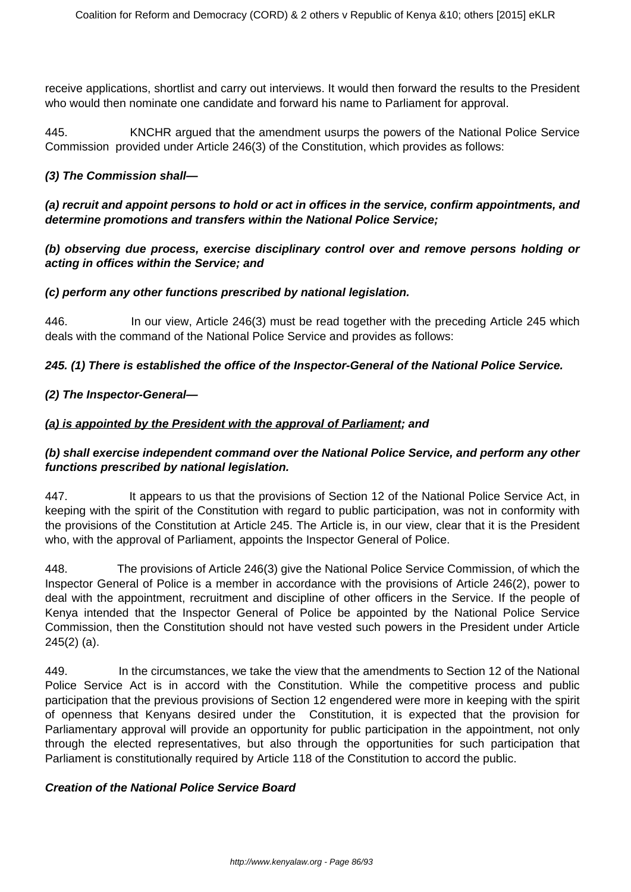receive applications, shortlist and carry out interviews. It would then forward the results to the President who would then nominate one candidate and forward his name to Parliament for approval.

445. KNCHR argued that the amendment usurps the powers of the National Police Service Commission provided under Article 246(3) of the Constitution, which provides as follows:

### **(3) The Commission shall—**

# **(a) recruit and appoint persons to hold or act in offices in the service, confirm appointments, and determine promotions and transfers within the National Police Service;**

**(b) observing due process, exercise disciplinary control over and remove persons holding or acting in offices within the Service; and**

#### **(c) perform any other functions prescribed by national legislation.**

446. In our view, Article 246(3) must be read together with the preceding Article 245 which deals with the command of the National Police Service and provides as follows:

## **245. (1) There is established the office of the Inspector-General of the National Police Service.**

## **(2) The Inspector-General—**

## **(a) is appointed by the President with the approval of Parliament; and**

# **(b) shall exercise independent command over the National Police Service, and perform any other functions prescribed by national legislation.**

447. It appears to us that the provisions of Section 12 of the National Police Service Act, in keeping with the spirit of the Constitution with regard to public participation, was not in conformity with the provisions of the Constitution at Article 245. The Article is, in our view, clear that it is the President who, with the approval of Parliament, appoints the Inspector General of Police.

448. The provisions of Article 246(3) give the National Police Service Commission, of which the Inspector General of Police is a member in accordance with the provisions of Article 246(2), power to deal with the appointment, recruitment and discipline of other officers in the Service. If the people of Kenya intended that the Inspector General of Police be appointed by the National Police Service Commission, then the Constitution should not have vested such powers in the President under Article 245(2) (a).

449. In the circumstances, we take the view that the amendments to Section 12 of the National Police Service Act is in accord with the Constitution. While the competitive process and public participation that the previous provisions of Section 12 engendered were more in keeping with the spirit of openness that Kenyans desired under the Constitution, it is expected that the provision for Parliamentary approval will provide an opportunity for public participation in the appointment, not only through the elected representatives, but also through the opportunities for such participation that Parliament is constitutionally required by Article 118 of the Constitution to accord the public.

#### **Creation of the National Police Service Board**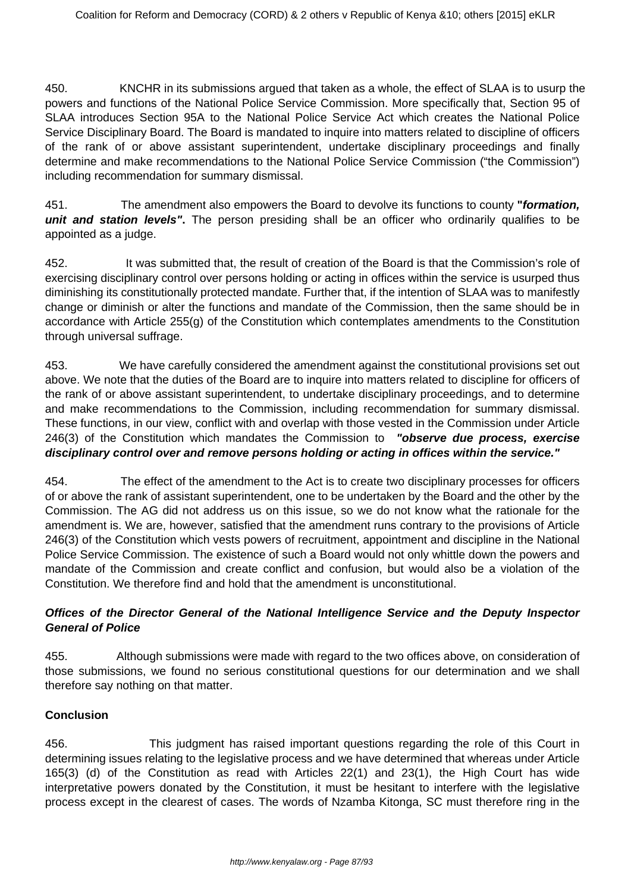450. KNCHR in its submissions argued that taken as a whole, the effect of SLAA is to usurp the powers and functions of the National Police Service Commission. More specifically that, Section 95 of SLAA introduces Section 95A to the National Police Service Act which creates the National Police Service Disciplinary Board. The Board is mandated to inquire into matters related to discipline of officers of the rank of or above assistant superintendent, undertake disciplinary proceedings and finally determine and make recommendations to the National Police Service Commission ("the Commission") including recommendation for summary dismissal.

451. The amendment also empowers the Board to devolve its functions to county **"formation, unit and station levels".** The person presiding shall be an officer who ordinarily qualifies to be appointed as a judge.

452. It was submitted that, the result of creation of the Board is that the Commission's role of exercising disciplinary control over persons holding or acting in offices within the service is usurped thus diminishing its constitutionally protected mandate. Further that, if the intention of SLAA was to manifestly change or diminish or alter the functions and mandate of the Commission, then the same should be in accordance with Article 255(g) of the Constitution which contemplates amendments to the Constitution through universal suffrage.

453. We have carefully considered the amendment against the constitutional provisions set out above. We note that the duties of the Board are to inquire into matters related to discipline for officers of the rank of or above assistant superintendent, to undertake disciplinary proceedings, and to determine and make recommendations to the Commission, including recommendation for summary dismissal. These functions, in our view, conflict with and overlap with those vested in the Commission under Article 246(3) of the Constitution which mandates the Commission to **"observe due process, exercise disciplinary control over and remove persons holding or acting in offices within the service."**

454. The effect of the amendment to the Act is to create two disciplinary processes for officers of or above the rank of assistant superintendent, one to be undertaken by the Board and the other by the Commission. The AG did not address us on this issue, so we do not know what the rationale for the amendment is. We are, however, satisfied that the amendment runs contrary to the provisions of Article 246(3) of the Constitution which vests powers of recruitment, appointment and discipline in the National Police Service Commission. The existence of such a Board would not only whittle down the powers and mandate of the Commission and create conflict and confusion, but would also be a violation of the Constitution. We therefore find and hold that the amendment is unconstitutional.

# **Offices of the Director General of the National Intelligence Service and the Deputy Inspector General of Police**

455. Although submissions were made with regard to the two offices above, on consideration of those submissions, we found no serious constitutional questions for our determination and we shall therefore say nothing on that matter.

# **Conclusion**

456. This judgment has raised important questions regarding the role of this Court in determining issues relating to the legislative process and we have determined that whereas under Article 165(3) (d) of the Constitution as read with Articles 22(1) and 23(1), the High Court has wide interpretative powers donated by the Constitution, it must be hesitant to interfere with the legislative process except in the clearest of cases. The words of Nzamba Kitonga, SC must therefore ring in the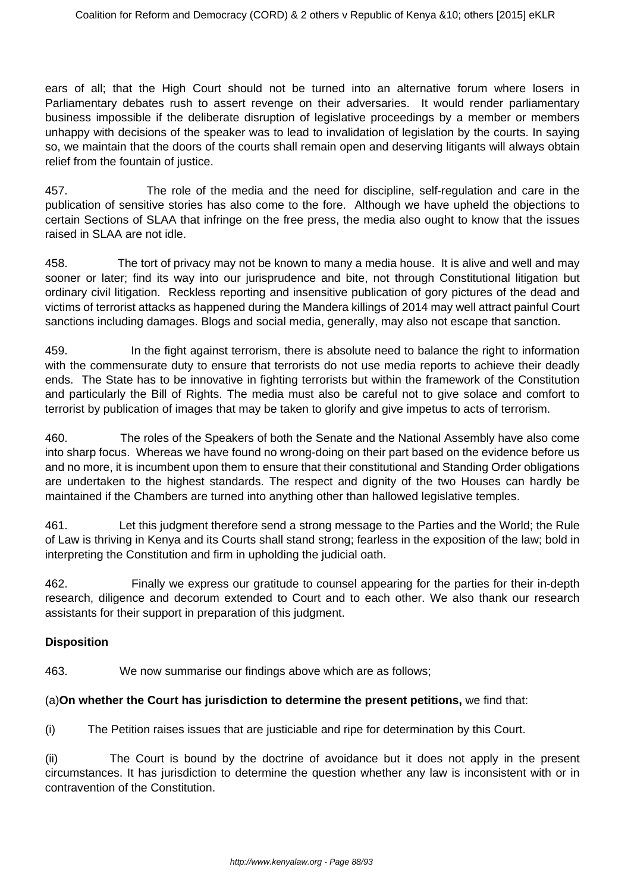ears of all; that the High Court should not be turned into an alternative forum where losers in Parliamentary debates rush to assert revenge on their adversaries. It would render parliamentary business impossible if the deliberate disruption of legislative proceedings by a member or members unhappy with decisions of the speaker was to lead to invalidation of legislation by the courts. In saying so, we maintain that the doors of the courts shall remain open and deserving litigants will always obtain relief from the fountain of justice.

457. The role of the media and the need for discipline, self-regulation and care in the publication of sensitive stories has also come to the fore. Although we have upheld the objections to certain Sections of SLAA that infringe on the free press, the media also ought to know that the issues raised in SLAA are not idle.

458. The tort of privacy may not be known to many a media house. It is alive and well and may sooner or later; find its way into our jurisprudence and bite, not through Constitutional litigation but ordinary civil litigation. Reckless reporting and insensitive publication of gory pictures of the dead and victims of terrorist attacks as happened during the Mandera killings of 2014 may well attract painful Court sanctions including damages. Blogs and social media, generally, may also not escape that sanction.

459. In the fight against terrorism, there is absolute need to balance the right to information with the commensurate duty to ensure that terrorists do not use media reports to achieve their deadly ends. The State has to be innovative in fighting terrorists but within the framework of the Constitution and particularly the Bill of Rights. The media must also be careful not to give solace and comfort to terrorist by publication of images that may be taken to glorify and give impetus to acts of terrorism.

460. The roles of the Speakers of both the Senate and the National Assembly have also come into sharp focus. Whereas we have found no wrong-doing on their part based on the evidence before us and no more, it is incumbent upon them to ensure that their constitutional and Standing Order obligations are undertaken to the highest standards. The respect and dignity of the two Houses can hardly be maintained if the Chambers are turned into anything other than hallowed legislative temples.

461. Let this judgment therefore send a strong message to the Parties and the World; the Rule of Law is thriving in Kenya and its Courts shall stand strong; fearless in the exposition of the law; bold in interpreting the Constitution and firm in upholding the judicial oath.

462. Finally we express our gratitude to counsel appearing for the parties for their in-depth research, diligence and decorum extended to Court and to each other. We also thank our research assistants for their support in preparation of this judgment.

# **Disposition**

463. We now summarise our findings above which are as follows;

# (a)**On whether the Court has jurisdiction to determine the present petitions,** we find that:

(i) The Petition raises issues that are justiciable and ripe for determination by this Court.

(ii) The Court is bound by the doctrine of avoidance but it does not apply in the present circumstances. It has jurisdiction to determine the question whether any law is inconsistent with or in contravention of the Constitution.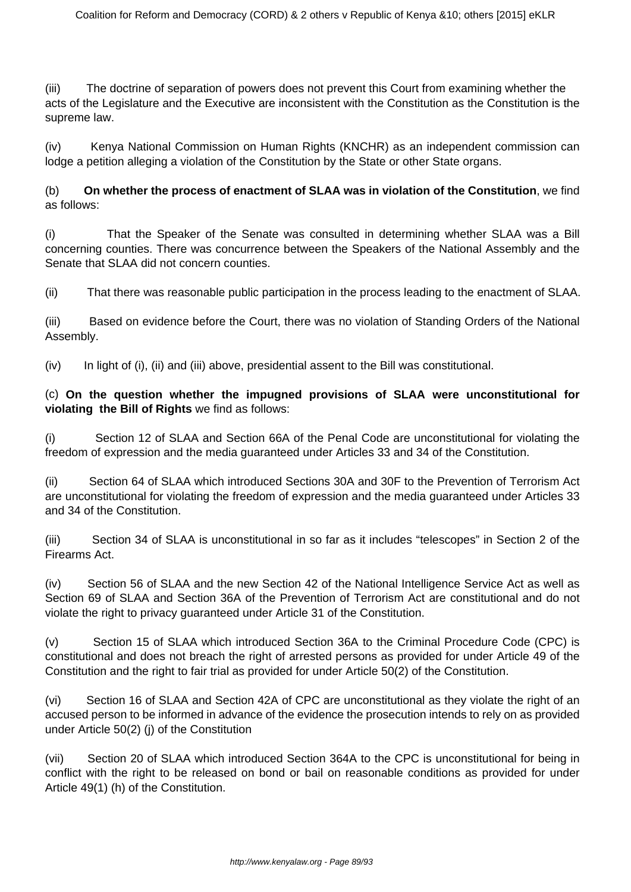(iii) The doctrine of separation of powers does not prevent this Court from examining whether the acts of the Legislature and the Executive are inconsistent with the Constitution as the Constitution is the supreme law.

(iv) Kenya National Commission on Human Rights (KNCHR) as an independent commission can lodge a petition alleging a violation of the Constitution by the State or other State organs.

(b) **On whether the process of enactment of SLAA was in violation of the Constitution**, we find as follows:

(i) That the Speaker of the Senate was consulted in determining whether SLAA was a Bill concerning counties. There was concurrence between the Speakers of the National Assembly and the Senate that SLAA did not concern counties.

(ii) That there was reasonable public participation in the process leading to the enactment of SLAA.

(iii) Based on evidence before the Court, there was no violation of Standing Orders of the National Assembly.

(iv) In light of (i), (ii) and (iii) above, presidential assent to the Bill was constitutional.

### (c) **On the question whether the impugned provisions of SLAA were unconstitutional for violating the Bill of Rights** we find as follows:

(i) Section 12 of SLAA and Section 66A of the Penal Code are unconstitutional for violating the freedom of expression and the media guaranteed under Articles 33 and 34 of the Constitution.

(ii) Section 64 of SLAA which introduced Sections 30A and 30F to the Prevention of Terrorism Act are unconstitutional for violating the freedom of expression and the media guaranteed under Articles 33 and 34 of the Constitution.

(iii) Section 34 of SLAA is unconstitutional in so far as it includes "telescopes" in Section 2 of the Firearms Act.

(iv) Section 56 of SLAA and the new Section 42 of the National Intelligence Service Act as well as Section 69 of SLAA and Section 36A of the Prevention of Terrorism Act are constitutional and do not violate the right to privacy guaranteed under Article 31 of the Constitution.

(v) Section 15 of SLAA which introduced Section 36A to the Criminal Procedure Code (CPC) is constitutional and does not breach the right of arrested persons as provided for under Article 49 of the Constitution and the right to fair trial as provided for under Article 50(2) of the Constitution.

(vi) Section 16 of SLAA and Section 42A of CPC are unconstitutional as they violate the right of an accused person to be informed in advance of the evidence the prosecution intends to rely on as provided under Article 50(2) (j) of the Constitution

(vii) Section 20 of SLAA which introduced Section 364A to the CPC is unconstitutional for being in conflict with the right to be released on bond or bail on reasonable conditions as provided for under Article 49(1) (h) of the Constitution.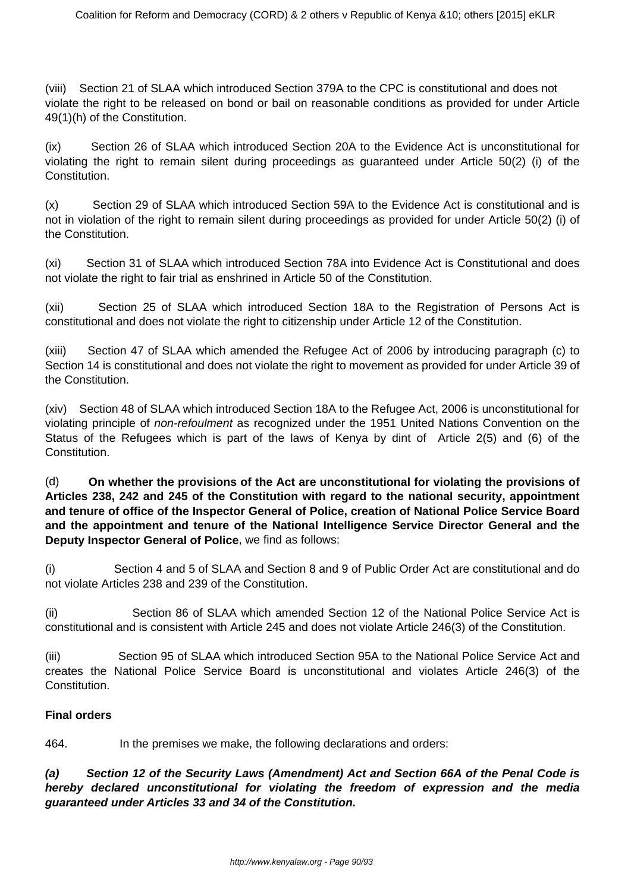(viii) Section 21 of SLAA which introduced Section 379A to the CPC is constitutional and does not violate the right to be released on bond or bail on reasonable conditions as provided for under Article 49(1)(h) of the Constitution.

(ix) Section 26 of SLAA which introduced Section 20A to the Evidence Act is unconstitutional for violating the right to remain silent during proceedings as guaranteed under Article 50(2) (i) of the Constitution.

(x) Section 29 of SLAA which introduced Section 59A to the Evidence Act is constitutional and is not in violation of the right to remain silent during proceedings as provided for under Article 50(2) (i) of the Constitution.

(xi) Section 31 of SLAA which introduced Section 78A into Evidence Act is Constitutional and does not violate the right to fair trial as enshrined in Article 50 of the Constitution.

(xii) Section 25 of SLAA which introduced Section 18A to the Registration of Persons Act is constitutional and does not violate the right to citizenship under Article 12 of the Constitution.

(xiii) Section 47 of SLAA which amended the Refugee Act of 2006 by introducing paragraph (c) to Section 14 is constitutional and does not violate the right to movement as provided for under Article 39 of the Constitution.

(xiv) Section 48 of SLAA which introduced Section 18A to the Refugee Act, 2006 is unconstitutional for violating principle of non-refoulment as recognized under the 1951 United Nations Convention on the Status of the Refugees which is part of the laws of Kenya by dint of Article 2(5) and (6) of the Constitution.

(d) **On whether the provisions of the Act are unconstitutional for violating the provisions of Articles 238, 242 and 245 of the Constitution with regard to the national security, appointment and tenure of office of the Inspector General of Police, creation of National Police Service Board and the appointment and tenure of the National Intelligence Service Director General and the Deputy Inspector General of Police**, we find as follows:

(i) Section 4 and 5 of SLAA and Section 8 and 9 of Public Order Act are constitutional and do not violate Articles 238 and 239 of the Constitution.

(ii) Section 86 of SLAA which amended Section 12 of the National Police Service Act is constitutional and is consistent with Article 245 and does not violate Article 246(3) of the Constitution.

(iii) Section 95 of SLAA which introduced Section 95A to the National Police Service Act and creates the National Police Service Board is unconstitutional and violates Article 246(3) of the **Constitution** 

# **Final orders**

464. In the premises we make, the following declarations and orders:

**(a) Section 12 of the Security Laws (Amendment) Act and Section 66A of the Penal Code is hereby declared unconstitutional for violating the freedom of expression and the media guaranteed under Articles 33 and 34 of the Constitution.**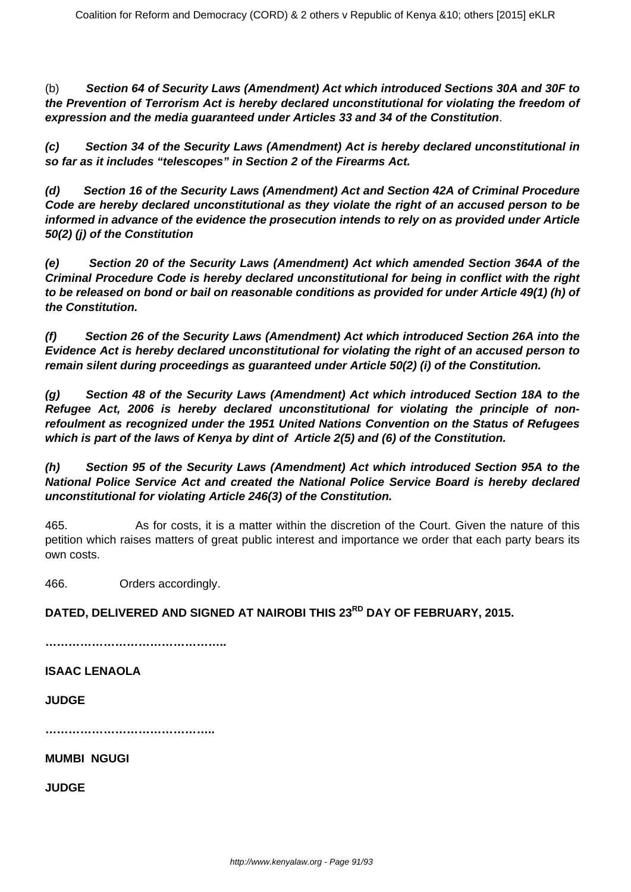(b) **Section 64 of Security Laws (Amendment) Act which introduced Sections 30A and 30F to the Prevention of Terrorism Act is hereby declared unconstitutional for violating the freedom of expression and the media guaranteed under Articles 33 and 34 of the Constitution**.

**(c) Section 34 of the Security Laws (Amendment) Act is hereby declared unconstitutional in so far as it includes "telescopes" in Section 2 of the Firearms Act.**

**(d) Section 16 of the Security Laws (Amendment) Act and Section 42A of Criminal Procedure Code are hereby declared unconstitutional as they violate the right of an accused person to be informed in advance of the evidence the prosecution intends to rely on as provided under Article 50(2) (j) of the Constitution**

**(e) Section 20 of the Security Laws (Amendment) Act which amended Section 364A of the Criminal Procedure Code is hereby declared unconstitutional for being in conflict with the right to be released on bond or bail on reasonable conditions as provided for under Article 49(1) (h) of the Constitution.**

**(f) Section 26 of the Security Laws (Amendment) Act which introduced Section 26A into the Evidence Act is hereby declared unconstitutional for violating the right of an accused person to remain silent during proceedings as guaranteed under Article 50(2) (i) of the Constitution.**

**(g) Section 48 of the Security Laws (Amendment) Act which introduced Section 18A to the Refugee Act, 2006 is hereby declared unconstitutional for violating the principle of nonrefoulment as recognized under the 1951 United Nations Convention on the Status of Refugees which is part of the laws of Kenya by dint of Article 2(5) and (6) of the Constitution.**

**(h) Section 95 of the Security Laws (Amendment) Act which introduced Section 95A to the National Police Service Act and created the National Police Service Board is hereby declared unconstitutional for violating Article 246(3) of the Constitution.**

465. As for costs, it is a matter within the discretion of the Court. Given the nature of this petition which raises matters of great public interest and importance we order that each party bears its own costs.

466. Orders accordingly.

**DATED, DELIVERED AND SIGNED AT NAIROBI THIS 23RD DAY OF FEBRUARY, 2015.**

**………………………………………..**

**ISAAC LENAOLA**

**JUDGE**

**……………………………………..**

**MUMBI NGUGI**

**JUDGE**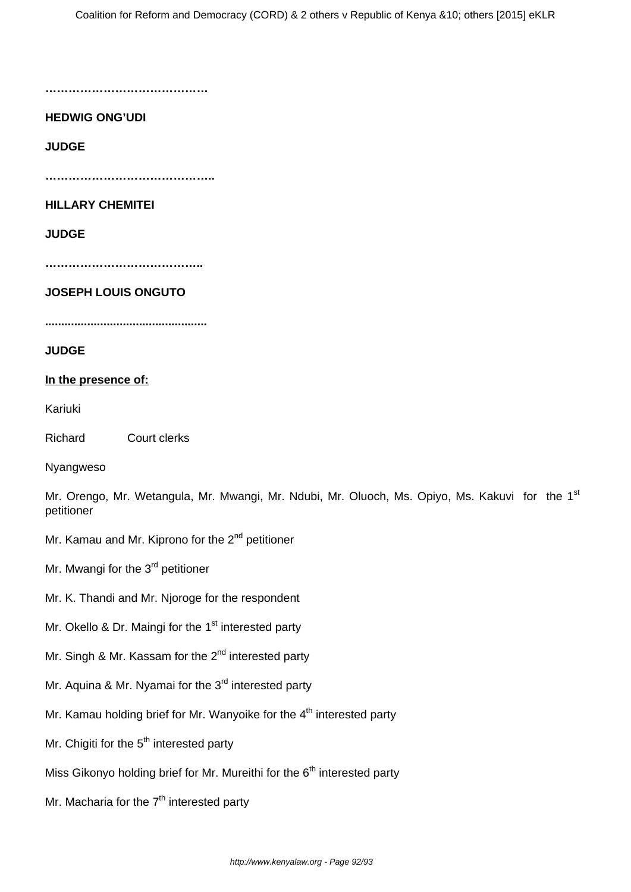**……………………………………**

## **HEDWIG ONG'UDI**

**JUDGE**

**……………………………………..**

### **HILLARY CHEMITEI**

## **JUDGE**

**…………………………………..**

#### **JOSEPH LOUIS ONGUTO**

**..................................................**

#### **JUDGE**

#### **In the presence of:**

Kariuki

Richard Court clerks

Nyangweso

Mr. Orengo, Mr. Wetangula, Mr. Mwangi, Mr. Ndubi, Mr. Oluoch, Ms. Opiyo, Ms. Kakuvi for the 1<sup>st</sup> petitioner

Mr. Kamau and Mr. Kiprono for the  $2^{nd}$  petitioner

Mr. Mwangi for the 3<sup>rd</sup> petitioner

- Mr. K. Thandi and Mr. Njoroge for the respondent
- Mr. Okello & Dr. Maingi for the 1<sup>st</sup> interested party
- Mr. Singh & Mr. Kassam for the  $2^{nd}$  interested party
- Mr. Aquina & Mr. Nyamai for the 3<sup>rd</sup> interested party
- Mr. Kamau holding brief for Mr. Wanyoike for the  $4<sup>th</sup>$  interested party
- Mr. Chigiti for the 5<sup>th</sup> interested party
- Miss Gikonyo holding brief for Mr. Mureithi for the  $6<sup>th</sup>$  interested party
- Mr. Macharia for the  $7<sup>th</sup>$  interested party